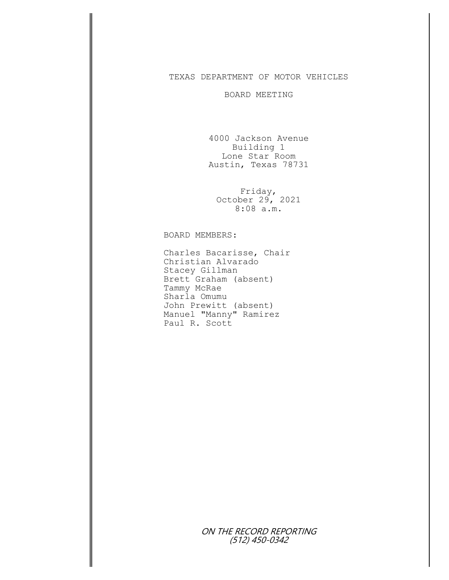## TEXAS DEPARTMENT OF MOTOR VEHICLES

## BOARD MEETING

4000 Jackson Avenue Building 1 Lone Star Room Austin, Texas 78731

Friday, October 29, 2021 8:08 a.m.

## BOARD MEMBERS:

Charles Bacarisse, Chair Christian Alvarado Stacey Gillman Brett Graham (absent) Tammy McRae Sharla Omumu John Prewitt (absent) Manuel "Manny" Ramirez Paul R. Scott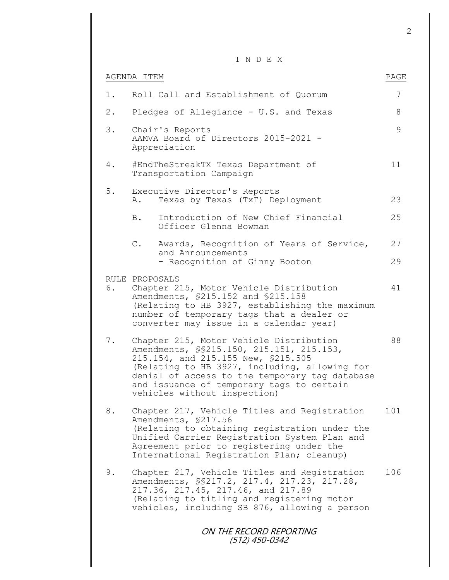## I N D E X

|       |                | $\perp$ $\vee$ $\perp$ $\vee$ $\perp$ $\vee$                                                                                                                                                                                                                                                                 |      |
|-------|----------------|--------------------------------------------------------------------------------------------------------------------------------------------------------------------------------------------------------------------------------------------------------------------------------------------------------------|------|
|       | AGENDA ITEM    |                                                                                                                                                                                                                                                                                                              | PAGE |
| 1.    |                | Roll Call and Establishment of Quorum                                                                                                                                                                                                                                                                        | 7    |
| $2$ . |                | Pledges of Allegiance - U.S. and Texas                                                                                                                                                                                                                                                                       | 8    |
| 3.    |                | Chair's Reports<br>AAMVA Board of Directors 2015-2021 -<br>Appreciation                                                                                                                                                                                                                                      | 9    |
| 4.    |                | #EndTheStreakTX Texas Department of<br>Transportation Campaign                                                                                                                                                                                                                                               | 11   |
| $5.$  | Α.             | Executive Director's Reports<br>Texas by Texas (TxT) Deployment                                                                                                                                                                                                                                              | 23   |
|       | B.             | Introduction of New Chief Financial<br>Officer Glenna Bowman                                                                                                                                                                                                                                                 | 25   |
|       | $\mathbb C$ .  | Awards, Recognition of Years of Service,                                                                                                                                                                                                                                                                     | 27   |
|       |                | and Announcements<br>- Recognition of Ginny Booton                                                                                                                                                                                                                                                           | 29   |
| 6.    | RULE PROPOSALS | Chapter 215, Motor Vehicle Distribution<br>Amendments, \$215.152 and \$215.158<br>(Relating to HB 3927, establishing the maximum<br>number of temporary tags that a dealer or<br>converter may issue in a calendar year)                                                                                     | 41   |
| 7.    |                | Chapter 215, Motor Vehicle Distribution<br>Amendments, \$\$215.150, 215.151, 215.153,<br>215.154, and 215.155 New, \$215.505<br>(Relating to HB 3927, including, allowing for<br>denial of access to the temporary tag database<br>and issuance of temporary tags to certain<br>vehicles without inspection) | 88   |
| 8.    |                | Chapter 217, Vehicle Titles and Registration<br>Amendments, \$217.56<br>(Relating to obtaining registration under the<br>Unified Carrier Registration System Plan and<br>Agreement prior to registering under the<br>International Registration Plan; cleanup)                                               | 101  |
| 9.    |                | Chapter 217, Vehicle Titles and Registration<br>Amendments, \$\$217.2, 217.4, 217.23, 217.28,<br>217.36, 217.45, 217.46, and 217.89<br>(Relating to titling and registering motor<br>vehicles, including SB 876, allowing a person                                                                           | 106  |
|       |                | ON THE RECORD REPORTING<br>(512) 450-0342                                                                                                                                                                                                                                                                    |      |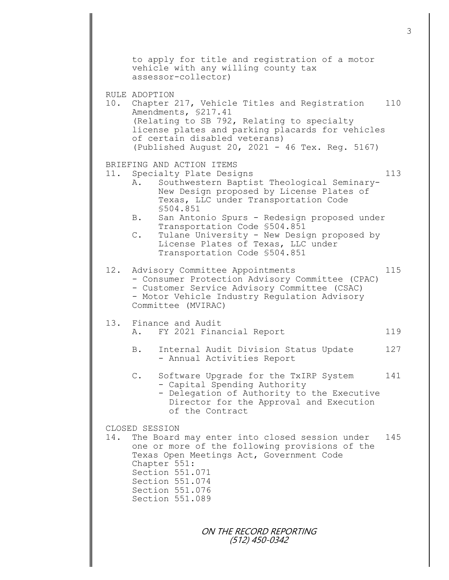|     |                                   | to apply for title and registration of a motor<br>vehicle with any willing county tax<br>assessor-collector)                                                                                                                                                                                                                                                                                                 |     |
|-----|-----------------------------------|--------------------------------------------------------------------------------------------------------------------------------------------------------------------------------------------------------------------------------------------------------------------------------------------------------------------------------------------------------------------------------------------------------------|-----|
|     | RULE ADOPTION                     | 10. Chapter 217, Vehicle Titles and Registration<br>Amendments, \$217.41<br>(Relating to SB 792, Relating to specialty<br>license plates and parking placards for vehicles<br>of certain disabled veterans)<br>(Published August 20, 2021 - 46 Tex. Reg. 5167)                                                                                                                                               | 110 |
|     | Α.<br><b>B</b> .<br>$\mathbb C$ . | BRIEFING AND ACTION ITEMS<br>11. Specialty Plate Designs<br>Southwestern Baptist Theological Seminary-<br>New Design proposed by License Plates of<br>Texas, LLC under Transportation Code<br>\$504.851<br>San Antonio Spurs - Redesign proposed under<br>Transportation Code \$504.851<br>Tulane University - New Design proposed by<br>License Plates of Texas, LLC under<br>Transportation Code \$504.851 | 113 |
| 12. |                                   | Advisory Committee Appointments<br>- Consumer Protection Advisory Committee (CPAC)<br>- Customer Service Advisory Committee (CSAC)<br>- Motor Vehicle Industry Regulation Advisory<br>Committee (MVIRAC)                                                                                                                                                                                                     | 115 |
|     |                                   | 13. Finance and Audit<br>A. FY 2021 Financial Report                                                                                                                                                                                                                                                                                                                                                         | 119 |
|     | B.                                | Internal Audit Division Status Update<br>- Annual Activities Report                                                                                                                                                                                                                                                                                                                                          | 127 |
|     |                                   | C. Software Upgrade for the TxIRP System<br>- Capital Spending Authority<br>- Delegation of Authority to the Executive<br>Director for the Approval and Execution<br>of the Contract                                                                                                                                                                                                                         | 141 |
| 14. | CLOSED SESSION                    | The Board may enter into closed session under<br>one or more of the following provisions of the<br>Texas Open Meetings Act, Government Code<br>Chapter 551:<br>Section 551.071<br>Section 551.074<br>Section 551.076<br>Section 551.089                                                                                                                                                                      | 145 |
|     |                                   | ON THE RECORD REPORTING                                                                                                                                                                                                                                                                                                                                                                                      |     |

(512) 450-0342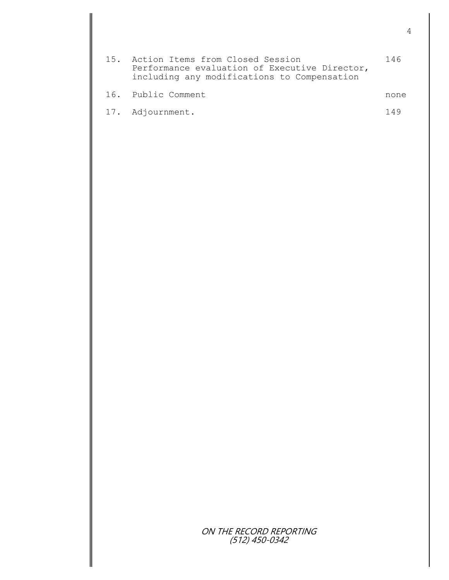| 15. Action Items from Closed Session<br>Performance evaluation of Executive Director,<br>including any modifications to Compensation | 146  |
|--------------------------------------------------------------------------------------------------------------------------------------|------|
| 16. Public Comment                                                                                                                   | none |
| 17. Adjournment.                                                                                                                     | 14 Q |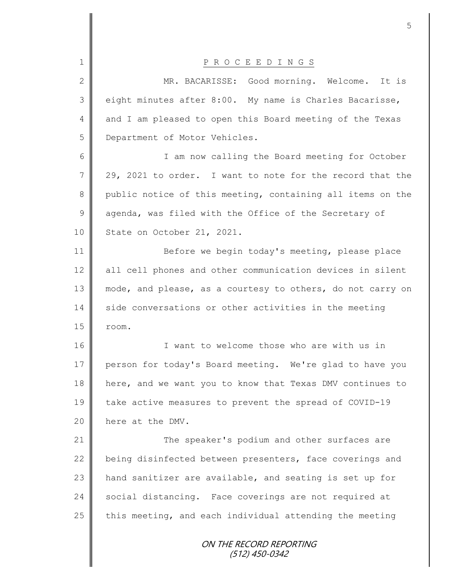|                | 5                                                          |
|----------------|------------------------------------------------------------|
| $\mathbf 1$    | P R O C E E D I N G S                                      |
| $\overline{2}$ | MR. BACARISSE: Good morning. Welcome. It is                |
| 3              | eight minutes after 8:00. My name is Charles Bacarisse,    |
| 4              | and I am pleased to open this Board meeting of the Texas   |
| 5              | Department of Motor Vehicles.                              |
| 6              | I am now calling the Board meeting for October             |
| 7              | 29, 2021 to order. I want to note for the record that the  |
| 8              | public notice of this meeting, containing all items on the |
| 9              | agenda, was filed with the Office of the Secretary of      |
| 10             | State on October 21, 2021.                                 |
|                |                                                            |
| 11             | Before we begin today's meeting, please place              |
| 12             | all cell phones and other communication devices in silent  |
| 13             | mode, and please, as a courtesy to others, do not carry on |
| 14             | side conversations or other activities in the meeting      |
| 15             | room.                                                      |
| 16             | I want to welcome those who are with us in                 |
| 17             | person for today's Board meeting. We're glad to have you   |
| 18             | here, and we want you to know that Texas DMV continues to  |
| 19             | take active measures to prevent the spread of COVID-19     |
| 20             | here at the DMV.                                           |
| 21             | The speaker's podium and other surfaces are                |
| 22             | being disinfected between presenters, face coverings and   |
| 23             | hand sanitizer are available, and seating is set up for    |
| 24             | social distancing. Face coverings are not required at      |
| 25             | this meeting, and each individual attending the meeting    |
|                | ON THE RECORD REPORTING<br>(512) 450-0342                  |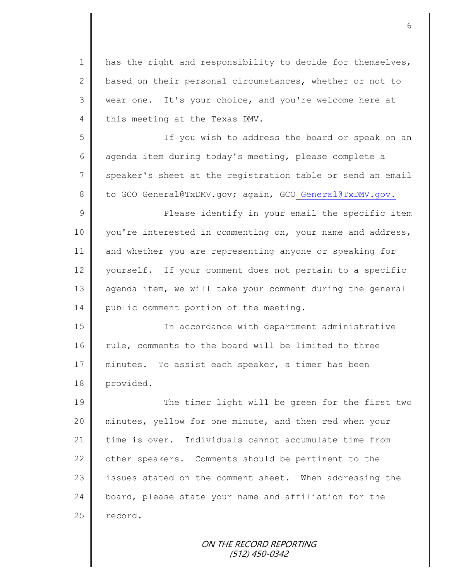1 | has the right and responsibility to decide for themselves, 2 based on their personal circumstances, whether or not to 3 wear one. It's your choice, and you're welcome here at 4 this meeting at the Texas DMV. 5 If you wish to address the board or speak on an 6 agenda item during today's meeting, please complete a 7 speaker's sheet at the registration table or send an email 8 to GCO General@TxDMV.gov; again, GCO General@TxDMV.gov. 9 || Please identify in your email the specific item 10 you're interested in commenting on, your name and address, 11 and whether you are representing anyone or speaking for 12 yourself. If your comment does not pertain to a specific 13 agenda item, we will take your comment during the general 14 | public comment portion of the meeting. 15 In accordance with department administrative 16 rule, comments to the board will be limited to three 17 || minutes. To assist each speaker, a timer has been 18 provided. 19 The timer light will be green for the first two 20 minutes, yellow for one minute, and then red when your 21 time is over. Individuals cannot accumulate time from 22  $\parallel$  other speakers. Comments should be pertinent to the 23 | issues stated on the comment sheet. When addressing the  $24$  | board, please state your name and affiliation for the  $25$  record.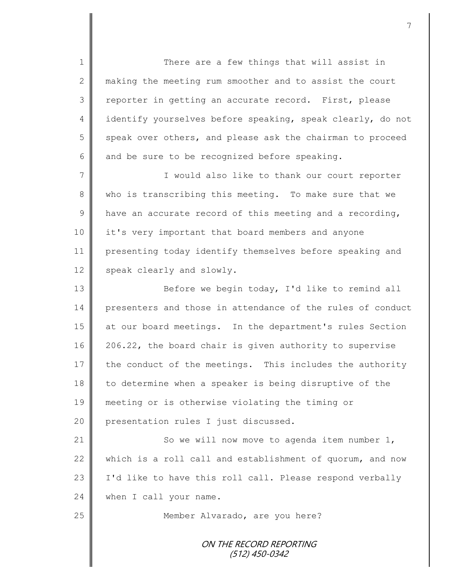1 There are a few things that will assist in 2 making the meeting rum smoother and to assist the court 3 || reporter in getting an accurate record. First, please 4 identify yourselves before speaking, speak clearly, do not  $5 \parallel$  speak over others, and please ask the chairman to proceed 6 and be sure to be recognized before speaking.

7 || Twould also like to thank our court reporter 8 who is transcribing this meeting. To make sure that we  $9 \parallel$  have an accurate record of this meeting and a recording, 10 || it's very important that board members and anyone 11 presenting today identify themselves before speaking and 12 speak clearly and slowly.

13 || Before we begin today, I'd like to remind all 14 presenters and those in attendance of the rules of conduct 15 at our board meetings. In the department's rules Section 16 206.22, the board chair is given authority to supervise  $17$  the conduct of the meetings. This includes the authority 18 to determine when a speaker is being disruptive of the 19 meeting or is otherwise violating the timing or 20 **presentation rules I** just discussed.

21 | So we will now move to agenda item number 1, 22 which is a roll call and establishment of quorum, and now 23 | I'd like to have this roll call. Please respond verbally 24 when I call your name.

25 || Member Alvarado, are you here?

ON THE RECORD REPORTING (512) 450-0342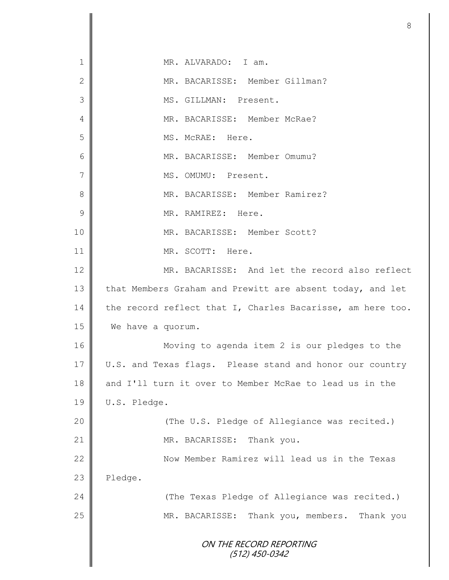|                | 8                                                          |
|----------------|------------------------------------------------------------|
|                |                                                            |
| 1              | MR. ALVARADO: I am.                                        |
| $\mathbf{2}$   | MR. BACARISSE: Member Gillman?                             |
| 3              | MS. GILLMAN: Present.                                      |
| 4              | MR. BACARISSE: Member McRae?                               |
| 5              | MS. McRAE: Here.                                           |
| 6              | MR. BACARISSE: Member Omumu?                               |
| $\overline{7}$ | MS. OMUMU: Present.                                        |
| 8              | MR. BACARISSE: Member Ramirez?                             |
| 9              | MR. RAMIREZ: Here.                                         |
| 10             | MR. BACARISSE: Member Scott?                               |
| 11             | MR. SCOTT: Here.                                           |
| 12             | MR. BACARISSE: And let the record also reflect             |
| 13             | that Members Graham and Prewitt are absent today, and let  |
| 14             | the record reflect that I, Charles Bacarisse, am here too. |
| 15             | We have a quorum.                                          |
| 16             | Moving to agenda item 2 is our pledges to the              |
| 17             | U.S. and Texas flags. Please stand and honor our country   |
| 18             | and I'll turn it over to Member McRae to lead us in the    |
| 19             | U.S. Pledge.                                               |
| 20             | (The U.S. Pledge of Allegiance was recited.)               |
| 21             | MR. BACARISSE:<br>Thank you.                               |
| 22             | Now Member Ramirez will lead us in the Texas               |
| 23             | Pledge.                                                    |
| 24             | (The Texas Pledge of Allegiance was recited.)              |
| 25             | MR. BACARISSE: Thank you, members. Thank you               |
|                | ON THE RECORD REPORTING<br>$(512)$ 450-0342                |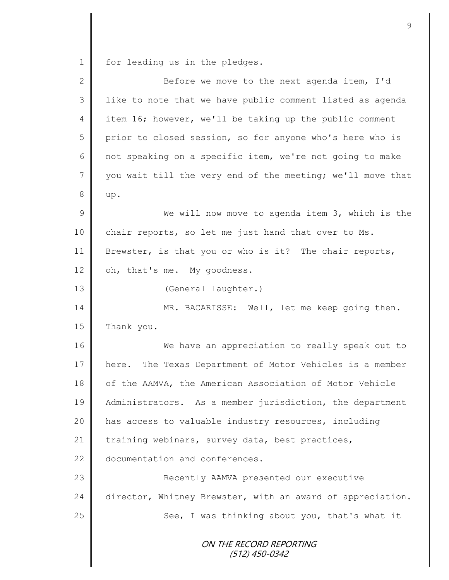1 for leading us in the pledges.

| $\overline{2}$ | Before we move to the next agenda item, I'd                 |
|----------------|-------------------------------------------------------------|
| 3              | like to note that we have public comment listed as agenda   |
| 4              | item 16; however, we'll be taking up the public comment     |
| 5              | prior to closed session, so for anyone who's here who is    |
| 6              | not speaking on a specific item, we're not going to make    |
| 7              | you wait till the very end of the meeting; we'll move that  |
| $8\,$          | up.                                                         |
| 9              | We will now move to agenda item 3, which is the             |
| 10             | chair reports, so let me just hand that over to Ms.         |
| 11             | Brewster, is that you or who is it? The chair reports,      |
| 12             | oh, that's me. My goodness.                                 |
| 13             | (General laughter.)                                         |
| 14             | MR. BACARISSE: Well, let me keep going then.                |
| 15             | Thank you.                                                  |
| 16             | We have an appreciation to really speak out to              |
| 17             | The Texas Department of Motor Vehicles is a member<br>here. |
| 18             | of the AAMVA, the American Association of Motor Vehicle     |
| 19             | Administrators. As a member jurisdiction, the department    |
| 20             | has access to valuable industry resources, including        |
| 21             | training webinars, survey data, best practices,             |
| 22             | documentation and conferences.                              |
| 23             | Recently AAMVA presented our executive                      |
| 24             | director, Whitney Brewster, with an award of appreciation.  |
| 25             | See, I was thinking about you, that's what it               |
|                | ON THE RECORD REPORTING<br>(512) 450-0342                   |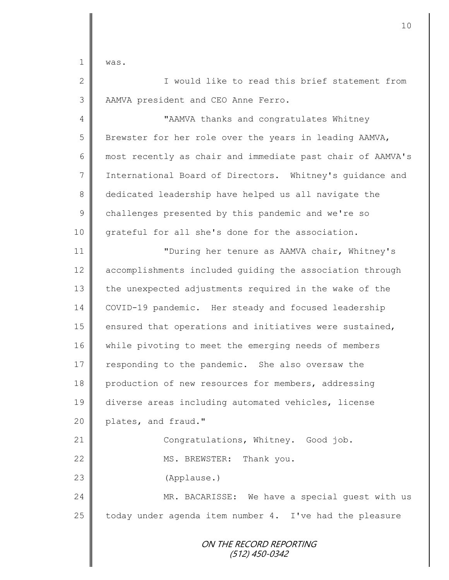1  $\blacksquare$  was.

2 || Twould like to read this brief statement from 3 | AAMVA president and CEO Anne Ferro. 4 **|| "**AAMVA thanks and congratulates Whitney 5 Brewster for her role over the years in leading AAMVA, 6 most recently as chair and immediate past chair of AAMVA's 7 International Board of Directors. Whitney's guidance and 8 dedicated leadership have helped us all navigate the

9 challenges presented by this pandemic and we're so 10 grateful for all she's done for the association.

ON THE RECORD REPORTING 11 "During her tenure as AAMVA chair, Whitney's 12 | accomplishments included quiding the association through 13 the unexpected adjustments required in the wake of the 14 COVID-19 pandemic. Her steady and focused leadership 15 | ensured that operations and initiatives were sustained, 16 while pivoting to meet the emerging needs of members 17 responding to the pandemic. She also oversaw the 18 production of new resources for members, addressing 19 diverse areas including automated vehicles, license 20 **plates**, and fraud." 21 | Congratulations, Whitney. Good job. 22 || MS. BREWSTER: Thank you. 23 (Applause.) 24 MR. BACARISSE: We have a special quest with us 25  $\parallel$  today under agenda item number 4. I've had the pleasure

(512) 450-0342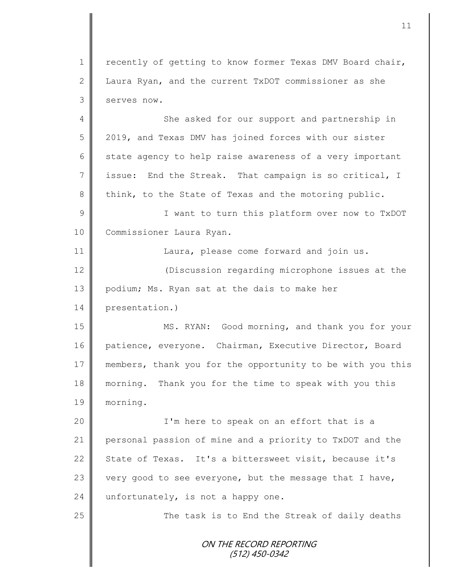1 | recently of getting to know former Texas DMV Board chair, 2 Laura Ryan, and the current TxDOT commissioner as she 3 serves now.

4 She asked for our support and partnership in 5 2019, and Texas DMV has joined forces with our sister  $6 \parallel$  state agency to help raise awareness of a very important 7 issue: End the Streak. That campaign is so critical, I 8 think, to the State of Texas and the motoring public. 9 || I want to turn this platform over now to TxDOT 10 Commissioner Laura Ryan. 11 | Laura, please come forward and join us. 12 **||** (Discussion regarding microphone issues at the

13 | podium; Ms. Ryan sat at the dais to make her

14 presentation.)

15 MS. RYAN: Good morning, and thank you for your 16 patience, everyone. Chairman, Executive Director, Board 17 members, thank you for the opportunity to be with you this 18 morning. Thank you for the time to speak with you this 19 morning.

20 || I'm here to speak on an effort that is a 21 personal passion of mine and a priority to TxDOT and the 22 State of Texas. It's a bittersweet visit, because it's 23 very good to see everyone, but the message that I have, 24 unfortunately, is not a happy one.

 $25$   $\parallel$  The task is to End the Streak of daily deaths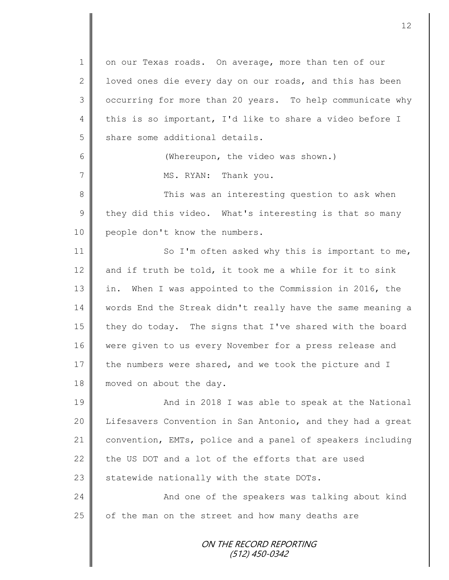ON THE RECORD REPORTING (512) 450-0342 1 on our Texas roads. On average, more than ten of our 2 | loved ones die every day on our roads, and this has been 3 | occurring for more than 20 years. To help communicate why 4 this is so important, I'd like to share a video before I 5 | share some additional details. 6 **(Whereupon, the video was shown.)** 7 || MS. RYAN: Thank you. 8 || This was an interesting question to ask when  $9 \parallel$  they did this video. What's interesting is that so many 10 | people don't know the numbers. 11 | So I'm often asked why this is important to me, 12 and if truth be told, it took me a while for it to sink 13 || in. When I was appointed to the Commission in 2016, the 14 words End the Streak didn't really have the same meaning a 15 they do today. The signs that I've shared with the board 16 | were given to us every November for a press release and 17 the numbers were shared, and we took the picture and I 18 moved on about the day. 19 || And in 2018 I was able to speak at the National 20 | Lifesavers Convention in San Antonio, and they had a great 21 convention, EMTs, police and a panel of speakers including 22 the US DOT and a lot of the efforts that are used 23  $\parallel$  statewide nationally with the state DOTs. 24 | Chang and one of the speakers was talking about kind  $25$  of the man on the street and how many deaths are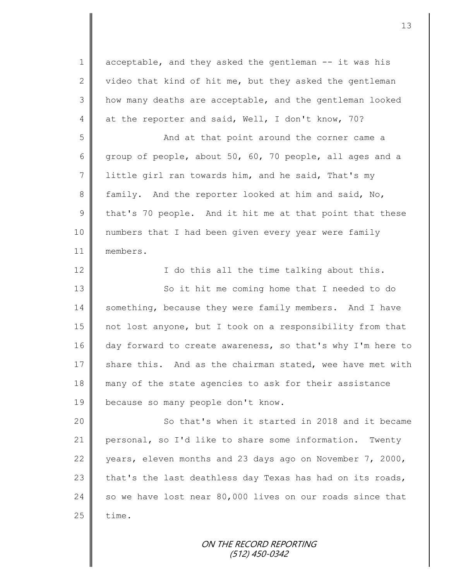1 acceptable, and they asked the gentleman -- it was his 2  $\parallel$  video that kind of hit me, but they asked the gentleman 3 how many deaths are acceptable, and the gentleman looked 4 at the reporter and said, Well, I don't know, 70?

5 || And at that point around the corner came a 6 group of people, about 50, 60, 70 people, all ages and a 7 | little girl ran towards him, and he said, That's my 8 family. And the reporter looked at him and said, No, 9 that's 70 people. And it hit me at that point that these 10 numbers that I had been given every year were family 11 members.

12 || I do this all the time talking about this. 13 || So it hit me coming home that I needed to do 14 something, because they were family members. And I have 15 not lost anyone, but I took on a responsibility from that 16 day forward to create awareness, so that's why I'm here to 17 share this. And as the chairman stated, wee have met with 18 many of the state agencies to ask for their assistance 19 because so many people don't know.

20 || So that's when it started in 2018 and it became 21 personal, so I'd like to share some information. Twenty 22 vears, eleven months and 23 days ago on November 7, 2000, 23 that's the last deathless day Texas has had on its roads, 24 so we have lost near 80,000 lives on our roads since that  $25$  | time.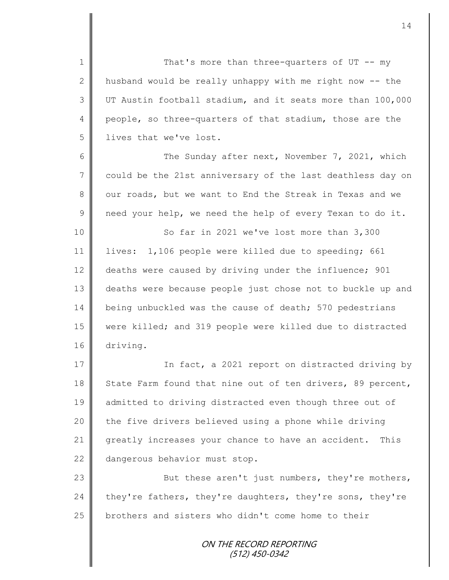1 || That's more than three-quarters of UT -- my 2 | husband would be really unhappy with me right now  $-$  the 3 UT Austin football stadium, and it seats more than 100,000 4 people, so three-quarters of that stadium, those are the 5 | lives that we've lost.

6 || The Sunday after next, November 7, 2021, which 7 could be the 21st anniversary of the last deathless day on 8 our roads, but we want to End the Streak in Texas and we  $9 \parallel$  need your help, we need the help of every Texan to do it.

10 || So far in 2021 we've lost more than 3,300 11 lives: 1,106 people were killed due to speeding; 661 12 deaths were caused by driving under the influence; 901 13 deaths were because people just chose not to buckle up and 14 being unbuckled was the cause of death; 570 pedestrians 15 were killed; and 319 people were killed due to distracted 16 driving.

17 | The fact, a 2021 report on distracted driving by 18 State Farm found that nine out of ten drivers, 89 percent, 19 admitted to driving distracted even though three out of 20  $\parallel$  the five drivers believed using a phone while driving 21 greatly increases your chance to have an accident. This 22 dangerous behavior must stop.

23 || But these aren't just numbers, they're mothers, 24 they're fathers, they're daughters, they're sons, they're 25 brothers and sisters who didn't come home to their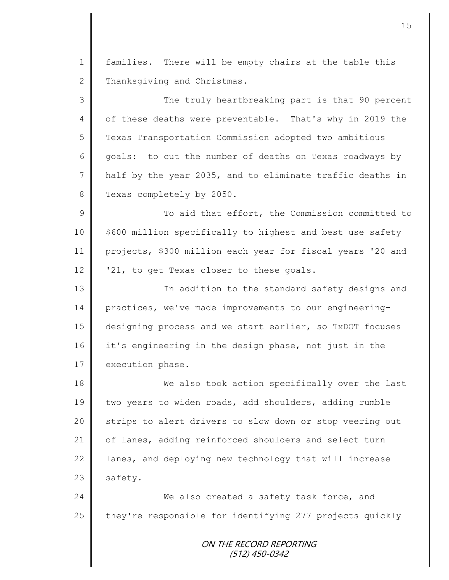1 | families. There will be empty chairs at the table this 2 Thanksgiving and Christmas.

3 || The truly heartbreaking part is that 90 percent 4 | of these deaths were preventable. That's why in 2019 the 5 Texas Transportation Commission adopted two ambitious 6 goals: to cut the number of deaths on Texas roadways by 7 | half by the year 2035, and to eliminate traffic deaths in 8 Texas completely by 2050.

9 || To aid that effort, the Commission committed to  $10 \parallel$  \$600 million specifically to highest and best use safety 11 projects, \$300 million each year for fiscal years '20 and 12  $\parallel$  '21, to get Texas closer to these goals.

13 || In addition to the standard safety designs and 14 practices, we've made improvements to our engineering-15 designing process and we start earlier, so TxDOT focuses 16 it's engineering in the design phase, not just in the 17 execution phase.

18 We also took action specifically over the last 19 two years to widen roads, add shoulders, adding rumble 20 || strips to alert drivers to slow down or stop veering out 21 of lanes, adding reinforced shoulders and select turn 22 | lanes, and deploying new technology that will increase  $23$  safety.

24 We also created a safety task force, and  $25$  they're responsible for identifying 277 projects quickly

> ON THE RECORD REPORTING (512) 450-0342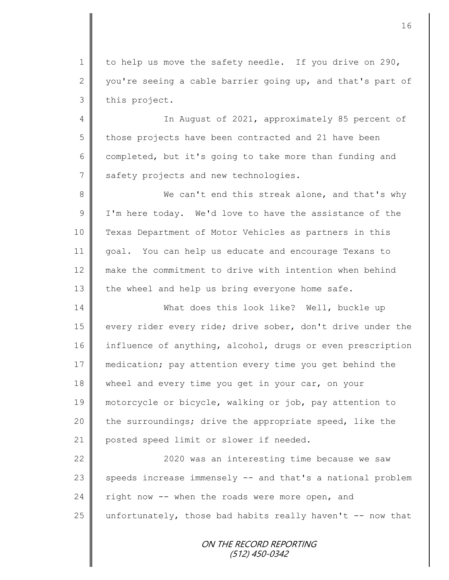1 to help us move the safety needle. If you drive on 290, 2 you're seeing a cable barrier going up, and that's part of 3 | this project.

4 || In August of 2021, approximately 85 percent of 5 those projects have been contracted and 21 have been 6 completed, but it's going to take more than funding and 7 safety projects and new technologies.

8 We can't end this streak alone, and that's why 9 | I'm here today. We'd love to have the assistance of the 10 Texas Department of Motor Vehicles as partners in this 11 goal. You can help us educate and encourage Texans to 12 make the commitment to drive with intention when behind 13 the wheel and help us bring everyone home safe.

14 What does this look like? Well, buckle up 15 every rider every ride; drive sober, don't drive under the 16 influence of anything, alcohol, drugs or even prescription 17 medication; pay attention every time you get behind the 18 wheel and every time you get in your car, on your 19 motorcycle or bicycle, walking or job, pay attention to 20  $\parallel$  the surroundings; drive the appropriate speed, like the 21 | posted speed limit or slower if needed.

22 | 2020 was an interesting time because we saw 23 speeds increase immensely -- and that's a national problem 24  $\parallel$  right now -- when the roads were more open, and 25  $\parallel$  unfortunately, those bad habits really haven't -- now that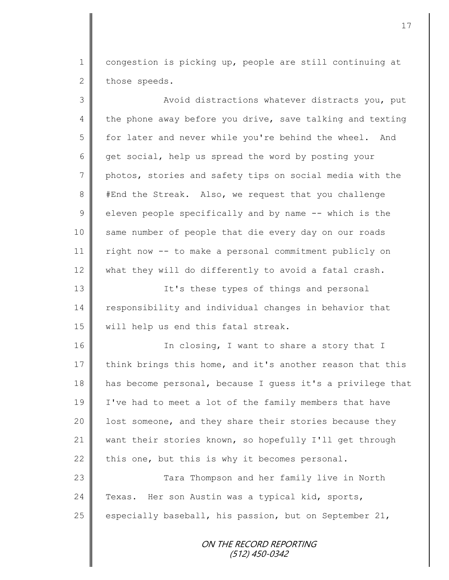1 | congestion is picking up, people are still continuing at 2 those speeds.

3 || Avoid distractions whatever distracts you, put 4 the phone away before you drive, save talking and texting 5 for later and never while you're behind the wheel. And 6 get social, help us spread the word by posting your 7 photos, stories and safety tips on social media with the 8 #End the Streak. Also, we request that you challenge  $9 \parallel$  eleven people specifically and by name -- which is the 10 same number of people that die every day on our roads 11 right now -- to make a personal commitment publicly on 12 what they will do differently to avoid a fatal crash. 13 || It's these types of things and personal 14 responsibility and individual changes in behavior that 15 | will help us end this fatal streak. 16 || In closing, I want to share a story that I 17 think brings this home, and it's another reason that this 18 has become personal, because I guess it's a privilege that 19 I've had to meet a lot of the family members that have 20 | lost someone, and they share their stories because they 21 want their stories known, so hopefully I'll get through 22 this one, but this is why it becomes personal. 23 || Tara Thompson and her family live in North 24 | Texas. Her son Austin was a typical kid, sports, 25  $\parallel$  especially baseball, his passion, but on September 21,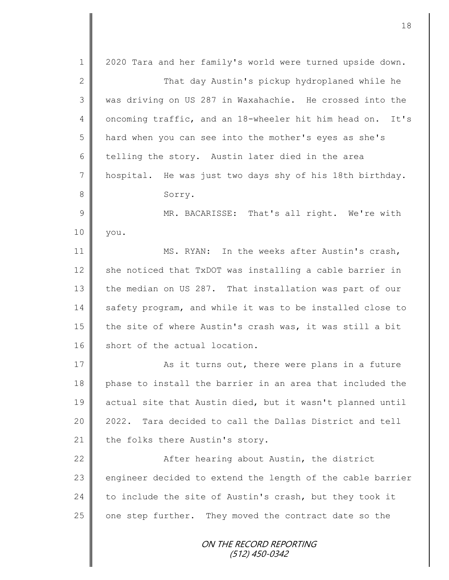ON THE RECORD REPORTING (512) 450-0342 1 | 2020 Tara and her family's world were turned upside down. 2 That day Austin's pickup hydroplaned while he 3 || was driving on US 287 in Waxahachie. He crossed into the 4 | oncoming traffic, and an 18-wheeler hit him head on. It's 5 || hard when you can see into the mother's eyes as she's 6 telling the story. Austin later died in the area 7 hospital. He was just two days shy of his 18th birthday. 8 Sorry. 9 || MR. BACARISSE: That's all right. We're with 10 you. 11 MS. RYAN: In the weeks after Austin's crash, 12  $\parallel$  she noticed that TxDOT was installing a cable barrier in 13 the median on US 287. That installation was part of our 14 safety program, and while it was to be installed close to 15 the site of where Austin's crash was, it was still a bit 16 short of the actual location. 17 || As it turns out, there were plans in a future 18 phase to install the barrier in an area that included the 19 actual site that Austin died, but it wasn't planned until 20 | 2022. Tara decided to call the Dallas District and tell 21 the folks there Austin's story. 22 | After hearing about Austin, the district 23 engineer decided to extend the length of the cable barrier 24 to include the site of Austin's crash, but they took it 25 one step further. They moved the contract date so the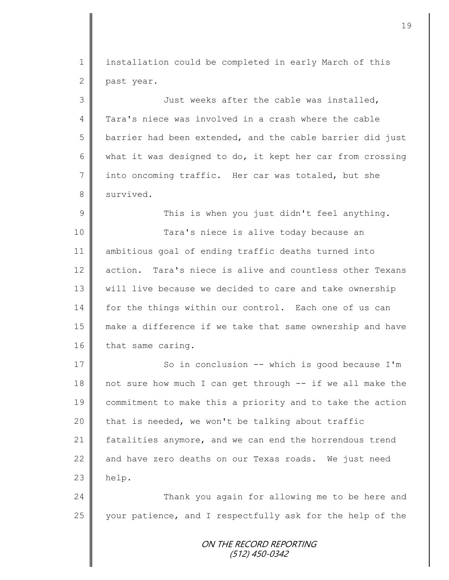ON THE RECORD REPORTING (512) 450-0342 1 | installation could be completed in early March of this 2 past year. 3 Just weeks after the cable was installed, 4 Tara's niece was involved in a crash where the cable  $5 \parallel$  barrier had been extended, and the cable barrier did just 6 what it was designed to do, it kept her car from crossing 7 into oncoming traffic. Her car was totaled, but she 8 survived. 9 || This is when you just didn't feel anything. 10 || Tara's niece is alive today because an 11 ambitious goal of ending traffic deaths turned into 12 action. Tara's niece is alive and countless other Texans 13 will live because we decided to care and take ownership 14 for the things within our control. Each one of us can 15 make a difference if we take that same ownership and have 16 that same caring. 17 || So in conclusion -- which is good because I'm 18 not sure how much I can get through -- if we all make the 19 commitment to make this a priority and to take the action  $20$  that is needed, we won't be talking about traffic 21 fatalities anymore, and we can end the horrendous trend 22 and have zero deaths on our Texas roads. We just need  $23$  help. 24 Thank you again for allowing me to be here and 25 your patience, and I respectfully ask for the help of the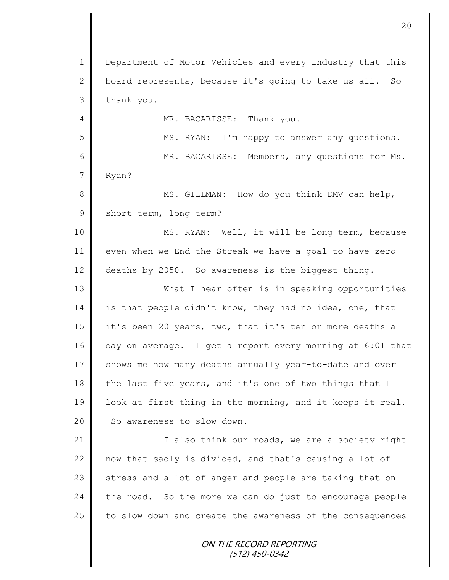ON THE RECORD REPORTING (512) 450-0342 1 | Department of Motor Vehicles and every industry that this 2 board represents, because it's going to take us all. So  $3$  thank you. 4 MR. BACARISSE: Thank you. 5 MS. RYAN: I'm happy to answer any questions. 6 || MR. BACARISSE: Members, any questions for Ms. 7 Ryan? 8 || MS. GILLMAN: How do you think DMV can help, 9 short term, long term? 10 || MS. RYAN: Well, it will be long term, because 11 even when we End the Streak we have a goal to have zero 12 deaths by 2050. So awareness is the biggest thing. 13 What I hear often is in speaking opportunities 14 is that people didn't know, they had no idea, one, that 15 it's been 20 years, two, that it's ten or more deaths a 16 day on average. I get a report every morning at 6:01 that 17 shows me how many deaths annually year-to-date and over 18 the last five years, and it's one of two things that I 19 look at first thing in the morning, and it keeps it real. 20 So awareness to slow down. 21 | Calso think our roads, we are a society right 22  $\parallel$  now that sadly is divided, and that's causing a lot of 23  $\parallel$  stress and a lot of anger and people are taking that on  $24$  the road. So the more we can do just to encourage people 25 to slow down and create the awareness of the consequences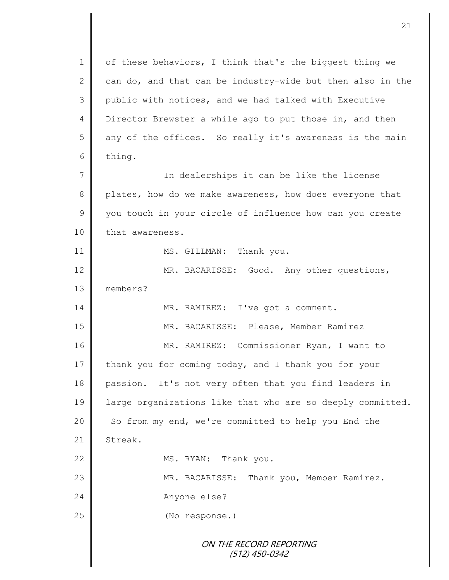ON THE RECORD REPORTING (512) 450-0342 1 | of these behaviors, I think that's the biggest thing we 2 can do, and that can be industry-wide but then also in the 3 public with notices, and we had talked with Executive 4 Director Brewster a while ago to put those in, and then  $5 \parallel$  any of the offices. So really it's awareness is the main 6 thing. 7 || The dealerships it can be like the license 8 plates, how do we make awareness, how does everyone that 9 you touch in your circle of influence how can you create 10 that awareness. 11 | MS. GILLMAN: Thank you. 12 MR. BACARISSE: Good. Any other questions, 13 members? 14 | MR. RAMIREZ: I've got a comment. 15 MR. BACARISSE: Please, Member Ramirez 16 MR. RAMIREZ: Commissioner Ryan, I want to 17 thank you for coming today, and I thank you for your 18 passion. It's not very often that you find leaders in 19 | large organizations like that who are so deeply committed. 20 So from my end, we're committed to help you End the 21 | Streak. 22 MS. RYAN: Thank you. 23 | MR. BACARISSE: Thank you, Member Ramirez. 24 Anyone else? 25 (No response.)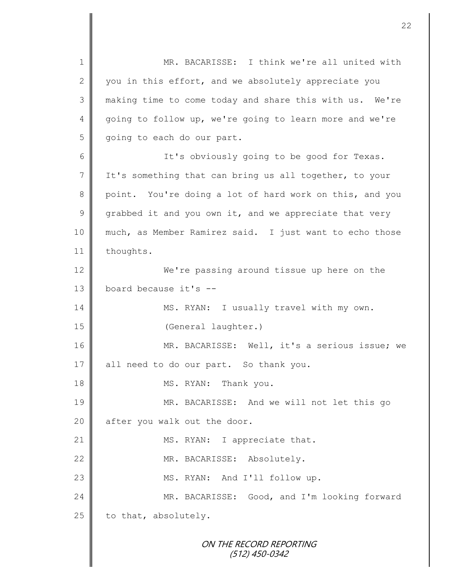ON THE RECORD REPORTING (512) 450-0342 1 || MR. BACARISSE: I think we're all united with 2 you in this effort, and we absolutely appreciate you 3 making time to come today and share this with us. We're 4 going to follow up, we're going to learn more and we're  $5 \parallel$  going to each do our part. 6 || It's obviously going to be good for Texas. 7 I It's something that can bring us all together, to your 8 point. You're doing a lot of hard work on this, and you 9 grabbed it and you own it, and we appreciate that very 10 much, as Member Ramirez said. I just want to echo those 11 | thoughts. 12 We're passing around tissue up here on the 13  $\parallel$  board because it's --14 | MS. RYAN: I usually travel with my own. 15 | (General laughter.) 16 MR. BACARISSE: Well, it's a serious issue; we 17 || all need to do our part. So thank you. 18 MS. RYAN: Thank you. 19 MR. BACARISSE: And we will not let this go 20 after you walk out the door. 21 MS. RYAN: I appreciate that. 22 || MR. BACARISSE: Absolutely. 23 || MS. RYAN: And I'll follow up. 24 MR. BACARISSE: Good, and I'm looking forward 25  $\parallel$  to that, absolutely.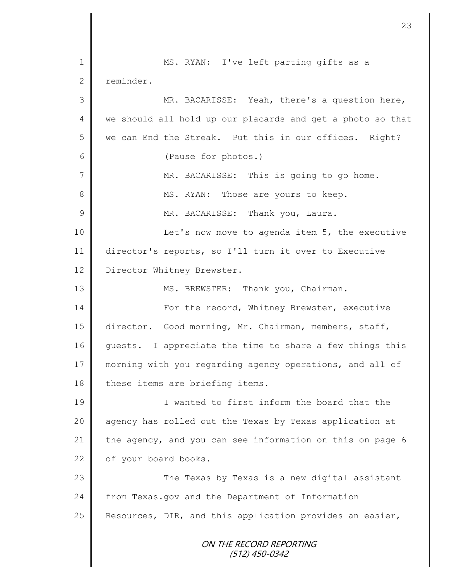ON THE RECORD REPORTING (512) 450-0342 1 || MS. RYAN: I've left parting gifts as a 2 reminder. 3 MR. BACARISSE: Yeah, there's a question here, 4 we should all hold up our placards and get a photo so that 5 we can End the Streak. Put this in our offices. Right? 6 (Pause for photos.) 7 MR. BACARISSE: This is going to go home. 8 || MS. RYAN: Those are yours to keep. 9 || MR. BACARISSE: Thank you, Laura. 10 | Let's now move to agenda item 5, the executive 11 director's reports, so I'll turn it over to Executive 12 Director Whitney Brewster. 13 || MS. BREWSTER: Thank you, Chairman. 14 For the record, Whitney Brewster, executive 15 director. Good morning, Mr. Chairman, members, staff, 16 guests. I appreciate the time to share a few things this 17 morning with you regarding agency operations, and all of  $18$  these items are briefing items. 19 I wanted to first inform the board that the 20 | agency has rolled out the Texas by Texas application at 21 the agency, and you can see information on this on page 6 22 of your board books. 23 The Texas by Texas is a new digital assistant 24 from Texas.gov and the Department of Information 25  $\parallel$  Resources, DIR, and this application provides an easier,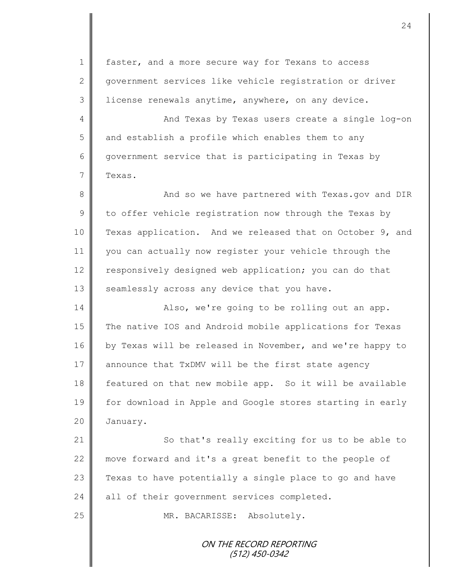ON THE RECORD REPORTING 1 | faster, and a more secure way for Texans to access 2 government services like vehicle registration or driver 3 license renewals anytime, anywhere, on any device. 4 And Texas by Texas users create a single log-on 5 and establish a profile which enables them to any 6 government service that is participating in Texas by 7 Texas. 8 And so we have partnered with Texas.gov and DIR  $9 \parallel$  to offer vehicle registration now through the Texas by 10 Texas application. And we released that on October 9, and 11 you can actually now register your vehicle through the 12 responsively designed web application; you can do that 13  $\parallel$  seamlessly across any device that you have. 14 | Also, we're going to be rolling out an app. 15 The native IOS and Android mobile applications for Texas 16 by Texas will be released in November, and we're happy to 17 announce that TxDMV will be the first state agency 18 Featured on that new mobile app. So it will be available 19 for download in Apple and Google stores starting in early 20 January. 21 | So that's really exciting for us to be able to 22 move forward and it's a great benefit to the people of 23  $\parallel$  Texas to have potentially a single place to go and have 24 all of their government services completed. 25 || MR. BACARISSE: Absolutely.

(512) 450-0342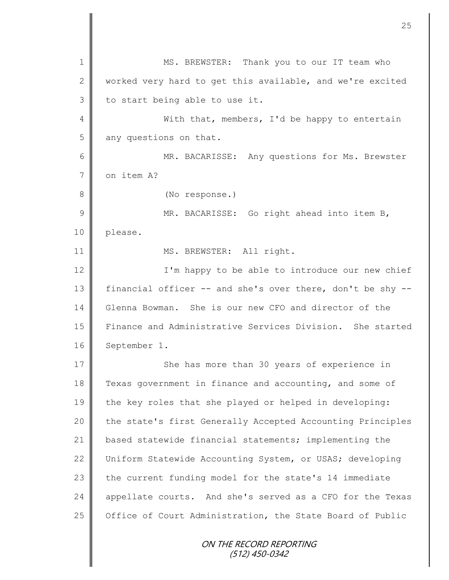ON THE RECORD REPORTING (512) 450-0342 1 || MS. BREWSTER: Thank you to our IT team who 2 worked very hard to get this available, and we're excited  $3$  to start being able to use it. 4 With that, members, I'd be happy to entertain 5 any questions on that. 6 MR. BACARISSE: Any questions for Ms. Brewster 7 on item A? 8 (No response.) 9 || MR. BACARISSE: Go right ahead into item B, 10 please. 11 || MS. BREWSTER: All right. 12 | I'm happy to be able to introduce our new chief 13 | financial officer -- and she's over there, don't be shy --14 Glenna Bowman. She is our new CFO and director of the 15 Finance and Administrative Services Division. She started 16 September 1. 17 She has more than 30 years of experience in 18 Texas government in finance and accounting, and some of 19 the key roles that she played or helped in developing: 20 the state's first Generally Accepted Accounting Principles 21 based statewide financial statements; implementing the 22 Uniform Statewide Accounting System, or USAS; developing 23  $\parallel$  the current funding model for the state's 14 immediate 24 appellate courts. And she's served as a CFO for the Texas 25 | Office of Court Administration, the State Board of Public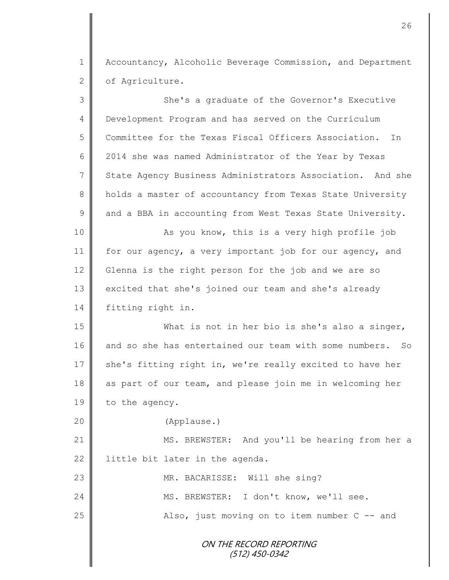1 Accountancy, Alcoholic Beverage Commission, and Department 2 of Agriculture.

| 3             | She's a graduate of the Governor's Executive               |
|---------------|------------------------------------------------------------|
| 4             | Development Program and has served on the Curriculum       |
| 5             | Committee for the Texas Fiscal Officers Association.<br>In |
| 6             | 2014 she was named Administrator of the Year by Texas      |
| 7             | State Agency Business Administrators Association. And she  |
| $\,8\,$       | holds a master of accountancy from Texas State University  |
| $\mathcal{G}$ | and a BBA in accounting from West Texas State University.  |
| 10            | As you know, this is a very high profile job               |
| 11            | for our agency, a very important job for our agency, and   |
| 12            | Glenna is the right person for the job and we are so       |
| 13            | excited that she's joined our team and she's already       |
| 14            | fitting right in.                                          |
| 15            | What is not in her bio is she's also a singer,             |
| 16            | and so she has entertained our team with some numbers. So  |
| 17            | she's fitting right in, we're really excited to have her   |
| 18            | as part of our team, and please join me in welcoming her   |
| 19            | to the agency.                                             |
| 20            | (Applause.)                                                |
| 21            | MS. BREWSTER: And you'll be hearing from her a             |
| 22            | little bit later in the agenda.                            |
| 23            | MR. BACARISSE: Will she sing?                              |
| 24            | MS. BREWSTER: I don't know, we'll see.                     |
| 25            | Also, just moving on to item number $C$ -- and             |
|               | ON THE RECORD REPORTING<br>(512) 450-0342                  |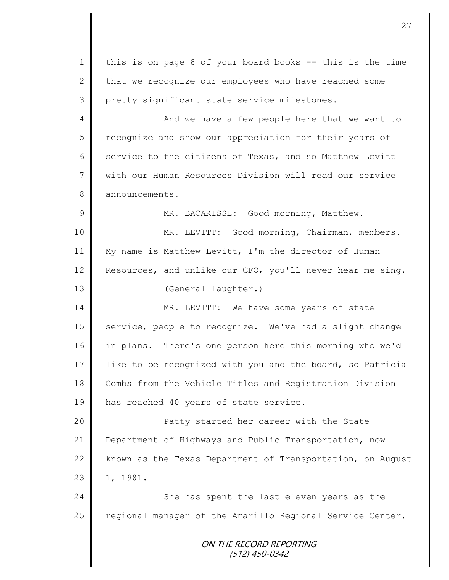ON THE RECORD REPORTING (512) 450-0342 1 | this is on page 8 of your board books -- this is the time 2  $\parallel$  that we recognize our employees who have reached some 3 pretty significant state service milestones. 4 || And we have a few people here that we want to 5 Tecognize and show our appreciation for their years of 6 service to the citizens of Texas, and so Matthew Levitt 7 || with our Human Resources Division will read our service 8 announcements. 9 || MR. BACARISSE: Good morning, Matthew. 10 || MR. LEVITT: Good morning, Chairman, members. 11 My name is Matthew Levitt, I'm the director of Human 12 Resources, and unlike our CFO, you'll never hear me sing. 13 | (General laughter.) 14 MR. LEVITT: We have some years of state 15 | service, people to recognize. We've had a slight change 16 in plans. There's one person here this morning who we'd 17 like to be recognized with you and the board, so Patricia 18 Combs from the Vehicle Titles and Registration Division 19 || has reached 40 years of state service. 20 Patty started her career with the State 21 Department of Highways and Public Transportation, now 22 known as the Texas Department of Transportation, on August  $23 \parallel 1, 1981.$ 24 She has spent the last eleven years as the 25 | regional manager of the Amarillo Regional Service Center.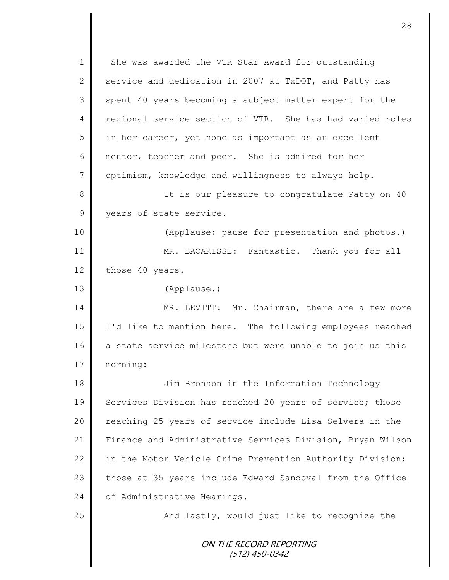ON THE RECORD REPORTING (512) 450-0342 1 She was awarded the VTR Star Award for outstanding 2 service and dedication in 2007 at TxDOT, and Patty has 3 spent 40 years becoming a subject matter expert for the 4 regional service section of VTR. She has had varied roles 5 || in her career, yet none as important as an excellent 6 mentor, teacher and peer. She is admired for her 7 | optimism, knowledge and willingness to always help. 8 || It is our pleasure to congratulate Patty on 40 9 years of state service. 10 || (Applause; pause for presentation and photos.) 11 MR. BACARISSE: Fantastic. Thank you for all 12 those 40 years. 13 (Applause.) 14 MR. LEVITT: Mr. Chairman, there are a few more 15 I'd like to mention here. The following employees reached 16 a state service milestone but were unable to join us this 17 morning: 18 || Jim Bronson in the Information Technology 19 Services Division has reached 20 years of service; those 20 || reaching 25 years of service include Lisa Selvera in the 21 Finance and Administrative Services Division, Bryan Wilson 22 | in the Motor Vehicle Crime Prevention Authority Division; 23 those at 35 years include Edward Sandoval from the Office 24 | of Administrative Hearings. 25 | And lastly, would just like to recognize the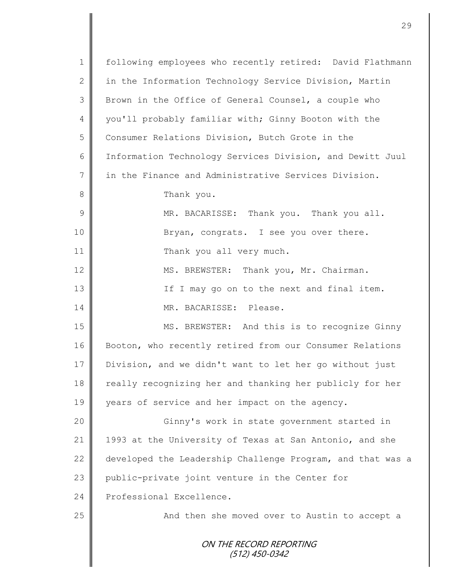| $\mathbf 1$   | following employees who recently retired: David Flathmann  |
|---------------|------------------------------------------------------------|
| $\mathbf{2}$  | in the Information Technology Service Division, Martin     |
| 3             | Brown in the Office of General Counsel, a couple who       |
| 4             | you'll probably familiar with; Ginny Booton with the       |
| 5             | Consumer Relations Division, Butch Grote in the            |
| 6             | Information Technology Services Division, and Dewitt Juul  |
| 7             | in the Finance and Administrative Services Division.       |
| $8\,$         | Thank you.                                                 |
| $\mathcal{G}$ | MR. BACARISSE: Thank you. Thank you all.                   |
| 10            | Bryan, congrats. I see you over there.                     |
| 11            | Thank you all very much.                                   |
| 12            | MS. BREWSTER: Thank you, Mr. Chairman.                     |
| 13            | If I may go on to the next and final item.                 |
| 14            | MR. BACARISSE: Please.                                     |
| 15            | MS. BREWSTER: And this is to recognize Ginny               |
| 16            | Booton, who recently retired from our Consumer Relations   |
| 17            | Division, and we didn't want to let her go without just    |
| 18            | really recognizing her and thanking her publicly for her   |
| 19            | years of service and her impact on the agency.             |
| 20            | Ginny's work in state government started in                |
| 21            | 1993 at the University of Texas at San Antonio, and she    |
| 22            | developed the Leadership Challenge Program, and that was a |
| 23            | public-private joint venture in the Center for             |
| 24            | Professional Excellence.                                   |
| 25            | And then she moved over to Austin to accept a              |
|               | ON THE RECORD REPORTING<br>$(512)$ 450-0342                |

 $\mathbf l$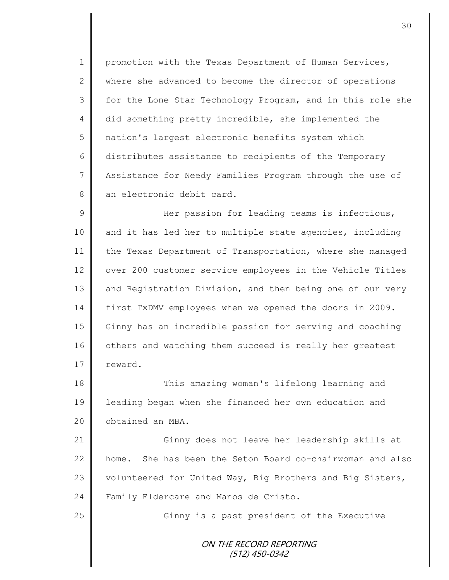1 | promotion with the Texas Department of Human Services, 2 where she advanced to become the director of operations 3 for the Lone Star Technology Program, and in this role she 4 did something pretty incredible, she implemented the 5 nation's largest electronic benefits system which 6 distributes assistance to recipients of the Temporary 7 Assistance for Needy Families Program through the use of 8 an electronic debit card.

9 Her passion for leading teams is infectious, 10 || and it has led her to multiple state agencies, including 11 the Texas Department of Transportation, where she managed 12 | over 200 customer service employees in the Vehicle Titles 13 and Registration Division, and then being one of our very 14 first TxDMV employees when we opened the doors in 2009. 15 Ginny has an incredible passion for serving and coaching 16 | others and watching them succeed is really her greatest 17 | reward.

18 This amazing woman's lifelong learning and 19 leading began when she financed her own education and 20 | obtained an MBA.

21 Ginny does not leave her leadership skills at 22 | home. She has been the Seton Board co-chairwoman and also 23 volunteered for United Way, Big Brothers and Big Sisters, 24 Family Eldercare and Manos de Cristo.

25 || Ginny is a past president of the Executive

ON THE RECORD REPORTING (512) 450-0342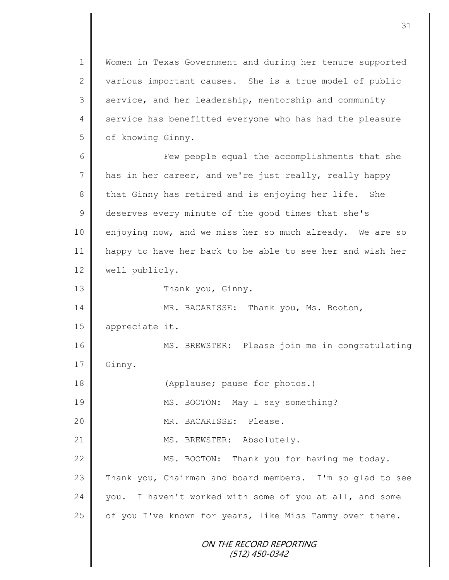1 Women in Texas Government and during her tenure supported 2 various important causes. She is a true model of public 3 service, and her leadership, mentorship and community 4 service has benefitted everyone who has had the pleasure 5 | of knowing Ginny.

6 Few people equal the accomplishments that she 7 has in her career, and we're just really, really happy 8 that Ginny has retired and is enjoying her life. She 9 deserves every minute of the good times that she's 10 enjoying now, and we miss her so much already. We are so 11 happy to have her back to be able to see her and wish her 12 | well publicly.

13 | Thank you, Ginny.

14 MR. BACARISSE: Thank you, Ms. Booton, 15 appreciate it.

16 MS. BREWSTER: Please join me in congratulating 17 Ginny.

18 (Applause; pause for photos.)

19 || MS. BOOTON: May I say something?

20 MR. BACARISSE: Please.

21 || MS. BREWSTER: Absolutely.

22 MS. BOOTON: Thank you for having me today. 23 Thank you, Chairman and board members. I'm so glad to see  $24$  you. I haven't worked with some of you at all, and some 25  $\parallel$  of you I've known for years, like Miss Tammy over there.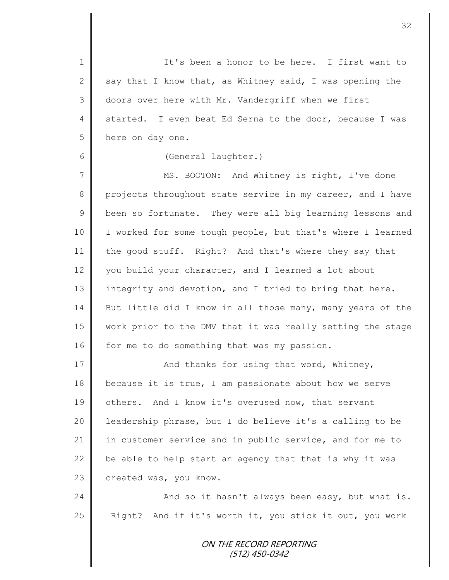ON THE RECORD REPORTING 1 || It's been a honor to be here. I first want to 2 say that I know that, as Whitney said, I was opening the 3 doors over here with Mr. Vandergriff when we first 4 started. I even beat Ed Serna to the door, because I was 5 here on day one. 6 (General laughter.) 7 || MS. BOOTON: And Whitney is right, I've done 8 projects throughout state service in my career, and I have  $9 \parallel$  been so fortunate. They were all big learning lessons and 10 | I worked for some tough people, but that's where I learned 11 the good stuff. Right? And that's where they say that 12 vou build your character, and I learned a lot about 13 integrity and devotion, and I tried to bring that here. 14 But little did I know in all those many, many years of the 15 work prior to the DMV that it was really setting the stage 16  $\parallel$  for me to do something that was my passion. 17 | And thanks for using that word, Whitney, 18 because it is true, I am passionate about how we serve 19 others. And I know it's overused now, that servant 20 | leadership phrase, but I do believe it's a calling to be 21 in customer service and in public service, and for me to 22  $\parallel$  be able to help start an agency that that is why it was 23 created was, you know. 24 | And so it hasn't always been easy, but what is. 25 | Right? And if it's worth it, you stick it out, you work

(512) 450-0342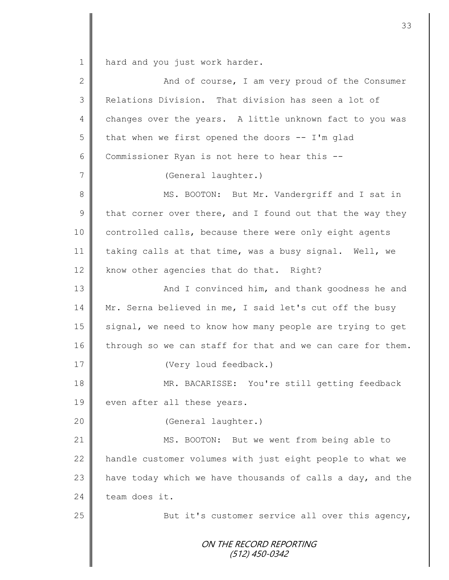1 hard and you just work harder.

| $\overline{2}$ | And of course, I am very proud of the Consumer             |
|----------------|------------------------------------------------------------|
| 3              | Relations Division. That division has seen a lot of        |
| 4              | changes over the years. A little unknown fact to you was   |
| 5              | that when we first opened the doors $-$ I'm glad           |
| 6              | Commissioner Ryan is not here to hear this --              |
| 7              | (General laughter.)                                        |
| 8              | MS. BOOTON: But Mr. Vandergriff and I sat in               |
| $\mathsf 9$    | that corner over there, and I found out that the way they  |
| 10             | controlled calls, because there were only eight agents     |
| 11             | taking calls at that time, was a busy signal. Well, we     |
| 12             | know other agencies that do that. Right?                   |
| 13             | And I convinced him, and thank goodness he and             |
| 14             | Mr. Serna believed in me, I said let's cut off the busy    |
| 15             | signal, we need to know how many people are trying to get  |
| 16             | through so we can staff for that and we can care for them. |
| 17             | (Very loud feedback.)                                      |
| 18             | MR. BACARISSE: You're still getting feedback               |
| 19             | even after all these years.                                |
| 20             | (General laughter.)                                        |
| 21             | MS. BOOTON: But we went from being able to                 |
| 22             | handle customer volumes with just eight people to what we  |
| 23             | have today which we have thousands of calls a day, and the |
| 24             | team does it.                                              |
| 25             | But it's customer service all over this agency,            |
|                | ON THE RECORD REPORTING<br>(512) 450-0342                  |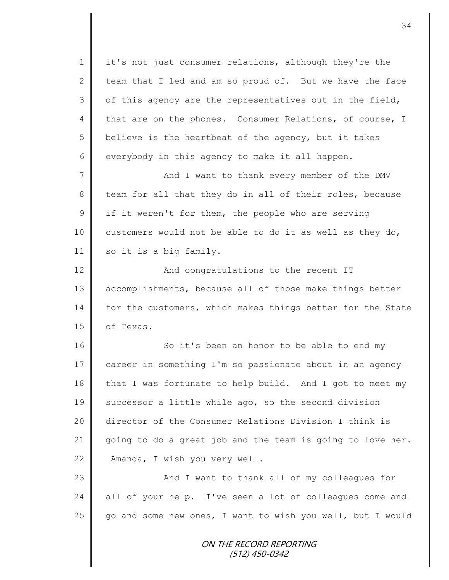1 | it's not just consumer relations, although they're the 2 team that I led and am so proud of. But we have the face  $3 \parallel$  of this agency are the representatives out in the field, 4 that are on the phones. Consumer Relations, of course, I 5 believe is the heartbeat of the agency, but it takes 6 everybody in this agency to make it all happen. 7 And I want to thank every member of the DMV 8 team for all that they do in all of their roles, because  $9 \parallel$  if it weren't for them, the people who are serving 10 customers would not be able to do it as well as they do, 11 so it is a big family. 12  $\parallel$  And congratulations to the recent IT 13 accomplishments, because all of those make things better 14 for the customers, which makes things better for the State 15 | of Texas. 16 || So it's been an honor to be able to end my 17 career in something I'm so passionate about in an agency 18 that I was fortunate to help build. And I got to meet my 19 successor a little while ago, so the second division 20 director of the Consumer Relations Division I think is 21  $\parallel$  going to do a great job and the team is going to love her. 22 **Amanda**, I wish you very well. 23 || And I want to thank all of my colleagues for 24 || all of your help. I've seen a lot of colleagues come and 25 go and some new ones, I want to wish you well, but I would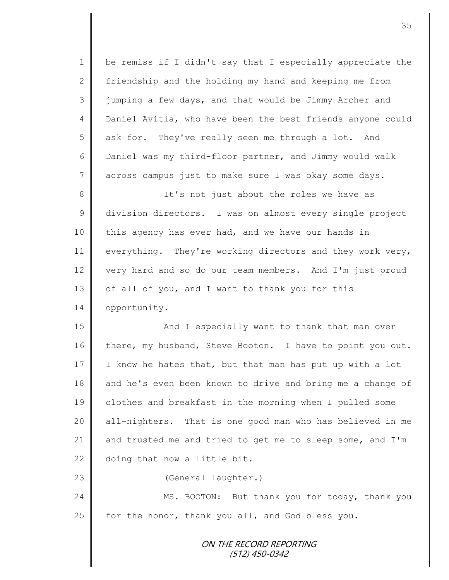1 | be remiss if I didn't say that I especially appreciate the 2  $\parallel$  friendship and the holding my hand and keeping me from 3 | jumping a few days, and that would be Jimmy Archer and 4 Daniel Avitia, who have been the best friends anyone could 5 ask for. They've really seen me through a lot. And 6 Daniel was my third-floor partner, and Jimmy would walk 7 across campus just to make sure I was okay some days. 8 || It's not just about the roles we have as 9 division directors. I was on almost every single project 10 this agency has ever had, and we have our hands in 11 everything. They're working directors and they work very, 12 very hard and so do our team members. And I'm just proud 13 of all of you, and I want to thank you for this 14 opportunity. 15 || And I especially want to thank that man over 16 there, my husband, Steve Booton. I have to point you out. 17 I know he hates that, but that man has put up with a lot 18 and he's even been known to drive and bring me a change of 19 clothes and breakfast in the morning when I pulled some 20 | all-nighters. That is one good man who has believed in me 21 and trusted me and tried to get me to sleep some, and I'm 22 doing that now a little bit.

23 | (General laughter.)

24 MS. BOOTON: But thank you for today, thank you 25  $\parallel$  for the honor, thank you all, and God bless you.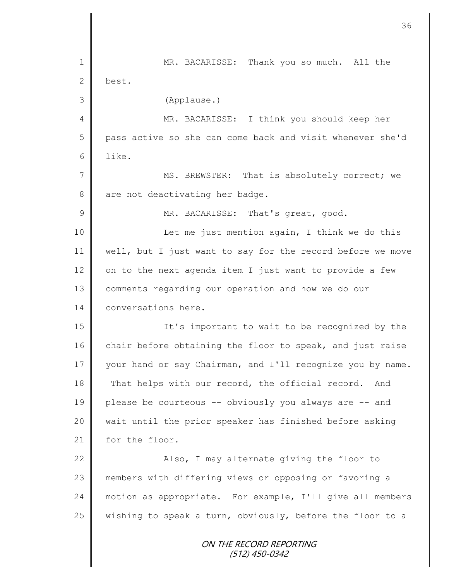ON THE RECORD REPORTING (512) 450-0342 1 || MR. BACARISSE: Thank you so much. All the 2 best. 3 (Applause.) 4 || MR. BACARISSE: I think you should keep her 5 || pass active so she can come back and visit whenever she'd 6 like. 7 MS. BREWSTER: That is absolutely correct; we  $8 \parallel$  are not deactivating her badge. 9 MR. BACARISSE: That's great, good. 10 || Let me just mention again, I think we do this 11 | well, but I just want to say for the record before we move 12  $\parallel$  on to the next agenda item I just want to provide a few 13 comments regarding our operation and how we do our 14 conversations here. 15 It's important to wait to be recognized by the 16 chair before obtaining the floor to speak, and just raise 17 your hand or say Chairman, and I'll recognize you by name. 18 That helps with our record, the official record. And 19 please be courteous -- obviously you always are -- and 20 wait until the prior speaker has finished before asking 21 for the floor. 22 | Kalso, I may alternate giving the floor to 23 members with differing views or opposing or favoring a 24 motion as appropriate. For example, I'll give all members 25  $\parallel$  wishing to speak a turn, obviously, before the floor to a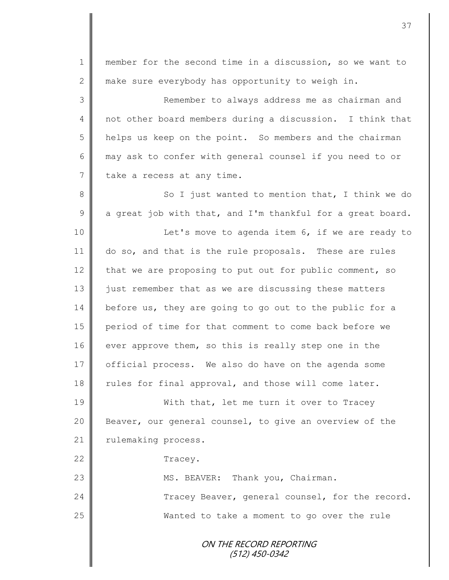| $\mathbf 1$    | member for the second time in a discussion, so we want to  |
|----------------|------------------------------------------------------------|
| 2              | make sure everybody has opportunity to weigh in.           |
| 3              | Remember to always address me as chairman and              |
| $\overline{4}$ | not other board members during a discussion. I think that  |
| 5              | helps us keep on the point. So members and the chairman    |
| 6              | may ask to confer with general counsel if you need to or   |
| $7\phantom{.}$ | take a recess at any time.                                 |
| $\,8\,$        | So I just wanted to mention that, I think we do            |
| $\overline{9}$ | a great job with that, and I'm thankful for a great board. |
| 10             | Let's move to agenda item 6, if we are ready to            |
| 11             | do so, and that is the rule proposals. These are rules     |
| 12             | that we are proposing to put out for public comment, so    |
| 13             | just remember that as we are discussing these matters      |
| 14             | before us, they are going to go out to the public for a    |
| 15             | period of time for that comment to come back before we     |
| 16             | ever approve them, so this is really step one in the       |
| 17             | official process. We also do have on the agenda some       |
| 18             | rules for final approval, and those will come later.       |
| 19             | With that, let me turn it over to Tracey                   |
| 20             | Beaver, our general counsel, to give an overview of the    |
| 21             | rulemaking process.                                        |
| 22             | Tracey.                                                    |
| 23             | MS. BEAVER: Thank you, Chairman.                           |
| 24             | Tracey Beaver, general counsel, for the record.            |
| 25             | Wanted to take a moment to go over the rule                |
|                | ON THE RECORD REPORTING<br>$(512)$ 450-0342                |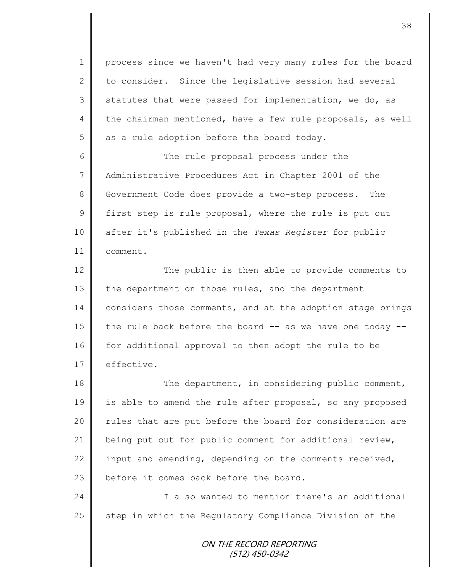1 | process since we haven't had very many rules for the board 2 to consider. Since the legislative session had several  $3 \parallel$  statutes that were passed for implementation, we do, as 4 the chairman mentioned, have a few rule proposals, as well  $5$  as a rule adoption before the board today.

6 || The rule proposal process under the 7 | Administrative Procedures Act in Chapter 2001 of the 8 Government Code does provide a two-step process. The  $9 \parallel$  first step is rule proposal, where the rule is put out 10 after it's published in the *Texas Register* for public 11 comment.

12 The public is then able to provide comments to 13 the department on those rules, and the department 14 considers those comments, and at the adoption stage brings 15  $\parallel$  the rule back before the board -- as we have one today --16 for additional approval to then adopt the rule to be  $17 \parallel$  effective.

18 The department, in considering public comment, 19 is able to amend the rule after proposal, so any proposed 20 | rules that are put before the board for consideration are 21 | being put out for public comment for additional review, 22 input and amending, depending on the comments received, 23  $\parallel$  before it comes back before the board.

24 | Chamber 1 also wanted to mention there's an additional 25 step in which the Regulatory Compliance Division of the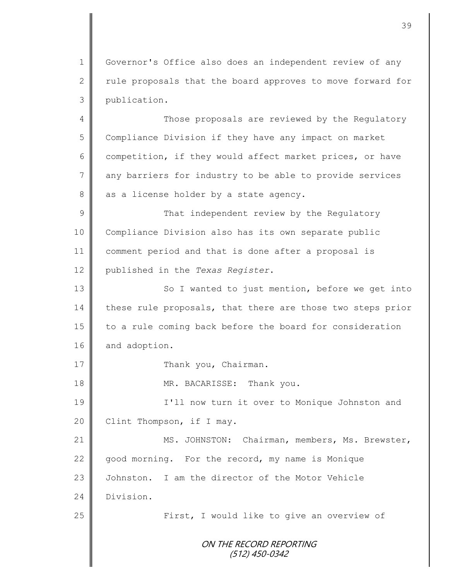1 Governor's Office also does an independent review of any 2  $\parallel$  rule proposals that the board approves to move forward for 3 publication.

4 Those proposals are reviewed by the Regulatory 5 Compliance Division if they have any impact on market 6 competition, if they would affect market prices, or have 7 any barriers for industry to be able to provide services  $8 \parallel$  as a license holder by a state agency.

9 || That independent review by the Regulatory Compliance Division also has its own separate public comment period and that is done after a proposal is published in the *Texas Register*.

13 | So I wanted to just mention, before we get into 14 these rule proposals, that there are those two steps prior 15 || to a rule coming back before the board for consideration 16 and adoption.

17 | Thank you, Chairman.

18 MR. BACARISSE: Thank you.

19 || I'll now turn it over to Monique Johnston and  $20$  | Clint Thompson, if I may.

21 | MS. JOHNSTON: Chairman, members, Ms. Brewster,  $22$  good morning. For the record, my name is Monique 23 | Johnston. I am the director of the Motor Vehicle 24 Division.

25 || First, I would like to give an overview of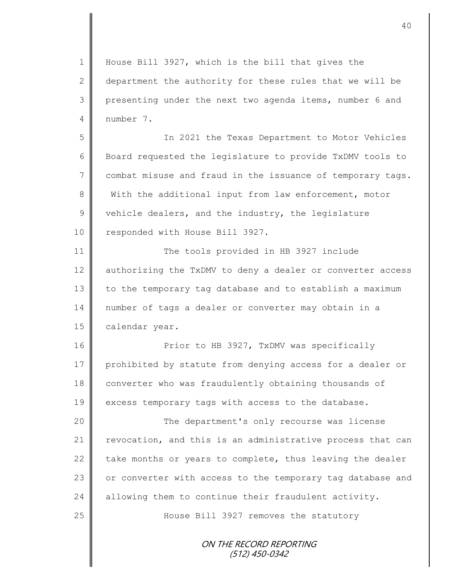1 || House Bill 3927, which is the bill that gives the 2 department the authority for these rules that we will be 3 presenting under the next two agenda items, number 6 and 4 number 7. 5 In 2021 the Texas Department to Motor Vehicles 6 Board requested the legislature to provide TxDMV tools to 7 combat misuse and fraud in the issuance of temporary tags. 8 With the additional input from law enforcement, motor 9 vehicle dealers, and the industry, the legislature 10 | responded with House Bill 3927. 11 | The tools provided in HB 3927 include 12 authorizing the TxDMV to deny a dealer or converter access  $13$  to the temporary tag database and to establish a maximum 14 number of tags a dealer or converter may obtain in a 15 **calendar year.** 16 **Prior to HB 3927, TxDMV was specifically** 17 prohibited by statute from denying access for a dealer or 18 converter who was fraudulently obtaining thousands of 19 excess temporary tags with access to the database. 20 The department's only recourse was license 21 revocation, and this is an administrative process that can 22  $\parallel$  take months or years to complete, thus leaving the dealer 23 | or converter with access to the temporary tag database and 24  $\parallel$  allowing them to continue their fraudulent activity. 25 **House Bill 3927 removes the statutory**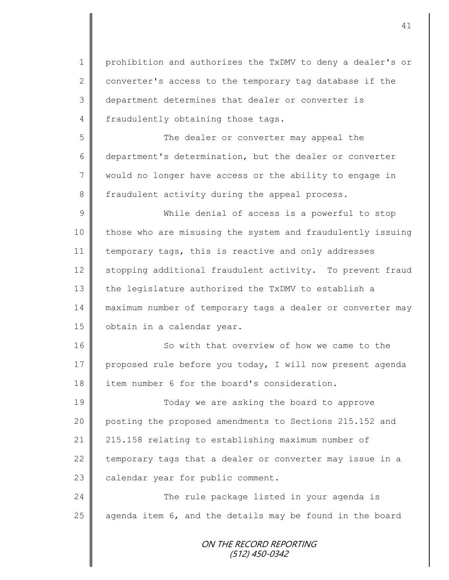1 | prohibition and authorizes the TxDMV to deny a dealer's or 2 converter's access to the temporary tag database if the 3 department determines that dealer or converter is 4 fraudulently obtaining those tags.

5 The dealer or converter may appeal the 6 department's determination, but the dealer or converter 7 would no longer have access or the ability to engage in 8 | fraudulent activity during the appeal process.

9 While denial of access is a powerful to stop 10 those who are misusing the system and fraudulently issuing 11 temporary tags, this is reactive and only addresses 12 stopping additional fraudulent activity. To prevent fraud 13 the legislature authorized the TxDMV to establish a 14 maximum number of temporary tags a dealer or converter may 15 | obtain in a calendar year.

16 So with that overview of how we came to the 17 proposed rule before you today, I will now present agenda 18 item number 6 for the board's consideration.

19 Today we are asking the board to approve 20 posting the proposed amendments to Sections 215.152 and 21 215.158 relating to establishing maximum number of 22  $\parallel$  temporary tags that a dealer or converter may issue in a 23 calendar year for public comment.

24 The rule package listed in your agenda is 25  $\parallel$  agenda item 6, and the details may be found in the board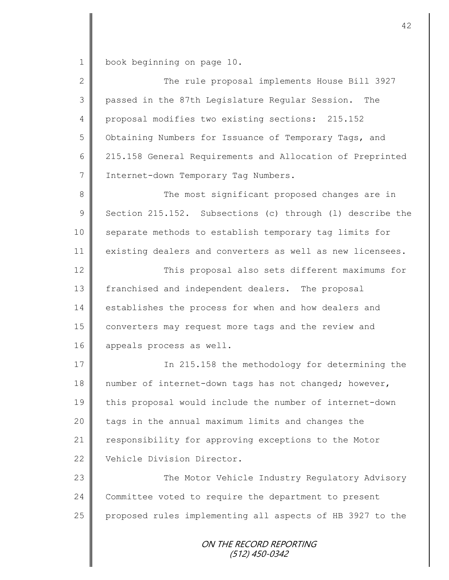1 book beginning on page 10.

II

| $\overline{2}$ | The rule proposal implements House Bill 3927              |
|----------------|-----------------------------------------------------------|
| 3              | passed in the 87th Legislature Regular Session.<br>The    |
| $\overline{4}$ | proposal modifies two existing sections: 215.152          |
| 5              | Obtaining Numbers for Issuance of Temporary Tags, and     |
| 6              | 215.158 General Requirements and Allocation of Preprinted |
| 7              | Internet-down Temporary Tag Numbers.                      |
| 8              | The most significant proposed changes are in              |
| $\mathcal{G}$  | Section 215.152. Subsections (c) through (1) describe the |
| 10             | separate methods to establish temporary tag limits for    |
| 11             | existing dealers and converters as well as new licensees. |
| 12             | This proposal also sets different maximums for            |
| 13             | franchised and independent dealers. The proposal          |
| 14             | establishes the process for when and how dealers and      |
| 15             | converters may request more tags and the review and       |
| 16             | appeals process as well.                                  |
| 17             | In 215.158 the methodology for determining the            |
| 18             | number of internet-down tags has not changed; however,    |
| 19             | this proposal would include the number of internet-down   |
| 20             | tags in the annual maximum limits and changes the         |
| 21             | responsibility for approving exceptions to the Motor      |
| 22             | Vehicle Division Director.                                |
| 23             | The Motor Vehicle Industry Regulatory Advisory            |
| 24             | Committee voted to require the department to present      |
| 25             | proposed rules implementing all aspects of HB 3927 to the |
|                | ON THE RECORD REPORTING<br>(512) 450-0342                 |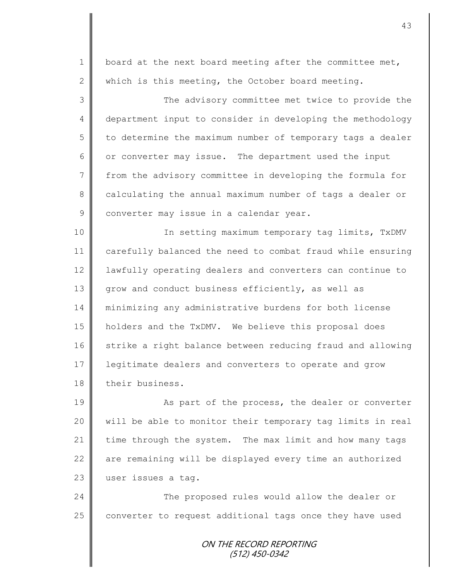1 | board at the next board meeting after the committee met, 2 which is this meeting, the October board meeting. 3 || The advisory committee met twice to provide the 4 department input to consider in developing the methodology  $5 \parallel$  to determine the maximum number of temporary tags a dealer 6 or converter may issue. The department used the input 7 | from the advisory committee in developing the formula for 8 calculating the annual maximum number of tags a dealer or 9 converter may issue in a calendar year. 10 || In setting maximum temporary tag limits, TxDMV 11 carefully balanced the need to combat fraud while ensuring 12 | lawfully operating dealers and converters can continue to 13 grow and conduct business efficiently, as well as 14 minimizing any administrative burdens for both license 15 holders and the TxDMV. We believe this proposal does 16 strike a right balance between reducing fraud and allowing 17 legitimate dealers and converters to operate and grow 18 their business. 19 | As part of the process, the dealer or converter

20 | will be able to monitor their temporary tag limits in real 21 time through the system. The max limit and how many tags  $22$   $\parallel$  are remaining will be displayed every time an authorized 23 user issues a tag.

24 The proposed rules would allow the dealer or  $25$  converter to request additional tags once they have used

> ON THE RECORD REPORTING (512) 450-0342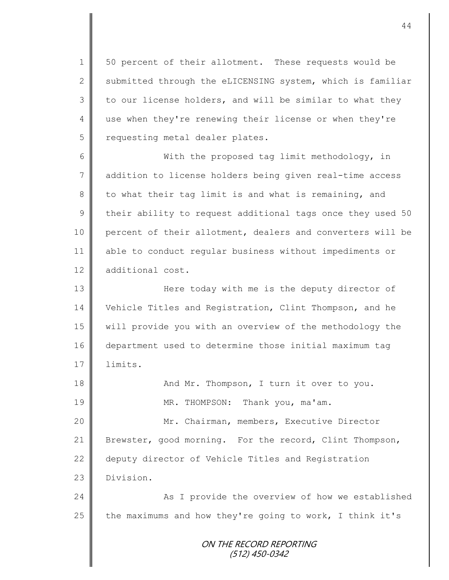1 | 50 percent of their allotment. These requests would be  $2 \parallel$  submitted through the eLICENSING system, which is familiar  $3 \parallel$  to our license holders, and will be similar to what they 4 use when they're renewing their license or when they're 5 | requesting metal dealer plates.

6 With the proposed tag limit methodology, in 7 addition to license holders being given real-time access 8 to what their tag limit is and what is remaining, and 9 their ability to request additional tags once they used 50 10 percent of their allotment, dealers and converters will be 11 able to conduct regular business without impediments or 12 additional cost.

13 || Here today with me is the deputy director of 14 Vehicle Titles and Registration, Clint Thompson, and he 15 will provide you with an overview of the methodology the 16 department used to determine those initial maximum tag  $17 \parallel$  limits.

18 And Mr. Thompson, I turn it over to you. 19 || MR. THOMPSON: Thank you, ma'am. 20 | Mr. Chairman, members, Executive Director 21 Brewster, good morning. For the record, Clint Thompson, 22 deputy director of Vehicle Titles and Registration 23 Division. 24 As I provide the overview of how we established

25  $\parallel$  the maximums and how they're going to work, I think it's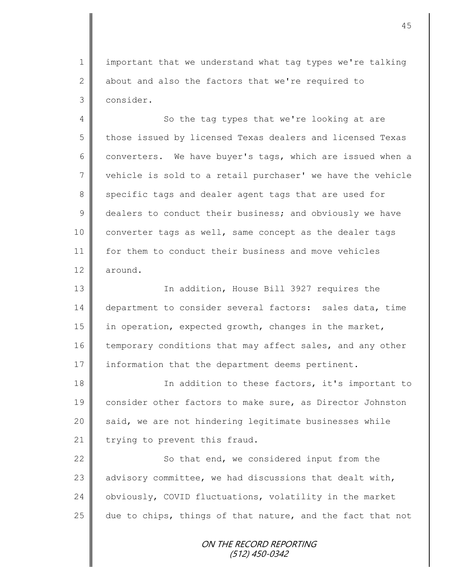1 | important that we understand what tag types we're talking 2 about and also the factors that we're required to 3 consider.

4 So the tag types that we're looking at are 5 those issued by licensed Texas dealers and licensed Texas 6 converters. We have buyer's tags, which are issued when a  $7 \parallel$  vehicle is sold to a retail purchaser' we have the vehicle 8 specific tags and dealer agent tags that are used for 9 dealers to conduct their business; and obviously we have 10 converter tags as well, same concept as the dealer tags 11 | for them to conduct their business and move vehicles 12 around.

13 || In addition, House Bill 3927 requires the 14 department to consider several factors: sales data, time 15 | in operation, expected growth, changes in the market, 16 temporary conditions that may affect sales, and any other 17 information that the department deems pertinent.

18 **In addition to these factors, it's important to** 19 consider other factors to make sure, as Director Johnston 20 said, we are not hindering legitimate businesses while 21 | trying to prevent this fraud.

22 | So that end, we considered input from the 23  $\parallel$  advisory committee, we had discussions that dealt with, 24 obviously, COVID fluctuations, volatility in the market 25  $\parallel$  due to chips, things of that nature, and the fact that not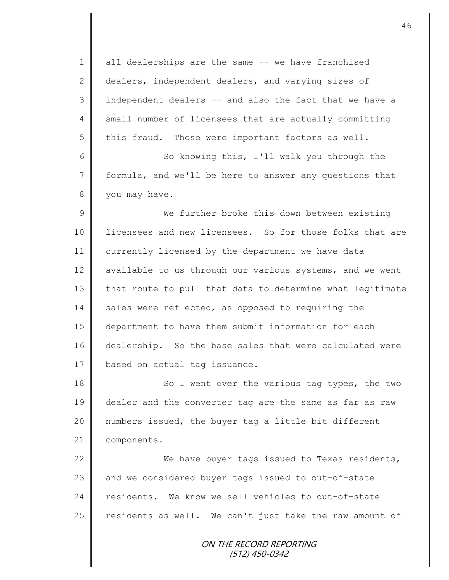1 all dealerships are the same -- we have franchised 2 dealers, independent dealers, and varying sizes of 3 || independent dealers -- and also the fact that we have a 4 small number of licensees that are actually committing  $5 \parallel$  this fraud. Those were important factors as well.

6 || So knowing this, I'll walk you through the 7 formula, and we'll be here to answer any questions that 8 vou may have.

9 We further broke this down between existing 10 | licensees and new licensees. So for those folks that are 11 currently licensed by the department we have data 12 available to us through our various systems, and we went 13 that route to pull that data to determine what legitimate  $14$  sales were reflected, as opposed to requiring the 15 department to have them submit information for each 16 dealership. So the base sales that were calculated were 17 | based on actual tag issuance.

18 || So I went over the various tag types, the two 19 dealer and the converter tag are the same as far as raw 20 || numbers issued, the buyer tag a little bit different 21 | components.

22 We have buyer tags issued to Texas residents, 23 and we considered buyer tags issued to out-of-state 24 residents. We know we sell vehicles to out-of-state 25  $\parallel$  residents as well. We can't just take the raw amount of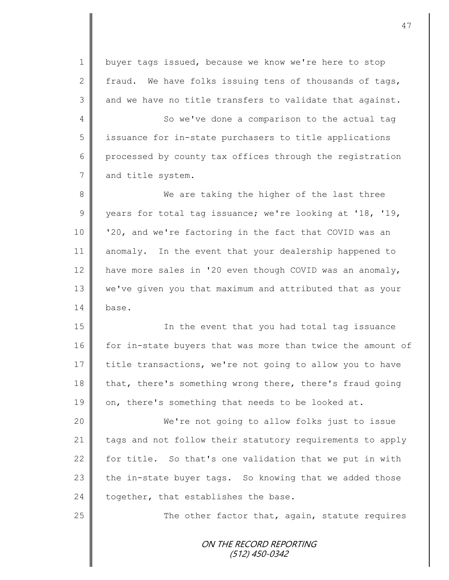1 | buyer tags issued, because we know we're here to stop 2 fraud. We have folks issuing tens of thousands of tags,  $3 \parallel$  and we have no title transfers to validate that against.

4 So we've done a comparison to the actual tag 5 || issuance for in-state purchasers to title applications 6 processed by county tax offices through the registration 7 and title system.

8 We are taking the higher of the last three 9 years for total tag issuance; we're looking at '18, '19, 10 '20, and we're factoring in the fact that COVID was an 11 anomaly. In the event that your dealership happened to 12 have more sales in '20 even though COVID was an anomaly, 13 we've given you that maximum and attributed that as your 14 base.

15 || In the event that you had total tag issuance 16 for in-state buyers that was more than twice the amount of 17 title transactions, we're not going to allow you to have 18 that, there's something wrong there, there's fraud going 19  $\parallel$  on, there's something that needs to be looked at.

20 We're not going to allow folks just to issue 21 tags and not follow their statutory requirements to apply 22  $\parallel$  for title. So that's one validation that we put in with 23  $\parallel$  the in-state buyer tags. So knowing that we added those 24 together, that establishes the base.

 $25$   $\parallel$  The other factor that, again, statute requires

ON THE RECORD REPORTING (512) 450-0342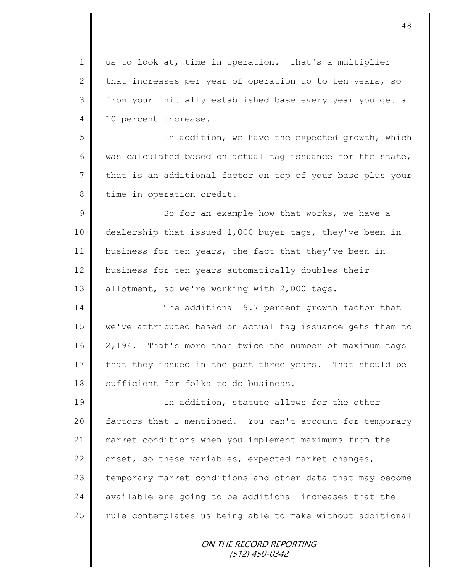1 || us to look at, time in operation. That's a multiplier 2 that increases per year of operation up to ten years, so 3 from your initially established base every year you get a 4 10 percent increase.

5 || The addition, we have the expected growth, which 6 was calculated based on actual tag issuance for the state, 7 that is an additional factor on top of your base plus your 8 time in operation credit.

 $9 \parallel$  So for an example how that works, we have a 10 dealership that issued 1,000 buyer tags, they've been in 11 business for ten years, the fact that they've been in 12 business for ten years automatically doubles their 13 | allotment, so we're working with 2,000 tags.

14 The additional 9.7 percent growth factor that 15 we've attributed based on actual tag issuance gets them to 16 2,194. That's more than twice the number of maximum tags 17 that they issued in the past three years. That should be 18 || sufficient for folks to do business.

19 || In addition, statute allows for the other 20 | factors that I mentioned. You can't account for temporary 21 market conditions when you implement maximums from the 22  $\parallel$  onset, so these variables, expected market changes, 23 temporary market conditions and other data that may become 24  $\parallel$  available are going to be additional increases that the  $25$   $\parallel$  rule contemplates us being able to make without additional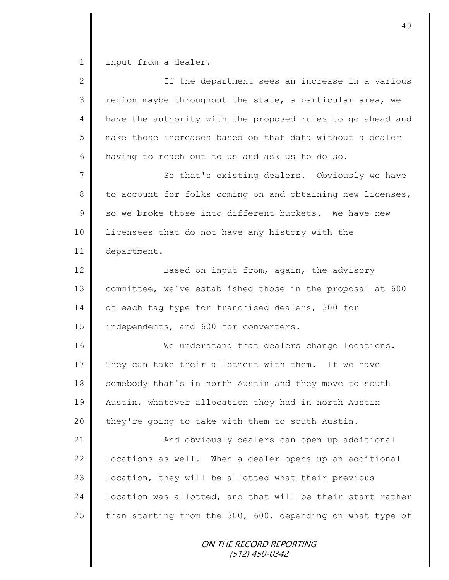1 input from a dealer.

| $\mathbf{2}$   | If the department sees an increase in a various            |
|----------------|------------------------------------------------------------|
| 3              | region maybe throughout the state, a particular area, we   |
| $\overline{4}$ | have the authority with the proposed rules to go ahead and |
| 5              | make those increases based on that data without a dealer   |
| 6              | having to reach out to us and ask us to do so.             |
| $\overline{7}$ | So that's existing dealers. Obviously we have              |
| $\,8\,$        | to account for folks coming on and obtaining new licenses, |
| $\mathcal{G}$  | so we broke those into different buckets. We have new      |
| 10             | licensees that do not have any history with the            |
| 11             | department.                                                |
| 12             | Based on input from, again, the advisory                   |
| 13             | committee, we've established those in the proposal at 600  |
| 14             | of each tag type for franchised dealers, 300 for           |
| 15             | independents, and 600 for converters.                      |
| 16             | We understand that dealers change locations.               |
| 17             | They can take their allotment with them. If we have        |
| 18             | somebody that's in north Austin and they move to south     |
| 19             | Austin, whatever allocation they had in north Austin       |
| 20             | they're going to take with them to south Austin.           |
| 21             | And obviously dealers can open up additional               |
| 22             | locations as well. When a dealer opens up an additional    |
| 23             | location, they will be allotted what their previous        |
| 24             | location was allotted, and that will be their start rather |
| 25             | than starting from the 300, 600, depending on what type of |
|                | ON THE RECORD REPORTING<br>(512) 450-0342                  |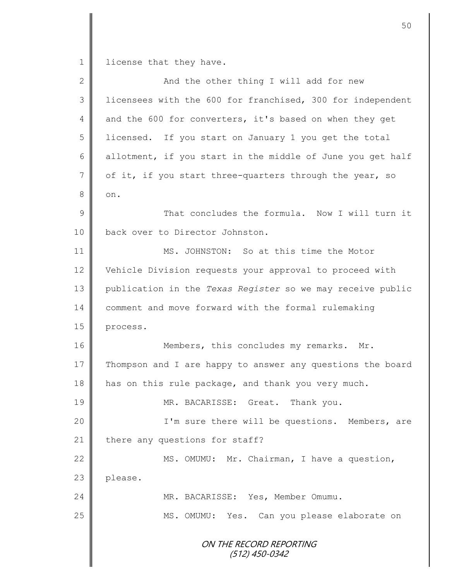1 license that they have.

| $\overline{2}$ | And the other thing I will add for new                     |
|----------------|------------------------------------------------------------|
| 3              | licensees with the 600 for franchised, 300 for independent |
| $\overline{4}$ | and the 600 for converters, it's based on when they get    |
| 5              | licensed. If you start on January 1 you get the total      |
| 6              | allotment, if you start in the middle of June you get half |
| $\sqrt{}$      | of it, if you start three-quarters through the year, so    |
| 8              | on.                                                        |
| 9              | That concludes the formula. Now I will turn it             |
| 10             | back over to Director Johnston.                            |
| 11             | MS. JOHNSTON: So at this time the Motor                    |
| 12             | Vehicle Division requests your approval to proceed with    |
| 13             | publication in the Texas Register so we may receive public |
| 14             | comment and move forward with the formal rulemaking        |
| 15             | process.                                                   |
| 16             | Members, this concludes my remarks. Mr.                    |
| 17             | Thompson and I are happy to answer any questions the board |
| 18             | has on this rule package, and thank you very much.         |
| 19             | MR. BACARISSE: Great. Thank you.                           |
| 20             | I'm sure there will be questions. Members, are             |
| 21             | there any questions for staff?                             |
| 22             | MS. OMUMU: Mr. Chairman, I have a question,                |
| 23             | please.                                                    |
| 24             | MR. BACARISSE: Yes, Member Omumu.                          |
| 25             | MS. OMUMU:<br>Yes. Can you please elaborate on             |
|                | ON THE RECORD REPORTING<br>(512) 450-0342                  |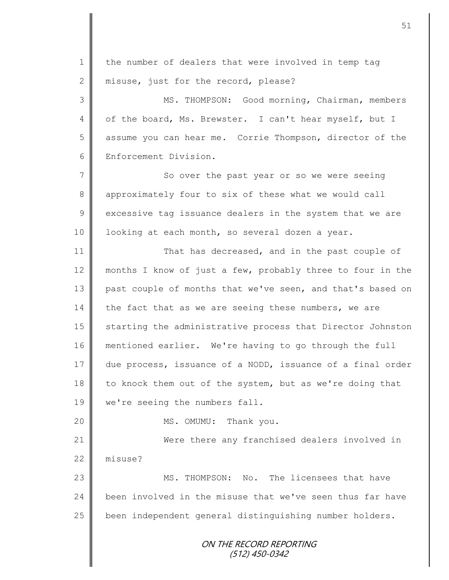ON THE RECORD REPORTING (512) 450-0342 1 the number of dealers that were involved in temp tag 2 misuse, just for the record, please? 3 || MS. THOMPSON: Good morning, Chairman, members 4 | of the board, Ms. Brewster. I can't hear myself, but I 5 assume you can hear me. Corrie Thompson, director of the 6 Enforcement Division. 7 || So over the past year or so we were seeing 8 approximately four to six of these what we would call  $9 \parallel$  excessive tag issuance dealers in the system that we are 10 | looking at each month, so several dozen a year. 11 **That has decreased, and in the past couple of** 12 months I know of just a few, probably three to four in the 13 past couple of months that we've seen, and that's based on  $14$  the fact that as we are seeing these numbers, we are 15 Starting the administrative process that Director Johnston 16 mentioned earlier. We're having to go through the full 17 due process, issuance of a NODD, issuance of a final order 18 to knock them out of the system, but as we're doing that 19 | we're seeing the numbers fall. 20 MS. OMUMU: Thank you. 21 Were there any franchised dealers involved in  $22 \parallel \text{missing}$ 23 **M** MS. THOMPSON: No. The licensees that have 24 been involved in the misuse that we've seen thus far have 25 | been independent general distinguishing number holders.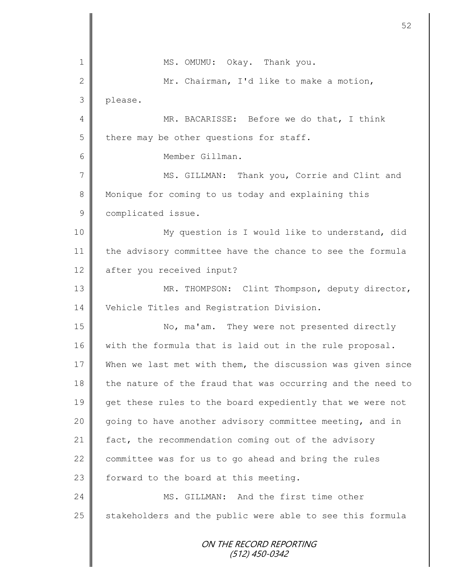| $\mathbf 1$    | MS. OMUMU: Okay. Thank you.                                |
|----------------|------------------------------------------------------------|
| $\mathbf{2}$   | Mr. Chairman, I'd like to make a motion,                   |
| 3              | please.                                                    |
| 4              | MR. BACARISSE: Before we do that, I think                  |
| 5              | there may be other questions for staff.                    |
| 6              | Member Gillman.                                            |
| $\overline{7}$ | MS. GILLMAN: Thank you, Corrie and Clint and               |
| 8              | Monique for coming to us today and explaining this         |
| $\mathsf 9$    | complicated issue.                                         |
| 10             | My question is I would like to understand, did             |
| 11             | the advisory committee have the chance to see the formula  |
| 12             | after you received input?                                  |
| 13             | MR. THOMPSON: Clint Thompson, deputy director,             |
| 14             | Vehicle Titles and Registration Division.                  |
| 15             | No, ma'am. They were not presented directly                |
| 16             | with the formula that is laid out in the rule proposal.    |
| 17             | When we last met with them, the discussion was given since |
| 18             | the nature of the fraud that was occurring and the need to |
| 19             | get these rules to the board expediently that we were not  |
| 20             | going to have another advisory committee meeting, and in   |
| 21             | fact, the recommendation coming out of the advisory        |
| 22             | committee was for us to go ahead and bring the rules       |
| 23             | forward to the board at this meeting.                      |
| 24             | MS. GILLMAN: And the first time other                      |
| 25             | stakeholders and the public were able to see this formula  |
|                | ON THE RECORD REPORTING<br>(512) 450-0342                  |

 $\mathbf l$ II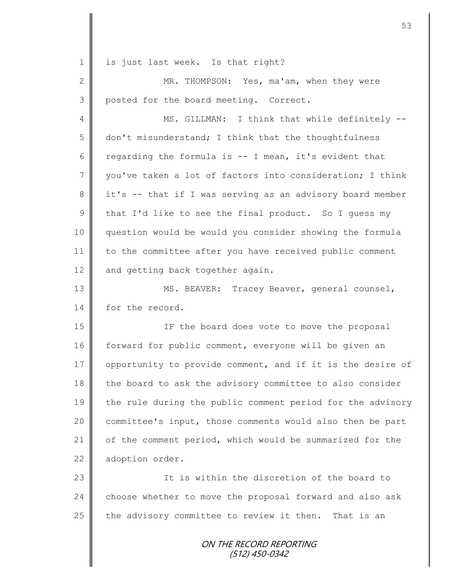ON THE RECORD REPORTING (512) 450-0342 1 | is just last week. Is that right? 2 MR. THOMPSON: Yes, ma'am, when they were 3 posted for the board meeting. Correct. 4 || MS. GILLMAN: I think that while definitely -- $5 \parallel$  don't misunderstand; I think that the thoughtfulness 6 Tegarding the formula is  $-$  I mean, it's evident that 7 vou've taken a lot of factors into consideration; I think 8 || it's -- that if I was serving as an advisory board member 9 that I'd like to see the final product. So I guess my 10 question would be would you consider showing the formula 11 to the committee after you have received public comment 12 and getting back together again. 13 || MS. BEAVER: Tracey Beaver, general counsel, 14 for the record. 15 || The board does vote to move the proposal 16 forward for public comment, everyone will be given an 17 | opportunity to provide comment, and if it is the desire of 18 the board to ask the advisory committee to also consider 19 the rule during the public comment period for the advisory 20 committee's input, those comments would also then be part 21 | of the comment period, which would be summarized for the 22 adoption order. 23 || This within the discretion of the board to 24 choose whether to move the proposal forward and also ask 25  $\parallel$  the advisory committee to review it then. That is an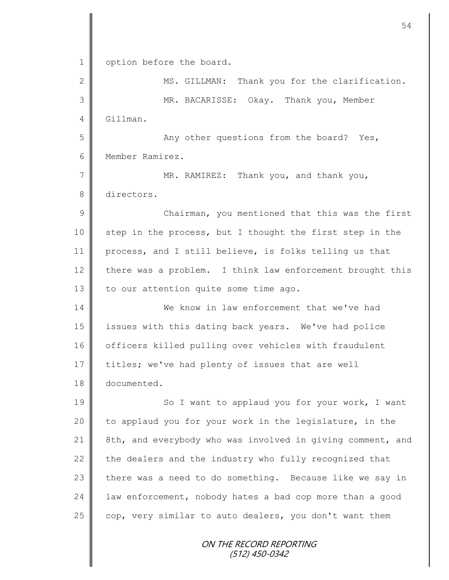ON THE RECORD REPORTING (512) 450-0342 1 | option before the board. 2 || MS. GILLMAN: Thank you for the clarification. 3 MR. BACARISSE: Okay. Thank you, Member 4 Gillman. 5 || Any other questions from the board? Yes, 6 Member Ramirez. 7 MR. RAMIREZ: Thank you, and thank you, 8 directors. 9 || Chairman, you mentioned that this was the first 10 step in the process, but I thought the first step in the 11 process, and I still believe, is folks telling us that 12 there was a problem. I think law enforcement brought this 13  $\parallel$  to our attention quite some time ago. 14 We know in law enforcement that we've had 15 issues with this dating back years. We've had police 16 | officers killed pulling over vehicles with fraudulent 17 titles; we've had plenty of issues that are well 18 documented. 19 | So I want to applaud you for your work, I want 20 | to applaud you for your work in the legislature, in the 21 8th, and everybody who was involved in giving comment, and 22  $\parallel$  the dealers and the industry who fully recognized that  $23$  there was a need to do something. Because like we say in  $24$  | law enforcement, nobody hates a bad cop more than a good  $25$  cop, very similar to auto dealers, you don't want them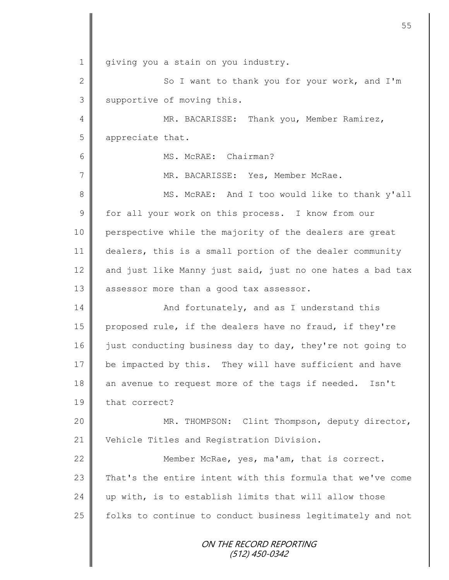ON THE RECORD REPORTING (512) 450-0342 1 giving you a stain on you industry. 2  $\parallel$  So I want to thank you for your work, and I'm 3 Supportive of moving this. 4 MR. BACARISSE: Thank you, Member Ramirez, 5 appreciate that. 6 MS. McRAE: Chairman? 7 MR. BACARISSE: Yes, Member McRae. 8 || MS. McRAE: And I too would like to thank y'all 9 for all your work on this process. I know from our 10 perspective while the majority of the dealers are great 11 dealers, this is a small portion of the dealer community 12  $\parallel$  and just like Manny just said, just no one hates a bad tax 13 assessor more than a good tax assessor. 14 | And fortunately, and as I understand this 15 proposed rule, if the dealers have no fraud, if they're 16 just conducting business day to day, they're not going to 17 be impacted by this. They will have sufficient and have 18 an avenue to request more of the tags if needed. Isn't 19 that correct? 20 MR. THOMPSON: Clint Thompson, deputy director, 21 Vehicle Titles and Registration Division. 22 **Member McRae, yes, ma'am, that is correct.** 23  $\parallel$  That's the entire intent with this formula that we've come 24  $\parallel$  up with, is to establish limits that will allow those 25 | folks to continue to conduct business legitimately and not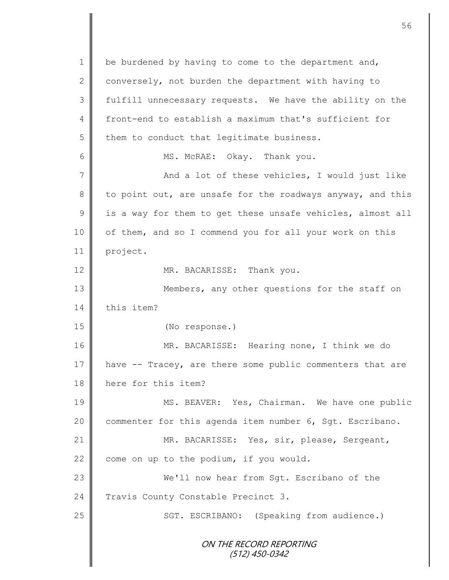ON THE RECORD REPORTING (512) 450-0342 1 be burdened by having to come to the department and, 2 conversely, not burden the department with having to 3 fulfill unnecessary requests. We have the ability on the 4 front-end to establish a maximum that's sufficient for  $5$  | them to conduct that legitimate business. 6 | MS. McRAE: Okay. Thank you. 7 And a lot of these vehicles, I would just like 8 to point out, are unsafe for the roadways anyway, and this  $9 \parallel$  is a way for them to get these unsafe vehicles, almost all 10 | of them, and so I commend you for all your work on this 11 project. 12 MR. BACARISSE: Thank you. 13 || Members, any other questions for the staff on 14 this item? 15 (No response.) 16 MR. BACARISSE: Hearing none, I think we do 17 have -- Tracey, are there some public commenters that are 18 here for this item? 19 MS. BEAVER: Yes, Chairman. We have one public 20 | commenter for this agenda item number 6, Sgt. Escribano. 21 MR. BACARISSE: Yes, sir, please, Sergeant, 22  $\parallel$  come on up to the podium, if you would. 23 We'll now hear from Sqt. Escribano of the 24 Travis County Constable Precinct 3. 25 | SGT. ESCRIBANO: (Speaking from audience.)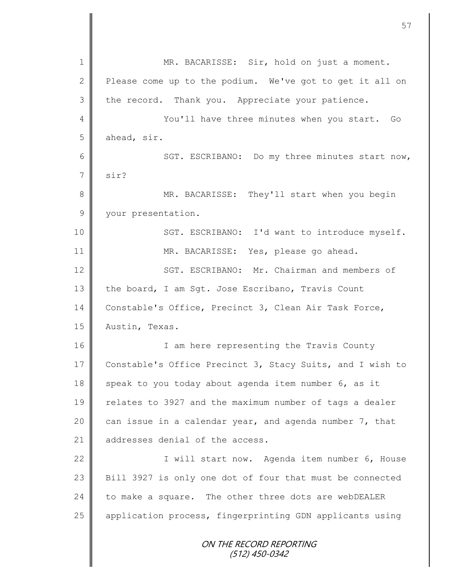ON THE RECORD REPORTING (512) 450-0342 1 || MR. BACARISSE: Sir, hold on just a moment. 2 Please come up to the podium. We've got to get it all on 3 the record. Thank you. Appreciate your patience. 4 || You'll have three minutes when you start. Go  $5$  ahead, sir. 6 || SGT. ESCRIBANO: Do my three minutes start now,  $7 \parallel$  sir? 8 MR. BACARISSE: They'll start when you begin 9 your presentation. 10 | SGT. ESCRIBANO: I'd want to introduce myself. 11 || MR. BACARISSE: Yes, please go ahead. 12 SGT. ESCRIBANO: Mr. Chairman and members of 13 the board, I am Sgt. Jose Escribano, Travis Count 14 Constable's Office, Precinct 3, Clean Air Task Force, 15 | Austin, Texas. 16 | T am here representing the Travis County 17 Constable's Office Precinct 3, Stacy Suits, and I wish to 18 speak to you today about agenda item number  $6$ , as it 19 | relates to 3927 and the maximum number of tags a dealer 20  $\parallel$  can issue in a calendar year, and agenda number 7, that 21 addresses denial of the access. 22 | Twill start now. Agenda item number 6, House 23 Bill 3927 is only one dot of four that must be connected 24 to make a square. The other three dots are webDEALER 25 | application process, fingerprinting GDN applicants using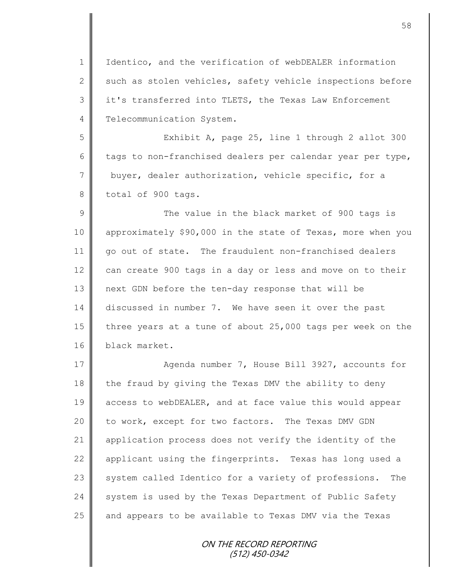1 | Identico, and the verification of webDEALER information  $2 \parallel$  such as stolen vehicles, safety vehicle inspections before 3 || it's transferred into TLETS, the Texas Law Enforcement 4 | Telecommunication System.

5 Exhibit A, page 25, line 1 through 2 allot 300 6 tags to non-franchised dealers per calendar year per type, 7 buyer, dealer authorization, vehicle specific, for a 8 total of 900 tags.

9 || The value in the black market of 900 tags is 10 approximately \$90,000 in the state of Texas, more when you 11 go out of state. The fraudulent non-franchised dealers 12 can create 900 tags in a day or less and move on to their 13 next GDN before the ten-day response that will be 14 discussed in number 7. We have seen it over the past 15 three years at a tune of about 25,000 tags per week on the 16 black market.

17 **Agenda number 7, House Bill 3927, accounts for** 18  $\parallel$  the fraud by giving the Texas DMV the ability to deny 19 access to webDEALER, and at face value this would appear 20 | to work, except for two factors. The Texas DMV GDN 21 application process does not verify the identity of the 22 applicant using the fingerprints. Texas has long used a 23 System called Identico for a variety of professions. The 24 system is used by the Texas Department of Public Safety 25 and appears to be available to Texas DMV via the Texas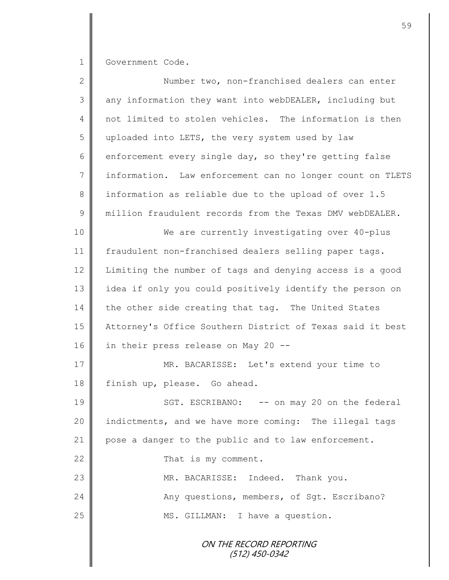1 Government Code.

| $\overline{2}$  | Number two, non-franchised dealers can enter              |
|-----------------|-----------------------------------------------------------|
| 3               | any information they want into webDEALER, including but   |
| $\overline{4}$  | not limited to stolen vehicles. The information is then   |
| 5               | uploaded into LETS, the very system used by law           |
| 6               | enforcement every single day, so they're getting false    |
| $7\phantom{.0}$ | information. Law enforcement can no longer count on TLETS |
| 8               | information as reliable due to the upload of over 1.5     |
| $\mathcal{G}$   | million fraudulent records from the Texas DMV webDEALER.  |
| 10              | We are currently investigating over 40-plus               |
| 11              | fraudulent non-franchised dealers selling paper tags.     |
| 12              | Limiting the number of tags and denying access is a good  |
| 13              | idea if only you could positively identify the person on  |
| 14              | the other side creating that tag. The United States       |
| 15              | Attorney's Office Southern District of Texas said it best |
| 16              | in their press release on May 20 --                       |
| 17              | MR. BACARISSE: Let's extend your time to                  |
| 18              | finish up, please. Go ahead.                              |
| 19              | SGT. ESCRIBANO: -- on may 20 on the federal               |
| 20              | indictments, and we have more coming: The illegal tags    |
| 21              | pose a danger to the public and to law enforcement.       |
| 22              | That is my comment.                                       |
| 23              | MR. BACARISSE: Indeed. Thank you.                         |
| 24              | Any questions, members, of Sgt. Escribano?                |
| 25              | MS. GILLMAN: I have a question.                           |
|                 | ON THE RECORD REPORTING                                   |

(512) 450-0342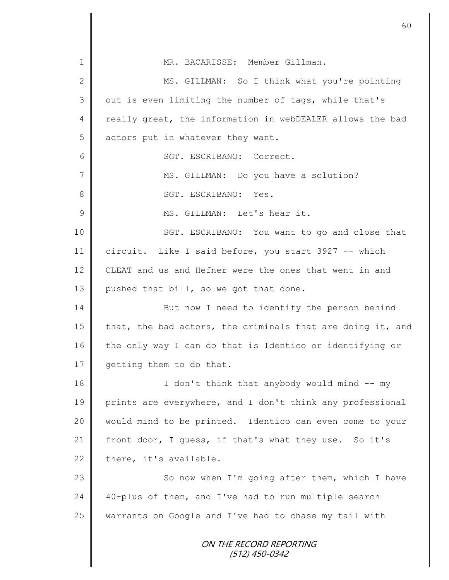| $\mathbf 1$   | MR. BACARISSE: Member Gillman.                             |
|---------------|------------------------------------------------------------|
| 2             | MS. GILLMAN: So I think what you're pointing               |
| 3             | out is even limiting the number of tags, while that's      |
| 4             | really great, the information in webDEALER allows the bad  |
| 5             | actors put in whatever they want.                          |
| 6             | SGT. ESCRIBANO: Correct.                                   |
| 7             | MS. GILLMAN: Do you have a solution?                       |
| 8             | SGT. ESCRIBANO: Yes.                                       |
| $\mathcal{G}$ | MS. GILLMAN: Let's hear it.                                |
| 10            | SGT. ESCRIBANO: You want to go and close that              |
| 11            | circuit. Like I said before, you start 3927 -- which       |
| 12            | CLEAT and us and Hefner were the ones that went in and     |
| 13            | pushed that bill, so we got that done.                     |
| 14            | But now I need to identify the person behind               |
| 15            | that, the bad actors, the criminals that are doing it, and |
| 16            | the only way I can do that is Identico or identifying or   |
| 17            | getting them to do that.                                   |
| 18            | I don't think that anybody would mind -- my                |
| 19            | prints are everywhere, and I don't think any professional  |
| 20            | would mind to be printed. Identico can even come to your   |
| 21            | front door, I quess, if that's what they use. So it's      |
| 22            | there, it's available.                                     |
| 23            | So now when I'm going after them, which I have             |
| 24            | 40-plus of them, and I've had to run multiple search       |
| 25            | warrants on Google and I've had to chase my tail with      |
|               | ON THE RECORD REPORTING<br>(512) 450-0342                  |

Ш II

Ι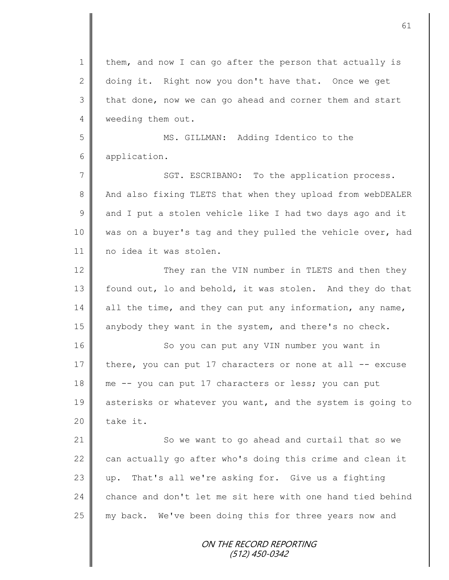ON THE RECORD REPORTING (512) 450-0342 1 | them, and now I can go after the person that actually is 2 doing it. Right now you don't have that. Once we get  $3 \parallel$  that done, now we can go ahead and corner them and start 4 **weeding them out.** 5 MS. GILLMAN: Adding Identico to the 6 application. 7 || SGT. ESCRIBANO: To the application process. 8 And also fixing TLETS that when they upload from webDEALER  $9 \parallel$  and I put a stolen vehicle like I had two days ago and it 10 was on a buyer's tag and they pulled the vehicle over, had 11 || no idea it was stolen. 12 They ran the VIN number in TLETS and then they 13 | found out, lo and behold, it was stolen. And they do that  $14$  all the time, and they can put any information, any name, 15 anybody they want in the system, and there's no check. 16 | So you can put any VIN number you want in 17 there, you can put 17 characters or none at all  $-$  excuse 18 me -- you can put 17 characters or less; you can put 19 asterisks or whatever you want, and the system is going to  $20$  | take it. 21 | So we want to go ahead and curtail that so we 22  $\parallel$  can actually go after who's doing this crime and clean it 23  $\parallel$  up. That's all we're asking for. Give us a fighting 24  $\parallel$  chance and don't let me sit here with one hand tied behind 25 my back. We've been doing this for three years now and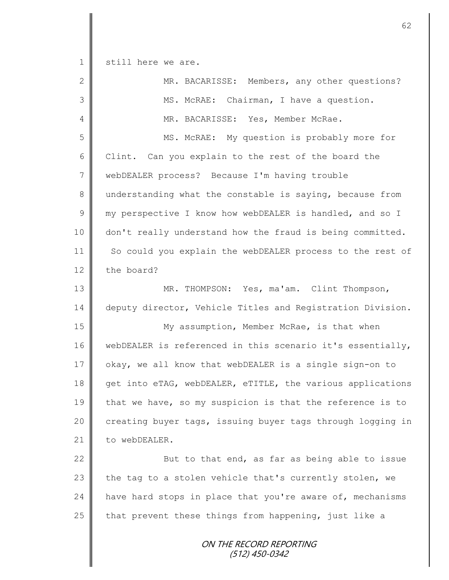1 still here we are.

| $\overline{2}$ | MR. BACARISSE: Members, any other questions?               |
|----------------|------------------------------------------------------------|
| 3              | MS. McRAE: Chairman, I have a question.                    |
| 4              | MR. BACARISSE: Yes, Member McRae.                          |
| 5              | MS. McRAE: My question is probably more for                |
| 6              | Clint. Can you explain to the rest of the board the        |
| $\overline{7}$ | webDEALER process? Because I'm having trouble              |
| 8              | understanding what the constable is saying, because from   |
| $\mathsf 9$    | my perspective I know how webDEALER is handled, and so I   |
| 10             | don't really understand how the fraud is being committed.  |
| 11             | So could you explain the webDEALER process to the rest of  |
| 12             | the board?                                                 |
| 13             | MR. THOMPSON: Yes, ma'am. Clint Thompson,                  |
| 14             | deputy director, Vehicle Titles and Registration Division. |
| 15             | My assumption, Member McRae, is that when                  |
| 16             | webDEALER is referenced in this scenario it's essentially, |
| 17             | okay, we all know that webDEALER is a single sign-on to    |
| 18             | get into eTAG, webDEALER, eTITLE, the various applications |
| 19             | that we have, so my suspicion is that the reference is to  |
| 20             | creating buyer tags, issuing buyer tags through logging in |
| 21             | to webDEALER.                                              |
| 22             | But to that end, as far as being able to issue             |
| 23             | the tag to a stolen vehicle that's currently stolen, we    |
| 24             | have hard stops in place that you're aware of, mechanisms  |
| 25             | that prevent these things from happening, just like a      |
|                | ON THE RECORD REPORTING<br>$(512)$ 450-0342                |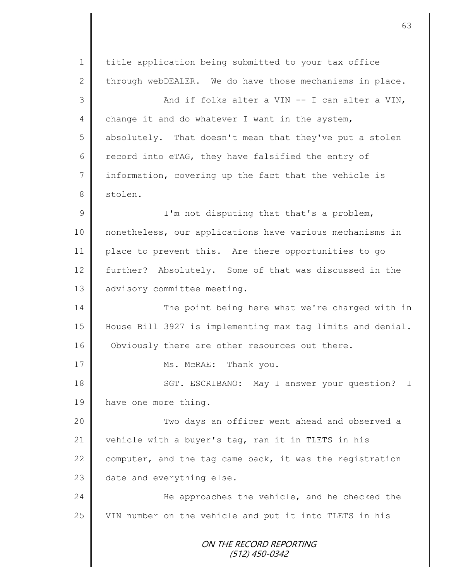ON THE RECORD REPORTING (512) 450-0342 1 | title application being submitted to your tax office 2  $\parallel$  through webDEALER. We do have those mechanisms in place.  $3 \parallel$  and if folks alter a VIN -- I can alter a VIN, 4 change it and do whatever I want in the system, 5 absolutely. That doesn't mean that they've put a stolen 6 record into eTAG, they have falsified the entry of 7 information, covering up the fact that the vehicle is 8 stolen. 9 || I'm not disputing that that's a problem, 10 nonetheless, our applications have various mechanisms in 11 place to prevent this. Are there opportunities to go 12 further? Absolutely. Some of that was discussed in the 13 advisory committee meeting. 14 The point being here what we're charged with in 15 House Bill 3927 is implementing max tag limits and denial. 16 Obviously there are other resources out there. 17 Ms. McRAE: Thank you. 18 | SGT. ESCRIBANO: May I answer your question? I 19 have one more thing. 20 || Two days an officer went ahead and observed a 21 vehicle with a buyer's tag, ran it in TLETS in his 22  $\parallel$  computer, and the tag came back, it was the registration  $23$  date and everything else. 24 | He approaches the vehicle, and he checked the 25 VIN number on the vehicle and put it into TLETS in his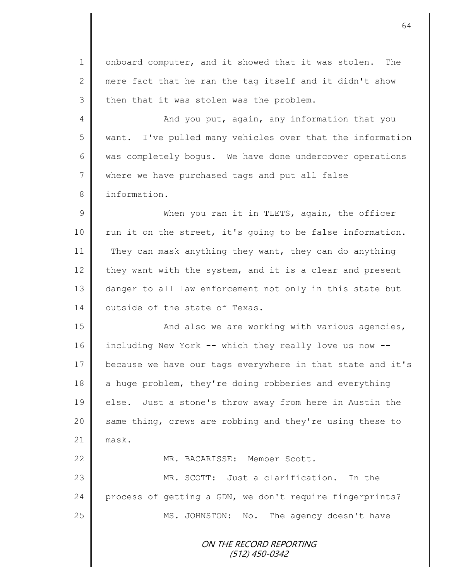ON THE RECORD REPORTING (512) 450-0342 1 | onboard computer, and it showed that it was stolen. The 2 mere fact that he ran the tag itself and it didn't show  $3 \parallel$  then that it was stolen was the problem. 4 || And you put, again, any information that you 5 want. I've pulled many vehicles over that the information 6 was completely bogus. We have done undercover operations 7 where we have purchased tags and put all false 8 | information. 9 When you ran it in TLETS, again, the officer 10 | run it on the street, it's going to be false information. 11 They can mask anything they want, they can do anything 12 they want with the system, and it is a clear and present 13 danger to all law enforcement not only in this state but 14 | outside of the state of Texas. 15 | And also we are working with various agencies, 16 including New York -- which they really love us now -- 17 because we have our tags everywhere in that state and it's 18 a huge problem, they're doing robberies and everything 19 || else. Just a stone's throw away from here in Austin the 20 same thing, crews are robbing and they're using these to  $21$  mask. 22 | MR. BACARISSE: Member Scott. 23 MR. SCOTT: Just a clarification. In the 24 | process of getting a GDN, we don't require fingerprints? 25 MS. JOHNSTON: No. The agency doesn't have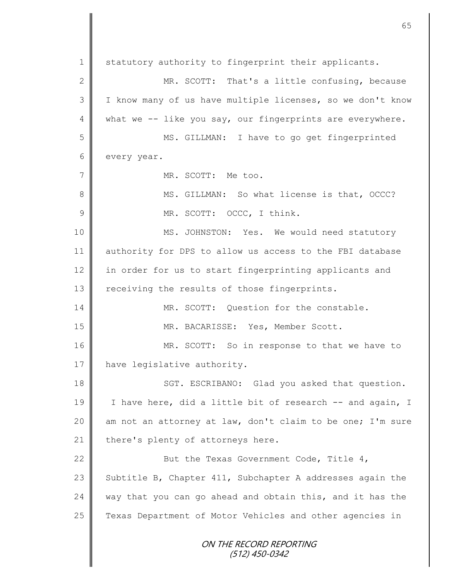ON THE RECORD REPORTING (512) 450-0342 1 Statutory authority to fingerprint their applicants. 2 MR. SCOTT: That's a little confusing, because 3 || I know many of us have multiple licenses, so we don't know  $4 \parallel$  what we -- like you say, our fingerprints are everywhere. 5 MS. GILLMAN: I have to go get fingerprinted 6 every year. 7 || MR. SCOTT: Me too. 8 || MS. GILLMAN: So what license is that, OCCC? 9 MR. SCOTT: OCCC, I think. 10 MS. JOHNSTON: Yes. We would need statutory 11 authority for DPS to allow us access to the FBI database 12 in order for us to start fingerprinting applicants and 13 | receiving the results of those fingerprints. 14 **MR. SCOTT:** Ouestion for the constable. 15 MR. BACARISSE: Yes, Member Scott. 16 MR. SCOTT: So in response to that we have to 17 | have legislative authority. 18 SGT. ESCRIBANO: Glad you asked that question. 19 | I have here, did a little bit of research -- and again, I 20 am not an attorney at law, don't claim to be one; I'm sure 21  $\parallel$  there's plenty of attorneys here. 22 **But the Texas Government Code, Title 4,** 23 Subtitle B, Chapter 411, Subchapter A addresses again the 24 way that you can go ahead and obtain this, and it has the 25 | Texas Department of Motor Vehicles and other agencies in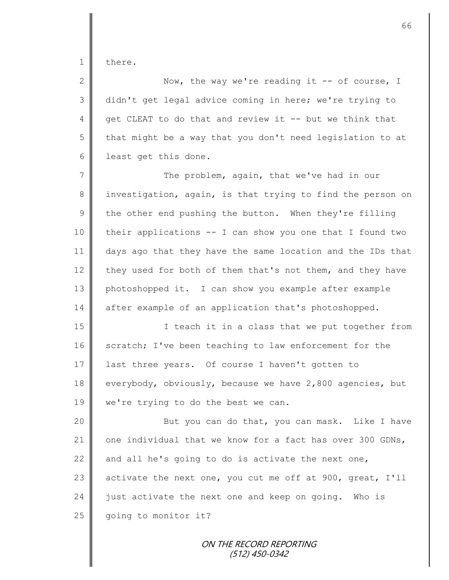1 | there.

2  $\parallel$  Now, the way we're reading it -- of course, I 3 didn't get legal advice coming in here; we're trying to 4 get CLEAT to do that and review it  $-$ - but we think that  $5 \parallel$  that might be a way that you don't need legislation to at 6 | least get this done.

7 The problem, again, that we've had in our 8 investigation, again, is that trying to find the person on 9 the other end pushing the button. When they're filling 10 their applications -- I can show you one that I found two 11 days ago that they have the same location and the IDs that 12 they used for both of them that's not them, and they have 13 photoshopped it. I can show you example after example 14 after example of an application that's photoshopped.

15 || I teach it in a class that we put together from 16 scratch; I've been teaching to law enforcement for the 17 | last three years. Of course I haven't gotten to 18 everybody, obviously, because we have 2,800 agencies, but 19  $\parallel$  we're trying to do the best we can.

20 || But you can do that, you can mask. Like I have 21 one individual that we know for a fact has over 300 GDNs, 22  $\parallel$  and all he's going to do is activate the next one, 23 activate the next one, you cut me off at 900, great,  $I'11$ 24  $\parallel$  just activate the next one and keep on going. Who is  $25$  | going to monitor it?

> ON THE RECORD REPORTING (512) 450-0342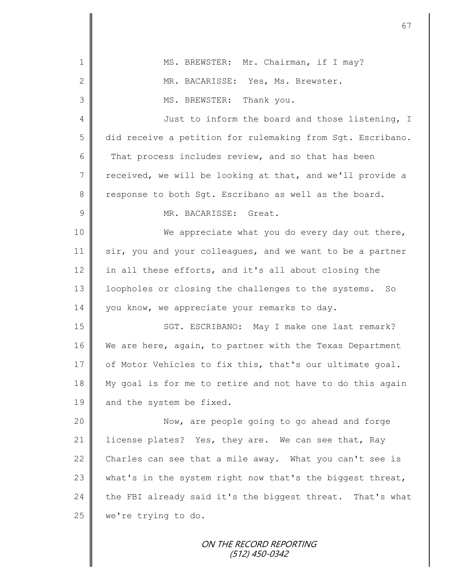| $\mathbf 1$   | MS. BREWSTER: Mr. Chairman, if I may?                      |
|---------------|------------------------------------------------------------|
| $\mathbf{2}$  | MR. BACARISSE: Yes, Ms. Brewster.                          |
| 3             | Thank you.<br>MS. BREWSTER:                                |
| 4             | Just to inform the board and those listening, I            |
| 5             | did receive a petition for rulemaking from Sgt. Escribano. |
| 6             | That process includes review, and so that has been         |
| 7             | received, we will be looking at that, and we'll provide a  |
| 8             | response to both Sgt. Escribano as well as the board.      |
| $\mathcal{G}$ | MR. BACARISSE: Great.                                      |
| 10            | We appreciate what you do every day out there,             |
| 11            | sir, you and your colleagues, and we want to be a partner  |
| 12            | in all these efforts, and it's all about closing the       |
| 13            | loopholes or closing the challenges to the systems.<br>So  |
| 14            | you know, we appreciate your remarks to day.               |
| 15            | SGT. ESCRIBANO: May I make one last remark?                |
| 16            | We are here, again, to partner with the Texas Department   |
| 17            | of Motor Vehicles to fix this, that's our ultimate goal.   |
| 18            | My goal is for me to retire and not have to do this again  |
| 19            | and the system be fixed.                                   |
| 20            | Now, are people going to go ahead and forge                |
| 21            | license plates? Yes, they are. We can see that, Ray        |
| 22            | Charles can see that a mile away. What you can't see is    |
| 23            | what's in the system right now that's the biggest threat,  |
| 24            | the FBI already said it's the biggest threat. That's what  |
| 25            | we're trying to do.                                        |
|               |                                                            |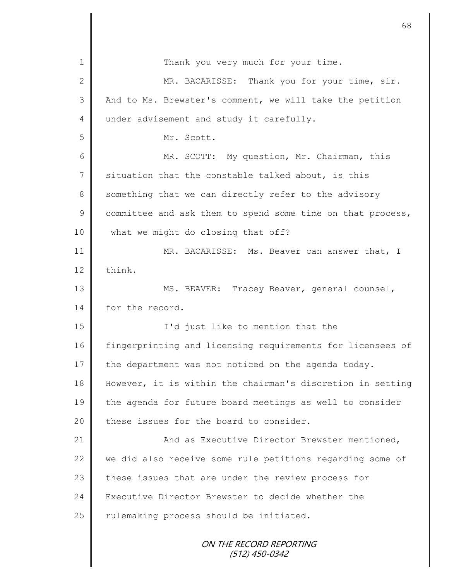|                 | 68                                                         |
|-----------------|------------------------------------------------------------|
| 1               | Thank you very much for your time.                         |
| 2               |                                                            |
| 3               | MR. BACARISSE: Thank you for your time, sir.               |
|                 | And to Ms. Brewster's comment, we will take the petition   |
| 4               | under advisement and study it carefully.                   |
| 5               | Mr. Scott.                                                 |
| 6               | MR. SCOTT: My question, Mr. Chairman, this                 |
| $7\phantom{.0}$ | situation that the constable talked about, is this         |
| 8               | something that we can directly refer to the advisory       |
| $\mathcal{G}$   | committee and ask them to spend some time on that process, |
| 10              | what we might do closing that off?                         |
| 11              | MR. BACARISSE: Ms. Beaver can answer that, I               |
| 12              | think.                                                     |
| 13              | MS. BEAVER: Tracey Beaver, general counsel,                |
| 14              | for the record.                                            |
| 15              | I'd just like to mention that the                          |
| 16              | fingerprinting and licensing requirements for licensees of |
| 17              | the department was not noticed on the agenda today.        |
| 18              | However, it is within the chairman's discretion in setting |
| 19              | the agenda for future board meetings as well to consider   |
| 20              | these issues for the board to consider.                    |
| 21              | And as Executive Director Brewster mentioned,              |
| 22              | we did also receive some rule petitions regarding some of  |
| 23              | these issues that are under the review process for         |
| 24              | Executive Director Brewster to decide whether the          |
| 25              | rulemaking process should be initiated.                    |
|                 | ON THE RECORD REPORTING<br>(512) 450-0342                  |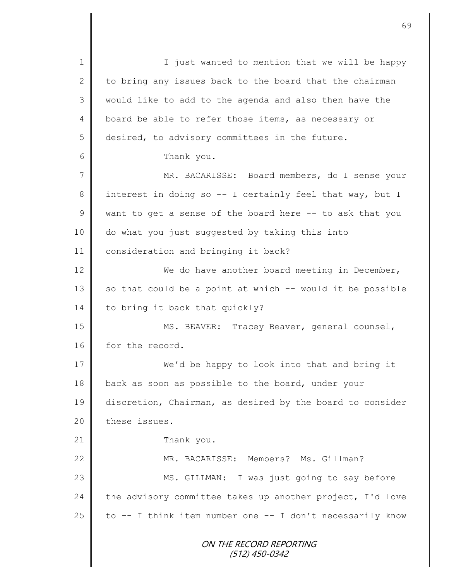ON THE RECORD REPORTING (512) 450-0342 1 || I just wanted to mention that we will be happy 2 to bring any issues back to the board that the chairman 3 || would like to add to the agenda and also then have the 4 board be able to refer those items, as necessary or 5 desired, to advisory committees in the future. 6 Thank you. 7 MR. BACARISSE: Board members, do I sense your 8 interest in doing so -- I certainly feel that way, but I  $9 \parallel$  want to get a sense of the board here -- to ask that you 10 do what you just suggested by taking this into 11 | consideration and bringing it back? 12 We do have another board meeting in December,  $13$  so that could be a point at which  $-$ - would it be possible 14 to bring it back that quickly? 15 || MS. BEAVER: Tracey Beaver, general counsel, 16 for the record. 17 We'd be happy to look into that and bring it 18 back as soon as possible to the board, under your 19 discretion, Chairman, as desired by the board to consider 20 these issues. 21 Thank you. 22 MR. BACARISSE: Members? Ms. Gillman? 23 || MS. GILLMAN: I was just going to say before 24 the advisory committee takes up another project,  $I'$ d love 25  $\parallel$  to -- I think item number one -- I don't necessarily know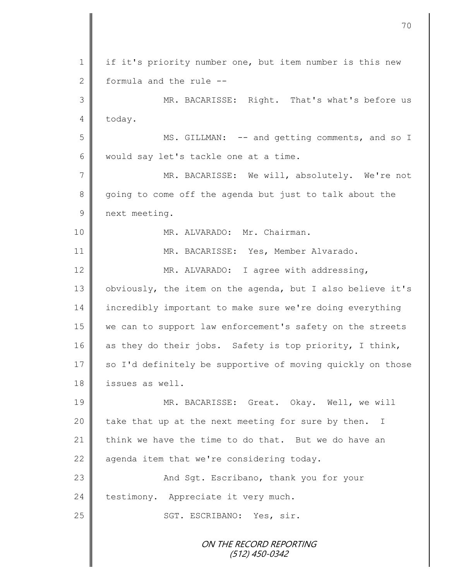| $\mathbf 1$    | if it's priority number one, but item number is this new   |
|----------------|------------------------------------------------------------|
| $\mathbf{2}$   | formula and the rule --                                    |
| 3              | MR. BACARISSE: Right. That's what's before us              |
| 4              | today.                                                     |
| 5              | MS. GILLMAN: -- and getting comments, and so I             |
| 6              | would say let's tackle one at a time.                      |
| $\overline{7}$ | MR. BACARISSE: We will, absolutely. We're not              |
| 8              | going to come off the agenda but just to talk about the    |
| $\mathsf 9$    | next meeting.                                              |
| 10             | MR. ALVARADO: Mr. Chairman.                                |
| 11             | MR. BACARISSE: Yes, Member Alvarado.                       |
| 12             | MR. ALVARADO: I agree with addressing,                     |
| 13             | obviously, the item on the agenda, but I also believe it's |
| 14             | incredibly important to make sure we're doing everything   |
| 15             | we can to support law enforcement's safety on the streets  |
| 16             | as they do their jobs. Safety is top priority, I think,    |
| 17             | so I'd definitely be supportive of moving quickly on those |
| 18             | issues as well.                                            |
| 19             | MR. BACARISSE: Great. Okay. Well, we will                  |
| 20             | take that up at the next meeting for sure by then. I       |
| 21             | think we have the time to do that. But we do have an       |
| 22             | agenda item that we're considering today.                  |
| 23             | And Sqt. Escribano, thank you for your                     |
| 24             | testimony. Appreciate it very much.                        |
| 25             | SGT. ESCRIBANO: Yes, sir.                                  |
|                | ON THE RECORD REPORTING<br>(512) 450-0342                  |

Ш I

II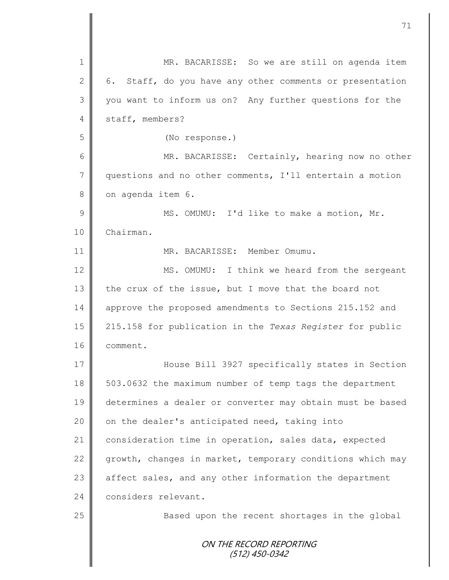|                | 71                                                        |
|----------------|-----------------------------------------------------------|
|                |                                                           |
| 1              | MR. BACARISSE: So we are still on agenda item             |
| $\mathbf{2}$   | 6. Staff, do you have any other comments or presentation  |
| 3              | you want to inform us on? Any further questions for the   |
| 4              | staff, members?                                           |
| 5              | (No response.)                                            |
| 6              | MR. BACARISSE: Certainly, hearing now no other            |
| $\overline{7}$ | questions and no other comments, I'll entertain a motion  |
| 8              | on agenda item 6.                                         |
| 9              | MS. OMUMU: I'd like to make a motion, Mr.                 |
| 10             | Chairman.                                                 |
| 11             | MR. BACARISSE: Member Omumu.                              |
| 12             | MS. OMUMU: I think we heard from the sergeant             |
| 13             | the crux of the issue, but I move that the board not      |
| 14             | approve the proposed amendments to Sections 215.152 and   |
| 15             | 215.158 for publication in the Texas Register for public  |
| 16             | comment.                                                  |
| 17             | House Bill 3927 specifically states in Section            |
| 18             | 503.0632 the maximum number of temp tags the department   |
| 19             | determines a dealer or converter may obtain must be based |
| 20             | on the dealer's anticipated need, taking into             |
| 21             | consideration time in operation, sales data, expected     |
| 22             | growth, changes in market, temporary conditions which may |
| 23             | affect sales, and any other information the department    |
| 24             | considers relevant.                                       |
| 25             | Based upon the recent shortages in the global             |
|                | ON THE RECORD REPORTING<br>(512) 450-0342                 |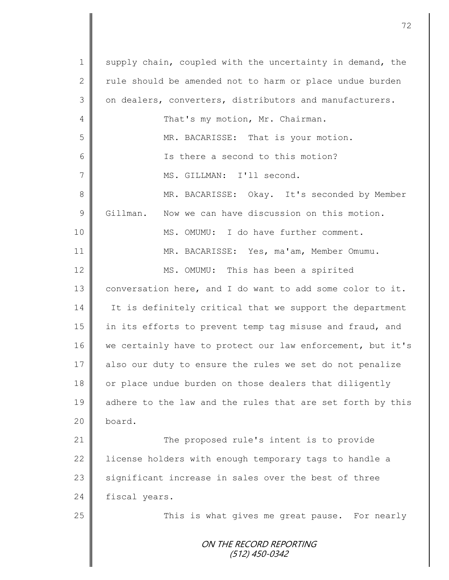ON THE RECORD REPORTING (512) 450-0342 1 supply chain, coupled with the uncertainty in demand, the 2  $\parallel$  rule should be amended not to harm or place undue burden 3 | on dealers, converters, distributors and manufacturers. 4 | That's my motion, Mr. Chairman. 5 || MR. BACARISSE: That is your motion. 6 Is there a second to this motion? 7 || MS. GILLMAN: I'll second. 8 MR. BACARISSE: Okay. It's seconded by Member 9 Gillman. Now we can have discussion on this motion. 10 **MS. OMUMU:** I do have further comment. 11 MR. BACARISSE: Yes, ma'am, Member Omumu. 12 MS. OMUMU: This has been a spirited 13 conversation here, and I do want to add some color to it. 14 It is definitely critical that we support the department 15 || in its efforts to prevent temp tag misuse and fraud, and 16 | we certainly have to protect our law enforcement, but it's 17 also our duty to ensure the rules we set do not penalize 18 or place undue burden on those dealers that diligently 19 adhere to the law and the rules that are set forth by this 20 board. 21 **The proposed rule's intent is to provide** 22 | license holders with enough temporary tags to handle a  $23$  significant increase in sales over the best of three 24 fiscal years. 25 | This is what gives me great pause. For nearly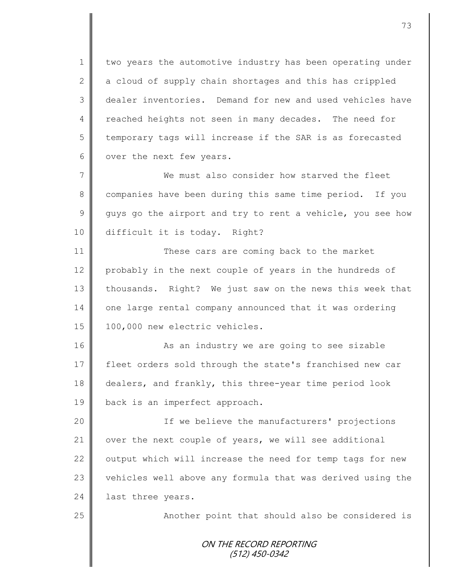1 | two years the automotive industry has been operating under 2  $\parallel$  a cloud of supply chain shortages and this has crippled 3 dealer inventories. Demand for new and used vehicles have 4 reached heights not seen in many decades. The need for 5 temporary tags will increase if the SAR is as forecasted 6 | over the next few years.

7 We must also consider how starved the fleet 8 companies have been during this same time period. If you  $9 \parallel$  guys go the airport and try to rent a vehicle, you see how 10 difficult it is today. Right?

11 These cars are coming back to the market 12 probably in the next couple of years in the hundreds of 13 thousands. Right? We just saw on the news this week that 14 one large rental company announced that it was ordering 15 | 100,000 new electric vehicles.

16 || As an industry we are going to see sizable 17 Fleet orders sold through the state's franchised new car 18 dealers, and frankly, this three-year time period look 19 **back** is an imperfect approach.

20 || If we believe the manufacturers' projections 21  $\parallel$  over the next couple of years, we will see additional 22  $\parallel$  output which will increase the need for temp tags for new 23 vehicles well above any formula that was derived using the 24 | last three years.

25 | Another point that should also be considered is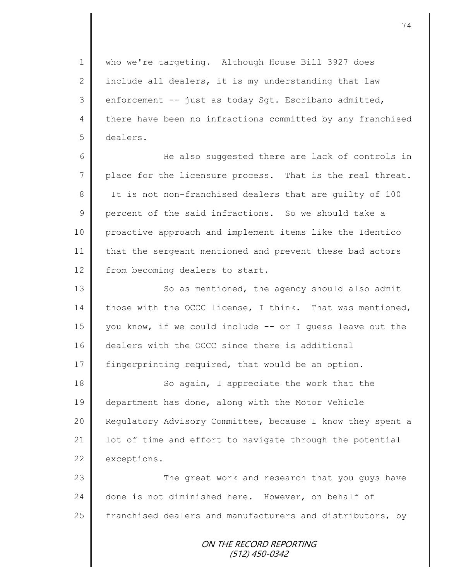1 who we're targeting. Although House Bill 3927 does 2 | include all dealers, it is my understanding that law  $3 \parallel$  enforcement -- just as today Sgt. Escribano admitted, 4 there have been no infractions committed by any franchised 5 dealers.

6 He also suggested there are lack of controls in 7 | place for the licensure process. That is the real threat. 8 It is not non-franchised dealers that are quilty of 100 9 percent of the said infractions. So we should take a 10 proactive approach and implement items like the Identico 11 | that the sergeant mentioned and prevent these bad actors 12 from becoming dealers to start.

13 || So as mentioned, the agency should also admit 14 those with the OCCC license, I think. That was mentioned, 15 you know, if we could include  $-$ - or I quess leave out the 16 dealers with the OCCC since there is additional 17 fingerprinting required, that would be an option.

18 || So again, I appreciate the work that the 19 department has done, along with the Motor Vehicle 20 | Regulatory Advisory Committee, because I know they spent a 21 | lot of time and effort to navigate through the potential 22 exceptions.

23 The great work and research that you guys have 24 done is not diminished here. However, on behalf of 25 franchised dealers and manufacturers and distributors, by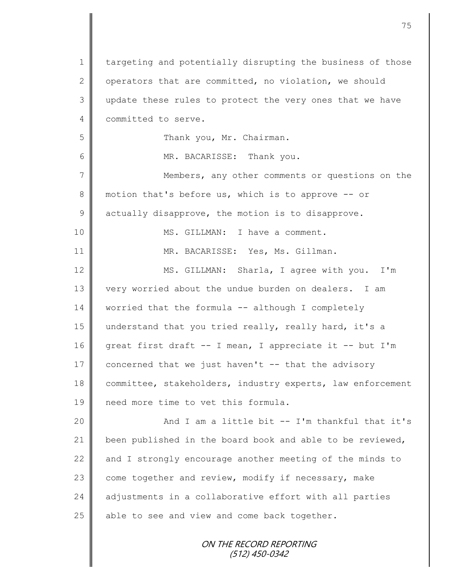ON THE RECORD REPORTING (512) 450-0342 1 targeting and potentially disrupting the business of those 2 | operators that are committed, no violation, we should 3 update these rules to protect the very ones that we have 4 committed to serve. 5 | Thank you, Mr. Chairman. 6 | MR. BACARISSE: Thank you. 7 || Members, any other comments or questions on the 8 motion that's before us, which is to approve -- or  $9 \parallel$  actually disapprove, the motion is to disapprove. 10 || MS. GILLMAN: I have a comment. 11 | MR. BACARISSE: Yes, Ms. Gillman. 12 | MS. GILLMAN: Sharla, I agree with you. I'm 13 very worried about the undue burden on dealers. I am 14 | worried that the formula -- although I completely 15 || understand that you tried really, really hard, it's a 16 great first draft -- I mean, I appreciate it -- but I'm 17 concerned that we just haven't -- that the advisory 18 committee, stakeholders, industry experts, law enforcement 19 need more time to vet this formula. 20 || And I am a little bit -- I'm thankful that it's 21 been published in the board book and able to be reviewed, 22  $\parallel$  and I strongly encourage another meeting of the minds to 23 come together and review, modify if necessary, make 24 adjustments in a collaborative effort with all parties  $25$  able to see and view and come back together.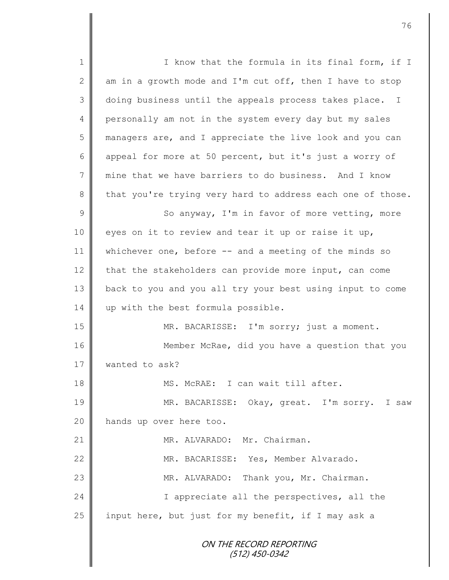ON THE RECORD REPORTING (512) 450-0342 1 || I know that the formula in its final form, if I 2  $\parallel$  am in a growth mode and I'm cut off, then I have to stop 3 doing business until the appeals process takes place. I 4 personally am not in the system every day but my sales 5 managers are, and I appreciate the live look and you can 6 appeal for more at 50 percent, but it's just a worry of 7 mine that we have barriers to do business. And I know 8 that you're trying very hard to address each one of those. 9 || So anyway, I'm in favor of more vetting, more 10 eyes on it to review and tear it up or raise it up, 11 | whichever one, before -- and a meeting of the minds so 12 that the stakeholders can provide more input, can come 13 back to you and you all try your best using input to come 14 | up with the best formula possible. 15 MR. BACARISSE: I'm sorry; just a moment. 16 | Member McRae, did you have a question that you 17 **Wanted to ask?** 18 MS. McRAE: I can wait till after. 19 MR. BACARISSE: Okay, great. I'm sorry. I saw 20 | hands up over here too. 21 || MR. ALVARADO: Mr. Chairman. 22 | MR. BACARISSE: Yes, Member Alvarado. 23 | MR. ALVARADO: Thank you, Mr. Chairman. 24 | I appreciate all the perspectives, all the 25 input here, but just for my benefit, if I may ask a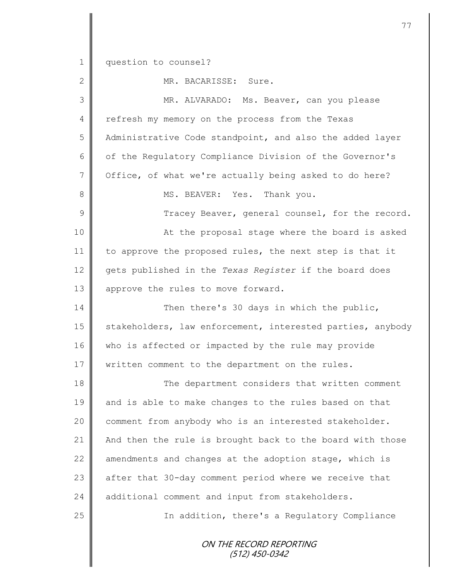1 question to counsel?

2 MR. BACARISSE: Sure.

|               | III DIICIIRLOOD. DULC                                      |
|---------------|------------------------------------------------------------|
| 3             | MR. ALVARADO: Ms. Beaver, can you please                   |
| 4             | refresh my memory on the process from the Texas            |
| 5             | Administrative Code standpoint, and also the added layer   |
| 6             | of the Regulatory Compliance Division of the Governor's    |
| 7             | Office, of what we're actually being asked to do here?     |
| 8             | MS. BEAVER: Yes. Thank you.                                |
| $\mathcal{G}$ | Tracey Beaver, general counsel, for the record.            |
| 10            | At the proposal stage where the board is asked             |
| 11            | to approve the proposed rules, the next step is that it    |
| 12            | gets published in the Texas Register if the board does     |
| 13            | approve the rules to move forward.                         |
| 14            | Then there's 30 days in which the public,                  |
| 15            | stakeholders, law enforcement, interested parties, anybody |
| 16            | who is affected or impacted by the rule may provide        |
| 17            | written comment to the department on the rules.            |
| 18            | The department considers that written comment              |
| 19            | and is able to make changes to the rules based on that     |
| 20            | comment from anybody who is an interested stakeholder.     |
| 21            | And then the rule is brought back to the board with those  |
| 22            | amendments and changes at the adoption stage, which is     |
| 23            | after that 30-day comment period where we receive that     |
| 24            | additional comment and input from stakeholders.            |
| 25            | In addition, there's a Regulatory Compliance               |
|               | ON THE RECORD REPORTING                                    |

(512) 450-0342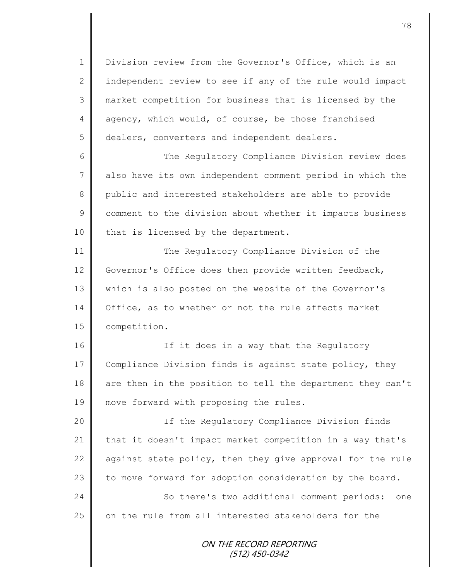1 Division review from the Governor's Office, which is an 2  $\parallel$  independent review to see if any of the rule would impact 3 market competition for business that is licensed by the 4 agency, which would, of course, be those franchised 5 dealers, converters and independent dealers.

6 The Regulatory Compliance Division review does 7 also have its own independent comment period in which the 8 public and interested stakeholders are able to provide 9 | comment to the division about whether it impacts business  $10$  | that is licensed by the department.

11 The Regulatory Compliance Division of the 12 Governor's Office does then provide written feedback, 13 || which is also posted on the website of the Governor's 14 | Office, as to whether or not the rule affects market 15 **competition.** 

16 || If it does in a way that the Regulatory 17 Compliance Division finds is against state policy, they 18 are then in the position to tell the department they can't 19 || move forward with proposing the rules.

20 | The Regulatory Compliance Division finds 21 that it doesn't impact market competition in a way that's 22  $\parallel$  against state policy, then they give approval for the rule 23  $\parallel$  to move forward for adoption consideration by the board. 24 So there's two additional comment periods: one 25 on the rule from all interested stakeholders for the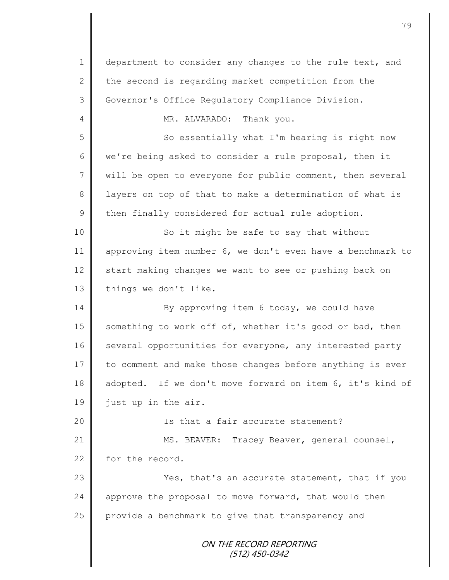ON THE RECORD REPORTING (512) 450-0342 1 department to consider any changes to the rule text, and 2 the second is regarding market competition from the 3 Governor's Office Regulatory Compliance Division. 4 MR. ALVARADO: Thank you. 5 So essentially what I'm hearing is right now 6 we're being asked to consider a rule proposal, then it 7 | will be open to everyone for public comment, then several 8 || layers on top of that to make a determination of what is  $9 \parallel$  then finally considered for actual rule adoption. 10 || So it might be safe to say that without 11 approving item number 6, we don't even have a benchmark to 12 start making changes we want to see or pushing back on 13 things we don't like. 14 By approving item 6 today, we could have 15  $\parallel$  something to work off of, whether it's good or bad, then 16 several opportunities for everyone, any interested party 17 to comment and make those changes before anything is ever 18 adopted. If we don't move forward on item 6, it's kind of 19 | just up in the air. 20 || Is that a fair accurate statement? 21 | MS. BEAVER: Tracey Beaver, general counsel, 22 for the record. 23 | Yes, that's an accurate statement, that if you 24  $\parallel$  approve the proposal to move forward, that would then  $25$  provide a benchmark to give that transparency and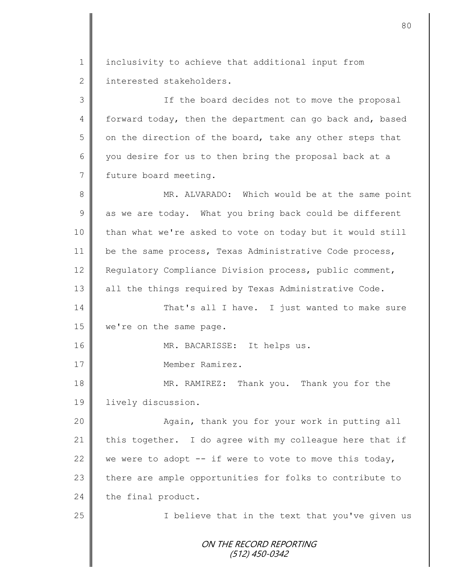1 | inclusivity to achieve that additional input from 2 interested stakeholders.

3 || If the board decides not to move the proposal 4 forward today, then the department can go back and, based  $5 \parallel$  on the direction of the board, take any other steps that 6 you desire for us to then bring the proposal back at a 7 future board meeting.

ON THE RECORD REPORTING (512) 450-0342 8 || MR. ALVARADO: Which would be at the same point  $9 \parallel$  as we are today. What you bring back could be different 10 than what we're asked to vote on today but it would still 11 | be the same process, Texas Administrative Code process, 12 Requlatory Compliance Division process, public comment, 13 all the things required by Texas Administrative Code. 14 That's all I have. I just wanted to make sure 15 we're on the same page. 16 || MR. BACARISSE: It helps us. 17 Member Ramirez. 18 MR. RAMIREZ: Thank you. Thank you for the 19 | lively discussion. 20 || Again, thank you for your work in putting all 21 this together. I do agree with my colleague here that if 22 we were to adopt  $-$  if were to vote to move this today, 23 there are ample opportunities for folks to contribute to  $24$  the final product. 25 || I believe that in the text that you've given us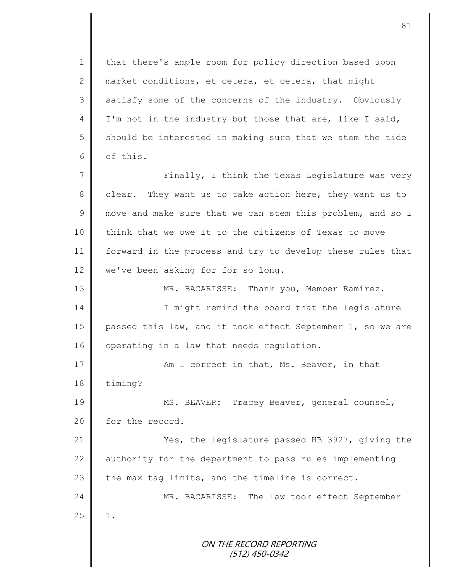1 | that there's ample room for policy direction based upon 2 market conditions, et cetera, et cetera, that might 3 satisfy some of the concerns of the industry. Obviously 4 I'm not in the industry but those that are, like I said, 5 should be interested in making sure that we stem the tide  $6 \parallel$  of this.

7 || Finally, I think the Texas Legislature was very 8 clear. They want us to take action here, they want us to 9 move and make sure that we can stem this problem, and so I 10 | think that we owe it to the citizens of Texas to move 11 forward in the process and try to develop these rules that 12 we've been asking for for so long.

13 | MR. BACARISSE: Thank you, Member Ramirez. 14 || I might remind the board that the legislature 15 passed this law, and it took effect September 1, so we are 16 | operating in a law that needs regulation.

17 || Am I correct in that, Ms. Beaver, in that 18 timing?

19 || MS. BEAVER: Tracey Beaver, general counsel, 20 for the record.

21 **Wes, the legislature passed HB 3927, giving the** 22  $\parallel$  authority for the department to pass rules implementing  $23$  the max tag limits, and the timeline is correct.

24 MR. BACARISSE: The law took effect September  $25$  | 1.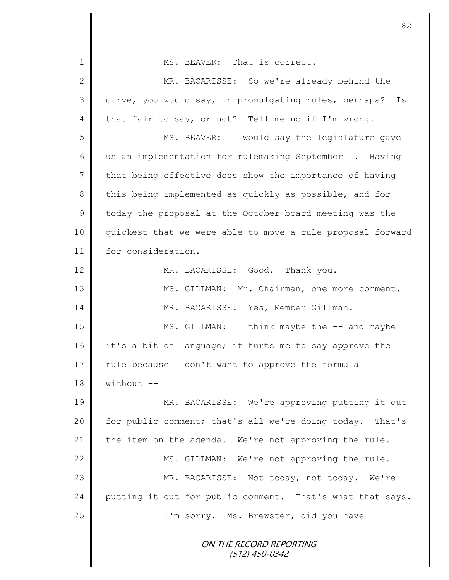ON THE RECORD REPORTING (512) 450-0342 1 **I** MS. BEAVER: That is correct. 2 MR. BACARISSE: So we're already behind the 3 curve, you would say, in promulgating rules, perhaps? Is 4 that fair to say, or not? Tell me no if I'm wrong. 5 || MS. BEAVER: I would say the legislature gave 6 us an implementation for rulemaking September 1. Having  $7 \parallel$  that being effective does show the importance of having 8 this being implemented as quickly as possible, and for 9 today the proposal at the October board meeting was the 10 quickest that we were able to move a rule proposal forward 11 for consideration. 12 MR. BACARISSE: Good. Thank you. 13 || MS. GILLMAN: Mr. Chairman, one more comment. 14 | MR. BACARISSE: Yes, Member Gillman. 15 || MS. GILLMAN: I think maybe the -- and maybe 16 it's a bit of language; it hurts me to say approve the 17 | rule because I don't want to approve the formula  $18 \parallel$  without  $-$ 19 MR. BACARISSE: We're approving putting it out 20 | for public comment; that's all we're doing today. That's 21 the item on the agenda. We're not approving the rule. 22 MS. GILLMAN: We're not approving the rule. 23 MR. BACARISSE: Not today, not today. We're  $24$  putting it out for public comment. That's what that says. 25 || I'm sorry. Ms. Brewster, did you have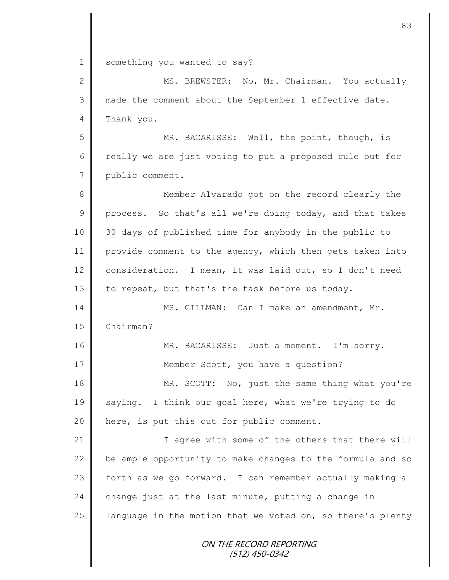1 something you wanted to say?

| $\overline{2}$ | MS. BREWSTER: No, Mr. Chairman. You actually               |
|----------------|------------------------------------------------------------|
| 3              | made the comment about the September 1 effective date.     |
| $\overline{4}$ | Thank you.                                                 |
| 5              | MR. BACARISSE: Well, the point, though, is                 |
| 6              | really we are just voting to put a proposed rule out for   |
| $\overline{7}$ | public comment.                                            |
| $8\,$          | Member Alvarado got on the record clearly the              |
| 9              | process. So that's all we're doing today, and that takes   |
| 10             | 30 days of published time for anybody in the public to     |
| 11             | provide comment to the agency, which then gets taken into  |
| 12             | consideration. I mean, it was laid out, so I don't need    |
| 13             | to repeat, but that's the task before us today.            |
| 14             | MS. GILLMAN: Can I make an amendment, Mr.                  |
| 15             | Chairman?                                                  |
| 16             | MR. BACARISSE: Just a moment. I'm sorry.                   |
| 17             | Member Scott, you have a question?                         |
| 18             | MR. SCOTT: No, just the same thing what you're             |
| 19             | saying. I think our goal here, what we're trying to do     |
| 20             | here, is put this out for public comment.                  |
| 21             | I agree with some of the others that there will            |
| 22             | be ample opportunity to make changes to the formula and so |
| 23             | forth as we go forward. I can remember actually making a   |
| 24             | change just at the last minute, putting a change in        |
| 25             | language in the motion that we voted on, so there's plenty |
|                | ON THE RECORD REPORTING<br>(512) 450-0342                  |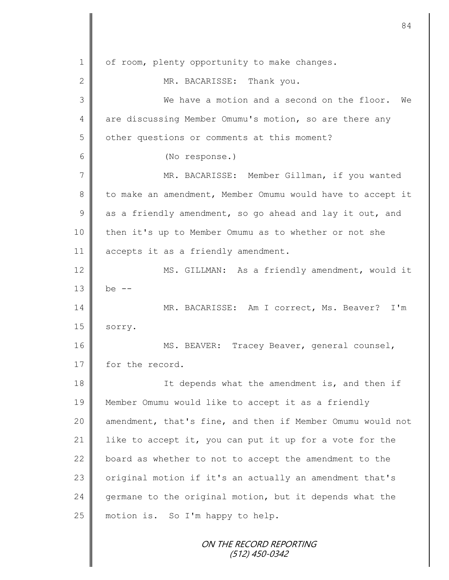| $\mathbf 1$  | of room, plenty opportunity to make changes.               |
|--------------|------------------------------------------------------------|
| $\mathbf{2}$ | MR. BACARISSE: Thank you.                                  |
| 3            | We have a motion and a second on the floor.<br>We          |
| 4            | are discussing Member Omumu's motion, so are there any     |
| 5            | other questions or comments at this moment?                |
| 6            | (No response.)                                             |
| 7            | MR. BACARISSE: Member Gillman, if you wanted               |
| $\,8\,$      | to make an amendment, Member Omumu would have to accept it |
| $\mathsf 9$  | as a friendly amendment, so go ahead and lay it out, and   |
| 10           | then it's up to Member Omumu as to whether or not she      |
| 11           | accepts it as a friendly amendment.                        |
| 12           | MS. GILLMAN: As a friendly amendment, would it             |
| 13           | be $--$                                                    |
| 14           | MR. BACARISSE: Am I correct, Ms. Beaver? I'm               |
| 15           | sorry.                                                     |
| 16           | MS. BEAVER: Tracey Beaver, general counsel,                |
| 17           | for the record.                                            |
| 18           | It depends what the amendment is, and then if              |
| 19           | Member Omumu would like to accept it as a friendly         |
| 20           | amendment, that's fine, and then if Member Omumu would not |
| 21           | like to accept it, you can put it up for a vote for the    |
| 22           | board as whether to not to accept the amendment to the     |
| 23           | original motion if it's an actually an amendment that's    |
| 24           | germane to the original motion, but it depends what the    |
| 25           | motion is. So I'm happy to help.                           |
|              | ON THE RECORD REPORTING<br>$(512)$ 450-0342                |

II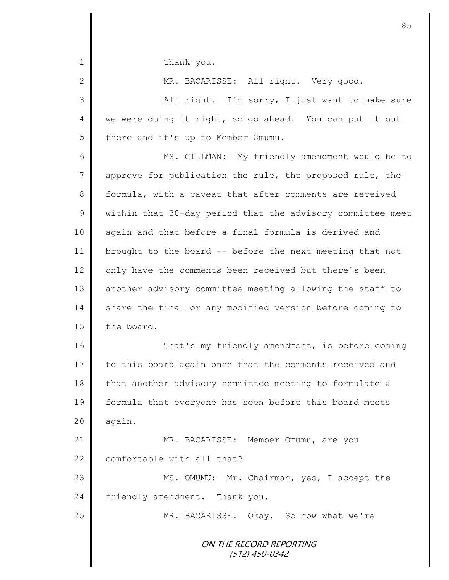ON THE RECORD REPORTING (512) 450-0342 1 Thank you. 2 MR. BACARISSE: All right. Very good. 3 All right. I'm sorry, I just want to make sure 4 we were doing it right, so go ahead. You can put it out 5 there and it's up to Member Omumu. 6 || MS. GILLMAN: My friendly amendment would be to  $7 \parallel$  approve for publication the rule, the proposed rule, the 8 formula, with a caveat that after comments are received 9 We within that 30-day period that the advisory committee meet 10 again and that before a final formula is derived and 11 brought to the board -- before the next meeting that not 12 only have the comments been received but there's been 13 || another advisory committee meeting allowing the staff to 14 share the final or any modified version before coming to  $15$  the board. 16 That's my friendly amendment, is before coming 17 to this board again once that the comments received and 18 that another advisory committee meeting to formulate a 19 formula that everyone has seen before this board meets  $20$  | again. 21 MR. BACARISSE: Member Omumu, are you 22  $\parallel$  comfortable with all that? 23 MS. OMUMU: Mr. Chairman, yes, I accept the 24 friendly amendment. Thank you. 25 MR. BACARISSE: Okay. So now what we're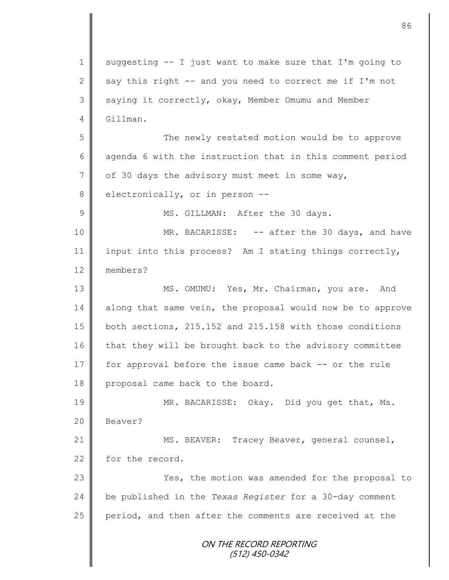ON THE RECORD REPORTING (512) 450-0342 1 | suggesting  $-$  I just want to make sure that I'm going to 2 say this right -- and you need to correct me if I'm not 3 saying it correctly, okay, Member Omumu and Member  $4 \parallel$  Gillman. 5 The newly restated motion would be to approve  $6$  agenda 6 with the instruction that in this comment period  $7 \parallel$  of 30 days the advisory must meet in some way,  $8 \parallel$  electronically, or in person --9 || MS. GILLMAN: After the 30 days. 10 MR. BACARISSE: -- after the 30 days, and have 11 input into this process? Am I stating things correctly, 12 members? 13 MS. OMUMU: Yes, Mr. Chairman, you are. And 14 along that same vein, the proposal would now be to approve 15 both sections, 215.152 and 215.158 with those conditions  $16$  that they will be brought back to the advisory committee 17 for approval before the issue came back -- or the rule 18 proposal came back to the board. 19 || MR. BACARISSE: Okay. Did you get that, Ms. 20 Beaver? 21 | MS. BEAVER: Tracey Beaver, general counsel, 22 for the record. 23 | Yes, the motion was amended for the proposal to 24 be published in the *Texas Register* for a 30-day comment  $25$  period, and then after the comments are received at the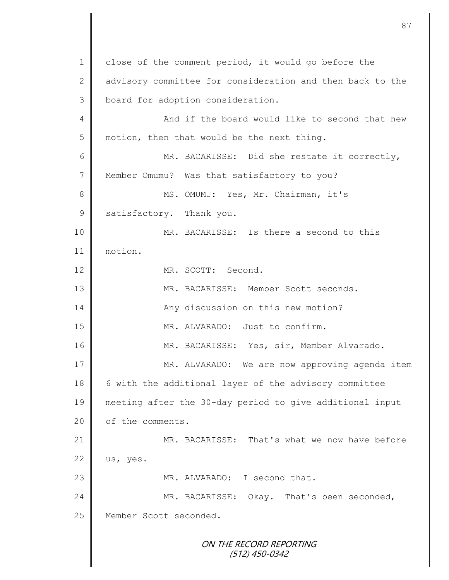ON THE RECORD REPORTING (512) 450-0342 1 close of the comment period, it would go before the 2 advisory committee for consideration and then back to the 3 | board for adoption consideration. 4 || And if the board would like to second that new 5 motion, then that would be the next thing. 6 MR. BACARISSE: Did she restate it correctly, 7 Member Omumu? Was that satisfactory to you? 8 || MS. OMUMU: Yes, Mr. Chairman, it's 9 satisfactory. Thank you. 10 || MR. BACARISSE: Is there a second to this 11 motion. 12 MR. SCOTT: Second. 13 MR. BACARISSE: Member Scott seconds. 14 | Any discussion on this new motion? 15 || MR. ALVARADO: Just to confirm. 16 | MR. BACARISSE: Yes, sir, Member Alvarado. 17 MR. ALVARADO: We are now approving agenda item 18 | 6 with the additional layer of the advisory committee 19 meeting after the 30-day period to give additional input 20 of the comments. 21 **MR. BACARISSE:** That's what we now have before  $22 \parallel$  us, yes. 23 MR. ALVARADO: I second that. 24 MR. BACARISSE: Okay. That's been seconded, 25 | Member Scott seconded.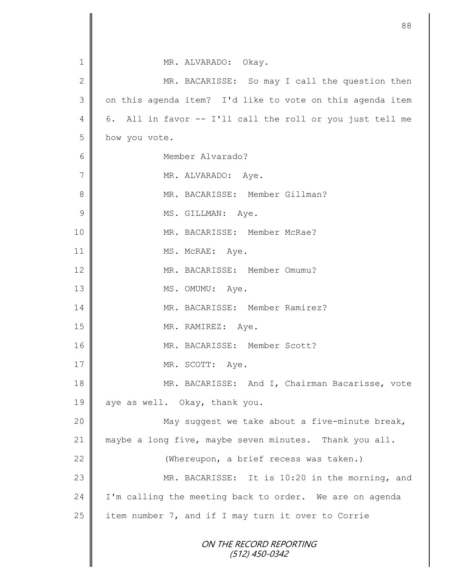|                | 88                                                           |
|----------------|--------------------------------------------------------------|
|                |                                                              |
| 1              | MR. ALVARADO: Okay.                                          |
| $\mathbf{2}$   | MR. BACARISSE: So may I call the question then               |
| 3              | on this agenda item? I'd like to vote on this agenda item    |
| 4              | 6.<br>All in favor -- I'll call the roll or you just tell me |
| 5              | how you vote.                                                |
| 6              | Member Alvarado?                                             |
| $\overline{7}$ | MR. ALVARADO: Aye.                                           |
| 8              | MR. BACARISSE: Member Gillman?                               |
| $\mathcal{G}$  | MS. GILLMAN: Aye.                                            |
| 10             | MR. BACARISSE: Member McRae?                                 |
| 11             | MS. McRAE: Aye.                                              |
| 12             | MR. BACARISSE: Member Omumu?                                 |
| 13             | MS. OMUMU: Aye.                                              |
| 14             | MR. BACARISSE: Member Ramirez?                               |
| 15             | MR. RAMIREZ: Aye.                                            |
| 16             | MR. BACARISSE: Member Scott?                                 |
| 17             | MR. SCOTT: Aye.                                              |
| 18             | MR. BACARISSE: And I, Chairman Bacarisse, vote               |
| 19             | aye as well. Okay, thank you.                                |
| 20             | May suggest we take about a five-minute break,               |
| 21             | maybe a long five, maybe seven minutes. Thank you all.       |
| 22             | (Whereupon, a brief recess was taken.)                       |
| 23             | MR. BACARISSE: It is 10:20 in the morning, and               |
| 24             | I'm calling the meeting back to order. We are on agenda      |
| 25             | item number 7, and if I may turn it over to Corrie           |
|                | ON THE RECORD REPORTING<br>$(512)$ 450-0342                  |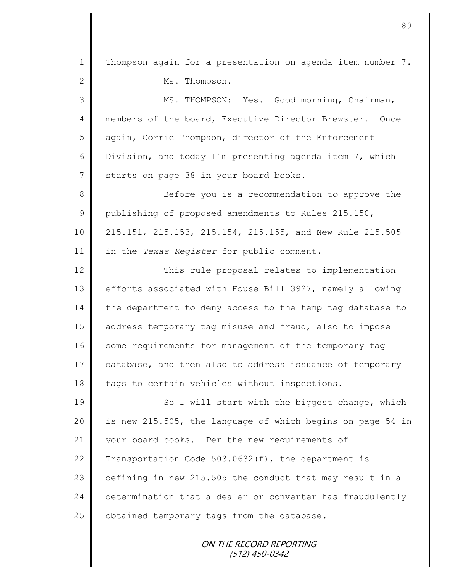ON THE RECORD REPORTING 1 | Thompson again for a presentation on agenda item number 7. 2 Ms. Thompson. 3 MS. THOMPSON: Yes. Good morning, Chairman, 4 members of the board, Executive Director Brewster. Once 5 again, Corrie Thompson, director of the Enforcement 6 Division, and today I'm presenting agenda item 7, which 7 starts on page 38 in your board books. 8 Before you is a recommendation to approve the 9 publishing of proposed amendments to Rules 215.150, 10 215.151, 215.153, 215.154, 215.155, and New Rule 215.505 11 in the *Texas Register* for public comment. 12 This rule proposal relates to implementation 13 | efforts associated with House Bill 3927, namely allowing 14 the department to deny access to the temp tag database to 15 address temporary tag misuse and fraud, also to impose 16 some requirements for management of the temporary tag 17 database, and then also to address issuance of temporary 18 tags to certain vehicles without inspections. 19 || So I will start with the biggest change, which 20 | is new 215.505, the language of which begins on page 54 in 21 vour board books. Per the new requirements of 22 Transportation Code  $503.0632(f)$ , the department is 23 defining in new 215.505 the conduct that may result in a 24 determination that a dealer or converter has fraudulently 25  $\parallel$  obtained temporary tags from the database.

(512) 450-0342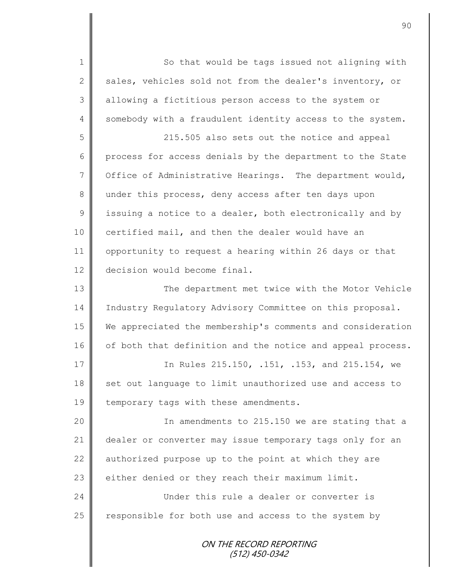1 || So that would be tags issued not aligning with 2 sales, vehicles sold not from the dealer's inventory, or 3 | allowing a fictitious person access to the system or 4 somebody with a fraudulent identity access to the system. 5 215.505 also sets out the notice and appeal

6 process for access denials by the department to the State 7  $\parallel$  Office of Administrative Hearings. The department would, 8 under this process, deny access after ten days upon  $9 \parallel$  issuing a notice to a dealer, both electronically and by 10 certified mail, and then the dealer would have an 11 | opportunity to request a hearing within 26 days or that 12 decision would become final.

13 | The department met twice with the Motor Vehicle 14 | Industry Regulatory Advisory Committee on this proposal. 15 We appreciated the membership's comments and consideration 16 | of both that definition and the notice and appeal process.

17 || In Rules 215.150, .151, .153, and 215.154, we 18 set out language to limit unauthorized use and access to 19  $\parallel$  temporary tags with these amendments.

20 || In amendments to 215.150 we are stating that a 21 dealer or converter may issue temporary tags only for an 22  $\parallel$  authorized purpose up to the point at which they are  $23$   $\parallel$  either denied or they reach their maximum limit.

24 Under this rule a dealer or converter is 25  $\parallel$  responsible for both use and access to the system by

> ON THE RECORD REPORTING (512) 450-0342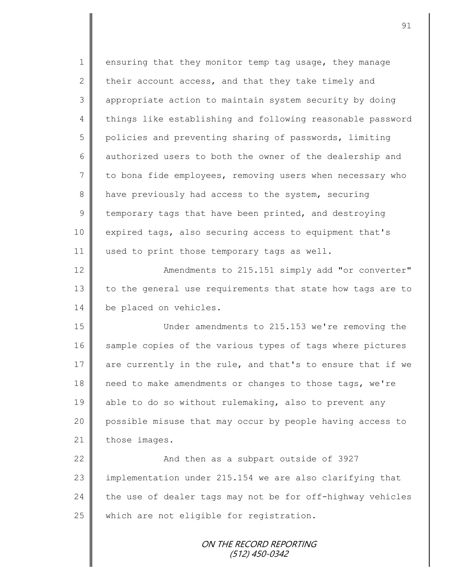| $\mathbf 1$   | ensuring that they monitor temp tag usage, they manage     |
|---------------|------------------------------------------------------------|
| $\mathbf{2}$  | their account access, and that they take timely and        |
| 3             | appropriate action to maintain system security by doing    |
| 4             | things like establishing and following reasonable password |
| 5             | policies and preventing sharing of passwords, limiting     |
| 6             | authorized users to both the owner of the dealership and   |
| 7             | to bona fide employees, removing users when necessary who  |
| 8             | have previously had access to the system, securing         |
| $\mathcal{G}$ | temporary tags that have been printed, and destroying      |
| 10            | expired tags, also securing access to equipment that's     |
| 11            | used to print those temporary tags as well.                |
| 12            | Amendments to 215.151 simply add "or converter"            |
| 13            | to the general use requirements that state how tags are to |
| 14            | be placed on vehicles.                                     |
| 15            | Under amendments to 215.153 we're removing the             |
| 16            | sample copies of the various types of tags where pictures  |
| 17            | are currently in the rule, and that's to ensure that if we |
| 18            | need to make amendments or changes to those tags, we're    |
| 19            | able to do so without rulemaking, also to prevent any      |
| 20            | possible misuse that may occur by people having access to  |
| 21            | those images.                                              |
| 22            | And then as a subpart outside of 3927                      |
| 23            | implementation under 215.154 we are also clarifying that   |
| 24            | the use of dealer tags may not be for off-highway vehicles |
| 25            | which are not eligible for registration.                   |
|               |                                                            |
|               | ON THE RECORD REPORTING<br>(512) 450-0342                  |
|               |                                                            |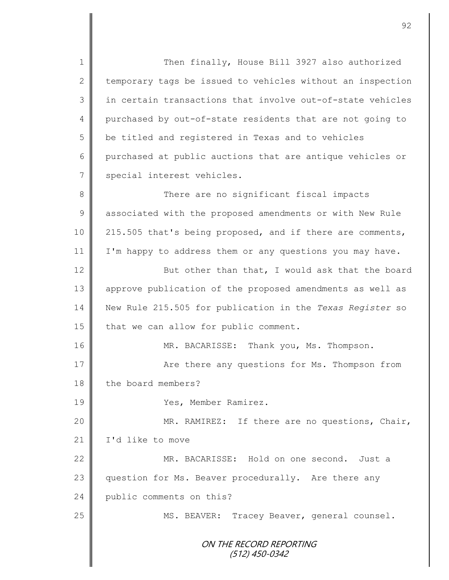1 Then finally, House Bill 3927 also authorized  $2 \parallel$  temporary tags be issued to vehicles without an inspection  $3 \parallel$  in certain transactions that involve out-of-state vehicles 4 purchased by out-of-state residents that are not going to 5 | be titled and registered in Texas and to vehicles 6 purchased at public auctions that are antique vehicles or 7 special interest vehicles. 8 There are no significant fiscal impacts 9 | associated with the proposed amendments or with New Rule 10 | 215.505 that's being proposed, and if there are comments, 11 | I'm happy to address them or any questions you may have. 12 **But other than that, I would ask that the board** 13 approve publication of the proposed amendments as well as 14 New Rule 215.505 for publication in the *Texas Register* so 15  $\parallel$  that we can allow for public comment. 16 MR. BACARISSE: Thank you, Ms. Thompson. 17 Are there any questions for Ms. Thompson from 18 the board members? 19 Yes, Member Ramirez. 20 || MR. RAMIREZ: If there are no questions, Chair, 21 | I'd like to move 22 MR. BACARISSE: Hold on one second. Just a 23 question for Ms. Beaver procedurally. Are there any

24 public comments on this?

25 | MS. BEAVER: Tracey Beaver, general counsel.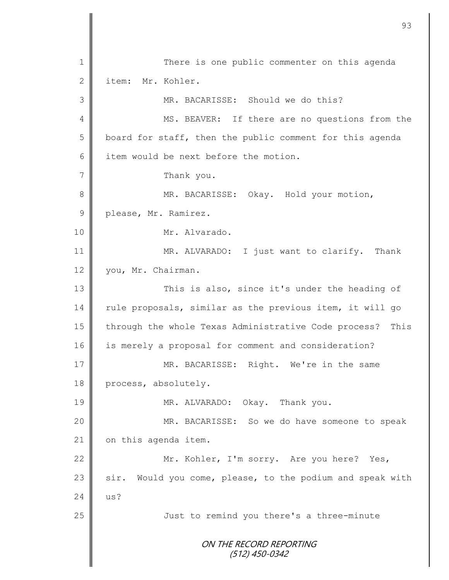ON THE RECORD REPORTING (512) 450-0342 1 There is one public commenter on this agenda 2 item: Mr. Kohler. 3 MR. BACARISSE: Should we do this? 4 || MS. BEAVER: If there are no questions from the  $5 \parallel$  board for staff, then the public comment for this agenda  $6 \parallel$  item would be next before the motion. 7 | Thank you. 8 MR. BACARISSE: Okay. Hold your motion, 9 please, Mr. Ramirez. 10 | Mr. Alvarado. 11 || MR. ALVARADO: I just want to clarify. Thank 12 vou, Mr. Chairman. 13 || This is also, since it's under the heading of  $14$  rule proposals, similar as the previous item, it will go 15 | through the whole Texas Administrative Code process? This 16 is merely a proposal for comment and consideration? 17 || MR. BACARISSE: Right. We're in the same 18 process, absolutely. 19 MR. ALVARADO: Okay. Thank you. 20 MR. BACARISSE: So we do have someone to speak 21 | on this agenda item. 22 | Mr. Kohler, I'm sorry. Are you here? Yes, 23 sir. Would you come, please, to the podium and speak with  $24 \parallel$  us? 25 Just to remind you there's a three-minute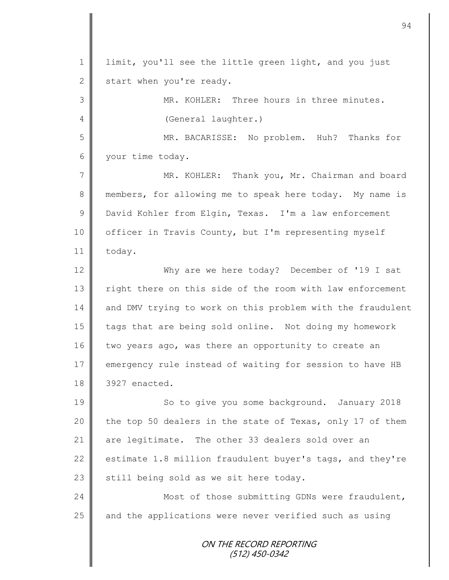ON THE RECORD REPORTING (512) 450-0342 1 | limit, you'll see the little green light, and you just  $2 \parallel$  start when you're ready. 3 MR. KOHLER: Three hours in three minutes. 4 (General laughter.) 5 MR. BACARISSE: No problem. Huh? Thanks for 6 your time today. 7 MR. KOHLER: Thank you, Mr. Chairman and board 8 members, for allowing me to speak here today. My name is 9 David Kohler from Elgin, Texas. I'm a law enforcement 10 | officer in Travis County, but I'm representing myself 11 today. 12 Why are we here today? December of '19 I sat 13 | right there on this side of the room with law enforcement 14 and DMV trying to work on this problem with the fraudulent 15 | tags that are being sold online. Not doing my homework 16 two years ago, was there an opportunity to create an 17 emergency rule instead of waiting for session to have HB 18 3927 enacted. 19 || So to give you some background. January 2018 20  $\parallel$  the top 50 dealers in the state of Texas, only 17 of them 21 are legitimate. The other 33 dealers sold over an 22 estimate 1.8 million fraudulent buyer's tags, and they're 23  $\parallel$  still being sold as we sit here today. 24 Most of those submitting GDNs were fraudulent, 25 | and the applications were never verified such as using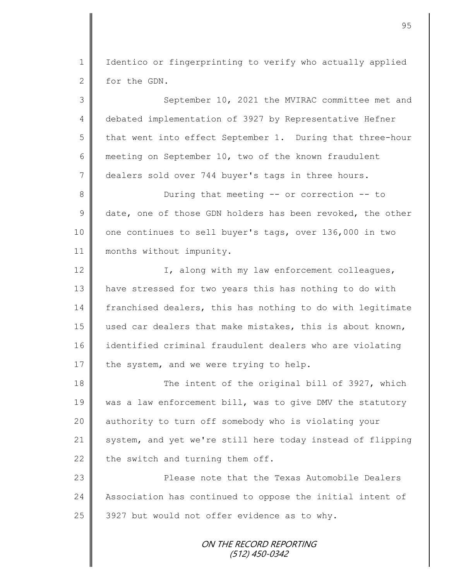1 | Identico or fingerprinting to verify who actually applied 2 for the GDN.

3 September 10, 2021 the MVIRAC committee met and 4 debated implementation of 3927 by Representative Hefner  $5 \parallel$  that went into effect September 1. During that three-hour 6 meeting on September 10, two of the known fraudulent 7 dealers sold over 744 buyer's tags in three hours. 8 During that meeting -- or correction -- to  $9 \parallel$  date, one of those GDN holders has been revoked, the other 10 | one continues to sell buyer's tags, over 136,000 in two 11 | months without impunity. 12 | I, along with my law enforcement colleagues, 13 have stressed for two years this has nothing to do with 14 franchised dealers, this has nothing to do with legitimate 15 used car dealers that make mistakes, this is about known, 16 identified criminal fraudulent dealers who are violating 17  $\parallel$  the system, and we were trying to help. 18 The intent of the original bill of 3927, which 19 | was a law enforcement bill, was to give DMV the statutory 20 || authority to turn off somebody who is violating your 21 system, and yet we're still here today instead of flipping 22 the switch and turning them off. 23 Please note that the Texas Automobile Dealers 24 Association has continued to oppose the initial intent of 25  $\parallel$  3927 but would not offer evidence as to why.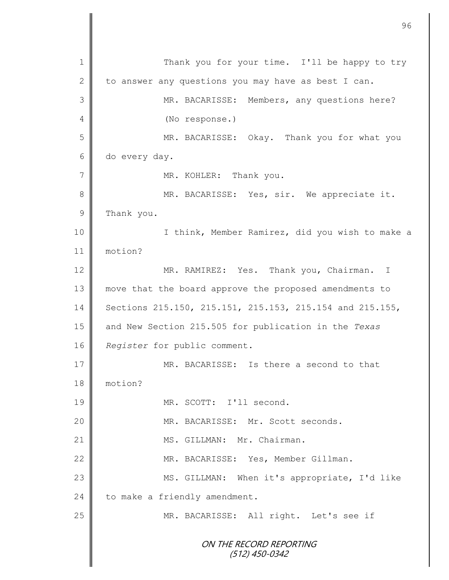ON THE RECORD REPORTING (512) 450-0342 1 Thank you for your time. I'll be happy to try 2 to answer any questions you may have as best I can. 3 MR. BACARISSE: Members, any questions here? 4 (No response.) 5 || MR. BACARISSE: Okay. Thank you for what you 6 do every day. 7 | MR. KOHLER: Thank you. 8 MR. BACARISSE: Yes, sir. We appreciate it. 9 Thank you. 10 || I think, Member Ramirez, did you wish to make a 11 motion? 12 MR. RAMIREZ: Yes. Thank you, Chairman. I 13 move that the board approve the proposed amendments to 14 Sections 215.150, 215.151, 215.153, 215.154 and 215.155, 15 and New Section 215.505 for publication in the *Texas*  16 *Register* for public comment. 17 **MR. BACARISSE:** Is there a second to that 18 motion? 19 MR. SCOTT: I'll second. 20 || MR. BACARISSE: Mr. Scott seconds. 21 || MS. GILLMAN: Mr. Chairman. 22 MR. BACARISSE: Yes, Member Gillman. 23 || MS. GILLMAN: When it's appropriate, I'd like 24 to make a friendly amendment. 25 MR. BACARISSE: All right. Let's see if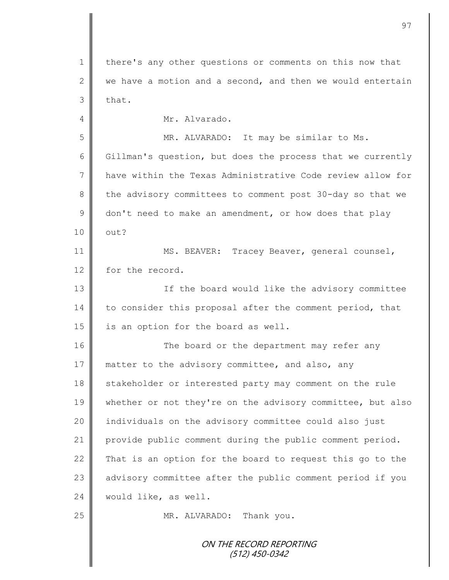ON THE RECORD REPORTING (512) 450-0342 1 | there's any other questions or comments on this now that 2 we have a motion and a second, and then we would entertain  $3$  that. 4 Mr. Alvarado. 5 MR. ALVARADO: It may be similar to Ms. 6 Gillman's question, but does the process that we currently 7 have within the Texas Administrative Code review allow for 8 the advisory committees to comment post 30-day so that we 9 don't need to make an amendment, or how does that play  $10 \parallel \quad \text{out?}$ 11 | MS. BEAVER: Tracey Beaver, general counsel, 12 for the record. 13 || If the board would like the advisory committee 14 to consider this proposal after the comment period, that 15  $\parallel$  is an option for the board as well. 16 The board or the department may refer any 17 matter to the advisory committee, and also, any 18 stakeholder or interested party may comment on the rule 19 whether or not they're on the advisory committee, but also 20 || individuals on the advisory committee could also just 21 provide public comment during the public comment period. 22  $\parallel$  That is an option for the board to request this go to the 23 advisory committee after the public comment period if you 24 | would like, as well. 25 MR. ALVARADO: Thank you.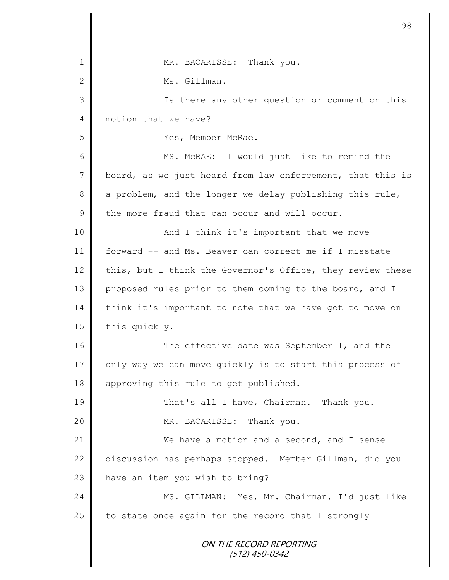|              | 98                                                         |
|--------------|------------------------------------------------------------|
|              |                                                            |
| 1            | MR. BACARISSE: Thank you.                                  |
| $\mathbf{2}$ | Ms. Gillman.                                               |
| 3            | Is there any other question or comment on this             |
| 4            | motion that we have?                                       |
| 5            | Yes, Member McRae.                                         |
| 6            | MS. McRAE: I would just like to remind the                 |
| 7            | board, as we just heard from law enforcement, that this is |
| 8            | a problem, and the longer we delay publishing this rule,   |
| $\mathsf 9$  | the more fraud that can occur and will occur.              |
| 10           | And I think it's important that we move                    |
| 11           | forward -- and Ms. Beaver can correct me if I misstate     |
| 12           | this, but I think the Governor's Office, they review these |
| 13           | proposed rules prior to them coming to the board, and I    |
| 14           | think it's important to note that we have got to move on   |
| 15           | this quickly.                                              |
| 16           | The effective date was September 1, and the                |
| 17           | only way we can move quickly is to start this process of   |
| 18           | approving this rule to get published.                      |
| 19           | That's all I have, Chairman. Thank you.                    |
| 20           | MR. BACARISSE: Thank you.                                  |
| 21           | We have a motion and a second, and I sense                 |
| 22           | discussion has perhaps stopped. Member Gillman, did you    |
| 23           | have an item you wish to bring?                            |
| 24           | MS. GILLMAN: Yes, Mr. Chairman, I'd just like              |
| 25           | to state once again for the record that I strongly         |
|              | ON THE RECORD REPORTING<br>(512) 450-0342                  |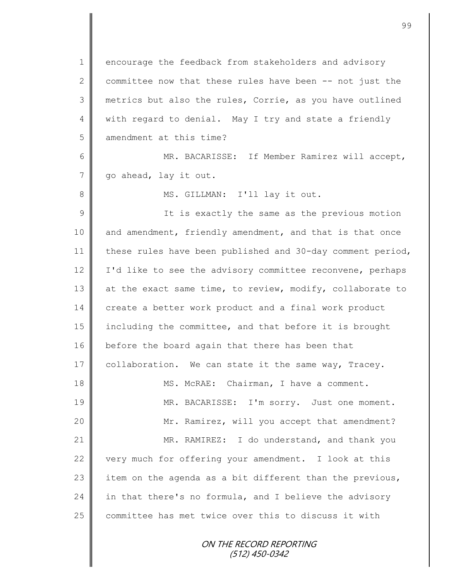1 encourage the feedback from stakeholders and advisory 2 committee now that these rules have been  $-$ - not just the 3 metrics but also the rules, Corrie, as you have outlined 4 | with regard to denial. May I try and state a friendly 5 amendment at this time? 6 || MR. BACARISSE: If Member Ramirez will accept, 7 | qo ahead, lay it out. 8 || MS. GILLMAN: I'll lay it out. 9 || It is exactly the same as the previous motion 10 and amendment, friendly amendment, and that is that once 11 these rules have been published and 30-day comment period, 12 | I'd like to see the advisory committee reconvene, perhaps 13 at the exact same time, to review, modify, collaborate to 14 create a better work product and a final work product 15 including the committee, and that before it is brought 16 before the board again that there has been that 17 collaboration. We can state it the same way, Tracey. 18 || MS. McRAE: Chairman, I have a comment. 19 || MR. BACARISSE: I'm sorry. Just one moment. 20 || Mr. Ramirez, will you accept that amendment? 21 MR. RAMIREZ: I do understand, and thank you 22 very much for offering your amendment. I look at this 23 item on the agenda as a bit different than the previous, 24 in that there's no formula, and I believe the advisory 25 committee has met twice over this to discuss it with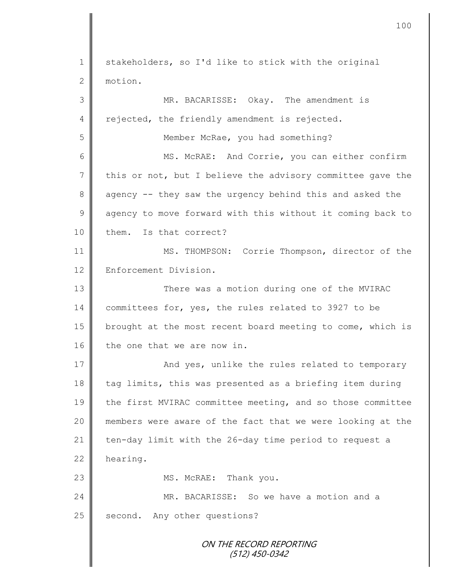ON THE RECORD REPORTING (512) 450-0342 1 stakeholders, so I'd like to stick with the original 2 motion. 3 MR. BACARISSE: Okay. The amendment is 4 rejected, the friendly amendment is rejected. 5 || Member McRae, you had something? 6 MS. McRAE: And Corrie, you can either confirm  $7 \parallel$  this or not, but I believe the advisory committee gave the 8 agency -- they saw the urgency behind this and asked the  $9 \parallel$  agency to move forward with this without it coming back to 10 them. Is that correct? 11 | MS. THOMPSON: Corrie Thompson, director of the 12 Enforcement Division. 13 There was a motion during one of the MVIRAC 14 committees for, yes, the rules related to 3927 to be 15 | brought at the most recent board meeting to come, which is  $16$  the one that we are now in. 17 || And yes, unlike the rules related to temporary  $18$  tag limits, this was presented as a briefing item during 19 the first MVIRAC committee meeting, and so those committee 20 members were aware of the fact that we were looking at the 21 ten-day limit with the 26-day time period to request a  $22$  hearing. 23 MS. McRAE: Thank you. 24 MR. BACARISSE: So we have a motion and a 25 second. Any other questions?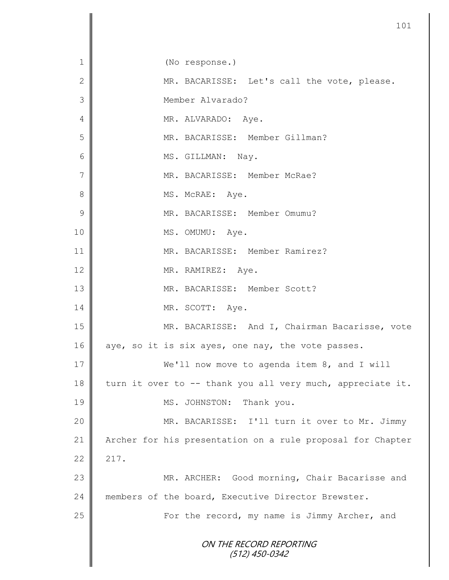|                | 101                                                        |
|----------------|------------------------------------------------------------|
| 1              | (No response.)                                             |
| $\mathbf{2}$   | MR. BACARISSE: Let's call the vote, please.                |
| 3              | Member Alvarado?                                           |
| 4              | MR. ALVARADO: Aye.                                         |
| 5              | MR. BACARISSE: Member Gillman?                             |
| 6              | MS. GILLMAN: Nay.                                          |
| $\overline{7}$ | MR. BACARISSE: Member McRae?                               |
| 8              | MS. McRAE: Aye.                                            |
| $\mathcal{G}$  | MR. BACARISSE: Member Omumu?                               |
| 10             | MS. OMUMU: Aye.                                            |
| 11             | MR. BACARISSE: Member Ramirez?                             |
| 12             | MR. RAMIREZ: Aye.                                          |
| 13             | MR. BACARISSE: Member Scott?                               |
| 14             | MR. SCOTT: Aye.                                            |
| 15             | MR. BACARISSE: And I, Chairman Bacarisse, vote             |
| 16             | aye, so it is six ayes, one nay, the vote passes.          |
| 17             | We'll now move to agenda item 8, and I will                |
| 18             | turn it over to -- thank you all very much, appreciate it. |
| 19             | MS. JOHNSTON: Thank you.                                   |
| 20             | MR. BACARISSE: I'll turn it over to Mr. Jimmy              |
| 21             | Archer for his presentation on a rule proposal for Chapter |
| 22             | 217.                                                       |
| 23             | MR. ARCHER: Good morning, Chair Bacarisse and              |
| 24             | members of the board, Executive Director Brewster.         |
| 25             | For the record, my name is Jimmy Archer, and               |
|                | ON THE RECORD REPORTING<br>(512) 450-0342                  |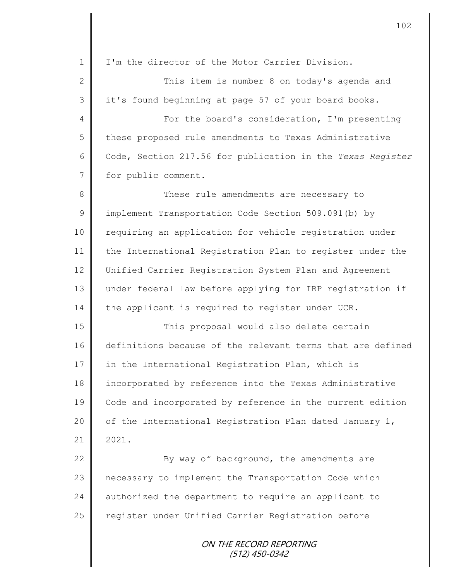ON THE RECORD REPORTING (512) 450-0342 1 I'm the director of the Motor Carrier Division. 2 ||<br>
2 || This item is number 8 on today's agenda and 3 || it's found beginning at page 57 of your board books. 4 || For the board's consideration, I'm presenting 5 these proposed rule amendments to Texas Administrative 6 Code, Section 217.56 for publication in the *Texas Register* 7 for public comment. 8 **These rule amendments are necessary to** 9 | implement Transportation Code Section 509.091(b) by 10 | requiring an application for vehicle registration under 11 the International Registration Plan to register under the 12 Unified Carrier Registration System Plan and Agreement 13 under federal law before applying for IRP registration if 14 the applicant is required to register under UCR. 15 || This proposal would also delete certain 16 definitions because of the relevant terms that are defined 17 in the International Registration Plan, which is 18 incorporated by reference into the Texas Administrative 19 Code and incorporated by reference in the current edition 20  $\parallel$  of the International Registration Plan dated January 1,  $21 \parallel 2021$ . 22 Sy way of background, the amendments are 23 | necessary to implement the Transportation Code which 24 authorized the department to require an applicant to 25 | register under Unified Carrier Registration before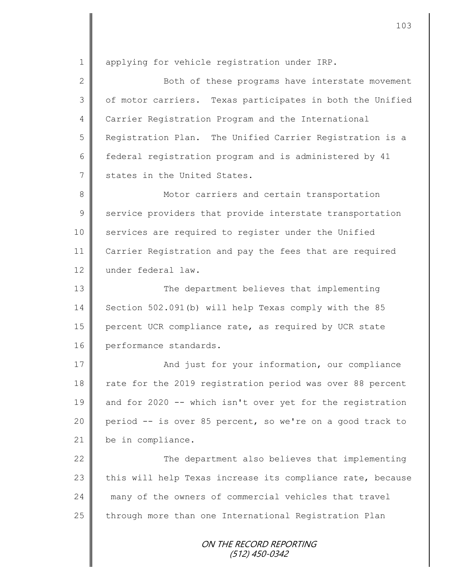1 | applying for vehicle registration under IRP.

2 Both of these programs have interstate movement 3 | of motor carriers. Texas participates in both the Unified 4 Carrier Registration Program and the International 5 Registration Plan. The Unified Carrier Registration is a 6 federal registration program and is administered by 41 7 States in the United States.

8 || Motor carriers and certain transportation 9 service providers that provide interstate transportation 10 services are required to register under the Unified 11 Carrier Registration and pay the fees that are required 12 under federal law.

13 || The department believes that implementing 14 Section 502.091(b) will help Texas comply with the 85 15 percent UCR compliance rate, as required by UCR state 16 performance standards.

17 | And just for your information, our compliance 18 rate for the 2019 registration period was over 88 percent 19 and for 2020 -- which isn't over yet for the registration 20 period -- is over 85 percent, so we're on a good track to 21 be in compliance.

22 | The department also believes that implementing 23 this will help Texas increase its compliance rate, because 24 || many of the owners of commercial vehicles that travel 25 | through more than one International Registration Plan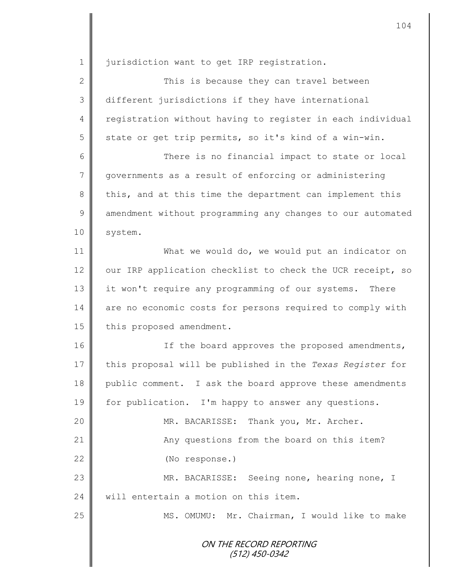1 | jurisdiction want to get IRP registration.

| $\mathbf{2}$    | This is because they can travel between                    |
|-----------------|------------------------------------------------------------|
| $\mathfrak{Z}$  | different jurisdictions if they have international         |
| 4               | registration without having to register in each individual |
| 5               | state or get trip permits, so it's kind of a win-win.      |
| 6               | There is no financial impact to state or local             |
| $7\phantom{.0}$ | governments as a result of enforcing or administering      |
| 8               | this, and at this time the department can implement this   |
| $\mathcal{G}$   | amendment without programming any changes to our automated |
| 10              | system.                                                    |
| 11              | What we would do, we would put an indicator on             |
| 12              | our IRP application checklist to check the UCR receipt, so |
| 13              | it won't require any programming of our systems. There     |
| 14              | are no economic costs for persons required to comply with  |
| 15              | this proposed amendment.                                   |
| 16              | If the board approves the proposed amendments,             |
| 17              | this proposal will be published in the Texas Register for  |
| 18              | public comment. I ask the board approve these amendments   |
| 19              | for publication. I'm happy to answer any questions.        |
| 20              | MR. BACARISSE:<br>Thank you, Mr. Archer.                   |
| 21              | Any questions from the board on this item?                 |
| 22              | (No response.)                                             |
| 23              | MR. BACARISSE:<br>Seeing none, hearing none, I             |
| 24              | will entertain a motion on this item.                      |
| 25              | Mr. Chairman, I would like to make<br>MS. OMUMU:           |
|                 | ON THE RECORD REPORTING<br>(512) 450-0342                  |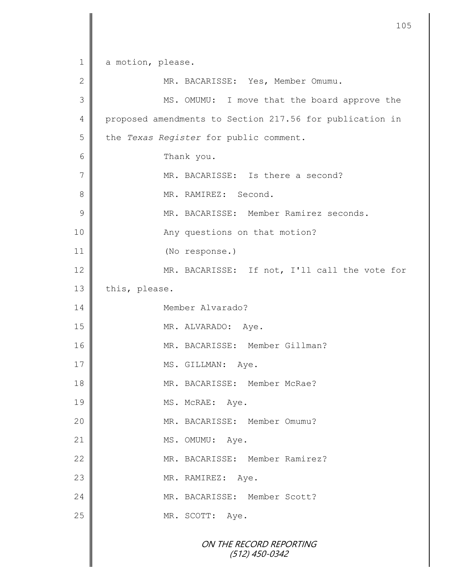ON THE RECORD REPORTING (512) 450-0342 1 a motion, please. 2 || MR. BACARISSE: Yes, Member Omumu. 3 || MS. OMUMU: I move that the board approve the 4 proposed amendments to Section 217.56 for publication in 5 the *Texas Register* for public comment. 6 Thank you. 7 || MR. BACARISSE: Is there a second? 8 || MR. RAMIREZ: Second. 9 MR. BACARISSE: Member Ramirez seconds. 10 || Any questions on that motion? 11 (No response.) 12 MR. BACARISSE: If not, I'll call the vote for 13 this, please. 14 Member Alvarado? 15 MR. ALVARADO: Aye. 16 || MR. BACARISSE: Member Gillman? 17 | MS. GILLMAN: Aye. 18 || MR. BACARISSE: Member McRae? 19 MS. McRAE: Aye. 20  $\parallel$  MR. BACARISSE: Member Omumu? 21 MS. OMUMU: Aye. 22 MR. BACARISSE: Member Ramirez? 23 || MR. RAMIREZ: Aye. 24 WR. BACARISSE: Member Scott? 25 MR. SCOTT: Aye.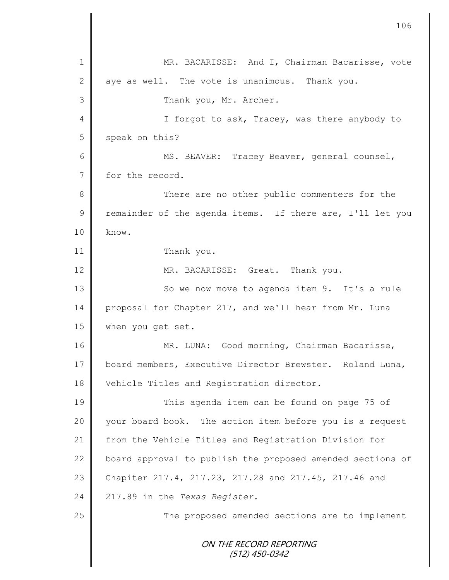ON THE RECORD REPORTING (512) 450-0342 1 || MR. BACARISSE: And I, Chairman Bacarisse, vote 2 aye as well. The vote is unanimous. Thank you. 3 No. 3 Thank you, Mr. Archer. 4 || I forgot to ask, Tracey, was there anybody to 5 speak on this? 6 || MS. BEAVER: Tracey Beaver, general counsel, 7 for the record. 8 There are no other public commenters for the  $9 \parallel$  remainder of the agenda items. If there are, I'll let you  $10 \parallel$  know. 11 Thank you. 12 MR. BACARISSE: Great. Thank you. 13 || So we now move to agenda item 9. It's a rule 14 proposal for Chapter 217, and we'll hear from Mr. Luna 15 when you get set. 16 | MR. LUNA: Good morning, Chairman Bacarisse, 17 board members, Executive Director Brewster. Roland Luna, 18 Vehicle Titles and Registration director. 19 This agenda item can be found on page 75 of 20 | your board book. The action item before you is a request 21 from the Vehicle Titles and Registration Division for 22 board approval to publish the proposed amended sections of 23 Chapiter 217.4, 217.23, 217.28 and 217.45, 217.46 and 24 217.89 in the *Texas Register*. 25 || The proposed amended sections are to implement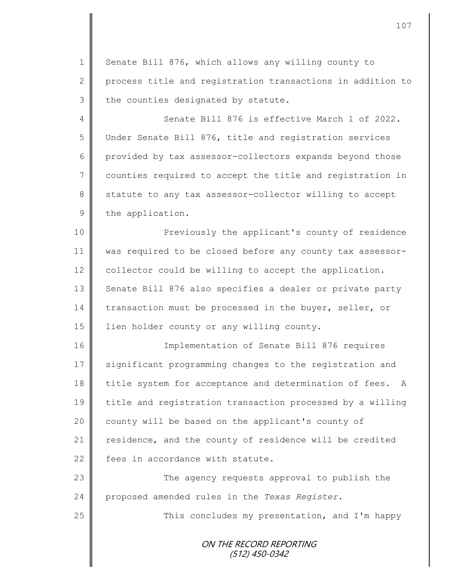1 Senate Bill 876, which allows any willing county to 2 process title and registration transactions in addition to  $3$  the counties designated by statute.

4 Senate Bill 876 is effective March 1 of 2022. 5 Under Senate Bill 876, title and registration services 6 provided by tax assessor-collectors expands beyond those 7 | counties required to accept the title and registration in 8 statute to any tax assessor-collector willing to accept 9 the application.

10 || Previously the applicant's county of residence 11 was required to be closed before any county tax assessor-12 collector could be willing to accept the application. 13 | Senate Bill 876 also specifies a dealer or private party 14 transaction must be processed in the buyer, seller, or 15 | lien holder county or any willing county.

16 Implementation of Senate Bill 876 requires 17 significant programming changes to the registration and 18 title system for acceptance and determination of fees. A 19 title and registration transaction processed by a willing 20 | county will be based on the applicant's county of 21 residence, and the county of residence will be credited 22 Fees in accordance with statute.

23 The agency requests approval to publish the 24 proposed amended rules in the *Texas Register*.

25 || This concludes my presentation, and I'm happy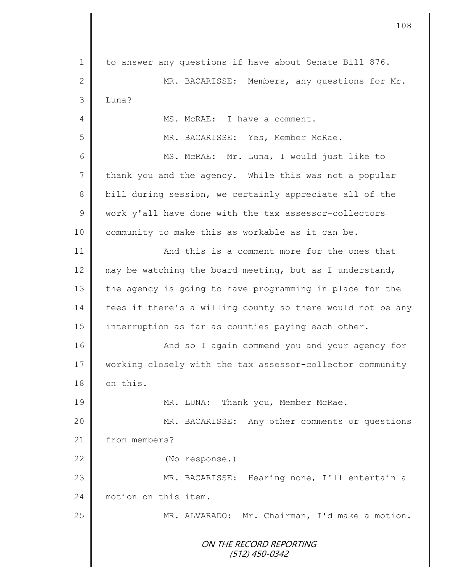ON THE RECORD REPORTING (512) 450-0342 1 to answer any questions if have about Senate Bill 876. 2 || MR. BACARISSE: Members, any questions for Mr.  $3$   $\blacksquare$  Luna? 4 MS. McRAE: I have a comment. 5 MR. BACARISSE: Yes, Member McRae. 6 MS. McRAE: Mr. Luna, I would just like to  $7 \parallel$  thank you and the agency. While this was not a popular 8 bill during session, we certainly appreciate all of the 9 work y'all have done with the tax assessor-collectors 10 community to make this as workable as it can be. 11 **And this is a comment more for the ones that** 12 may be watching the board meeting, but as I understand, 13 the agency is going to have programming in place for the 14 fees if there's a willing county so there would not be any 15 | interruption as far as counties paying each other. 16 | And so I again commend you and your agency for 17 | working closely with the tax assessor-collector community 18 on this. 19 || MR. LUNA: Thank you, Member McRae. 20 MR. BACARISSE: Any other comments or questions 21 from members? 22 (No response.) 23 MR. BACARISSE: Hearing none, I'll entertain a 24 motion on this item. 25 | MR. ALVARADO: Mr. Chairman, I'd make a motion.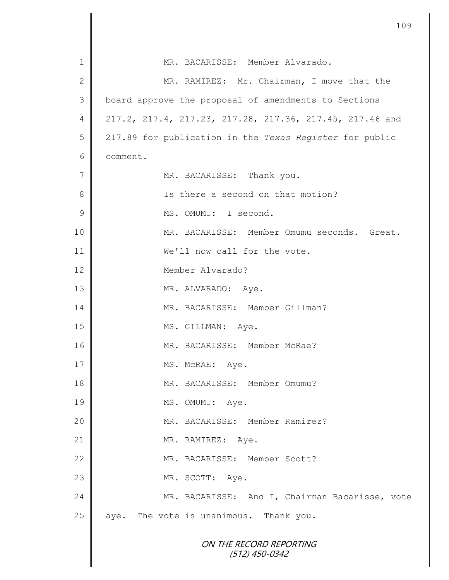|              | 109                                                      |
|--------------|----------------------------------------------------------|
| $\mathbf 1$  | MR. BACARISSE: Member Alvarado.                          |
| $\mathbf{2}$ | MR. RAMIREZ: Mr. Chairman, I move that the               |
| 3            | board approve the proposal of amendments to Sections     |
| 4            | 217.2, 217.4, 217.23, 217.28, 217.36, 217.45, 217.46 and |
| 5            | 217.89 for publication in the Texas Register for public  |
| 6            | comment.                                                 |
| 7            | MR. BACARISSE: Thank you.                                |
| 8            | Is there a second on that motion?                        |
| 9            | MS. OMUMU: I second.                                     |
| 10           | MR. BACARISSE: Member Omumu seconds. Great.              |
| 11           | We'll now call for the vote.                             |
| 12           | Member Alvarado?                                         |
| 13           | MR. ALVARADO: Aye.                                       |
| 14           | MR. BACARISSE: Member Gillman?                           |
| 15           | MS. GILLMAN: Aye.                                        |
| 16           | MR. BACARISSE: Member McRae?                             |
| 17           | MS. McRAE: Aye.                                          |
| 18           | MR. BACARISSE: Member Omumu?                             |
| 19           | MS. OMUMU: Aye.                                          |
| 20           | MR. BACARISSE: Member Ramirez?                           |
| 21           | MR. RAMIREZ: Aye.                                        |
| 22           | MR. BACARISSE: Member Scott?                             |
| 23           | MR. SCOTT: Aye.                                          |
| 24           | MR. BACARISSE: And I, Chairman Bacarisse, vote           |
| 25           | aye. The vote is unanimous. Thank you.                   |
|              | ON THE RECORD REPORTING<br>$(512)$ 450-0342              |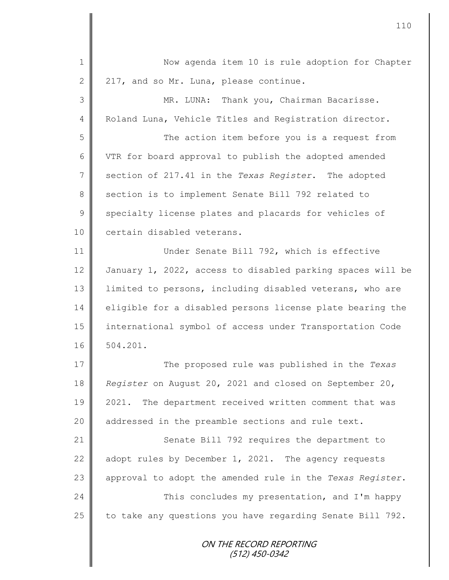| $\mathbf 1$    | Now agenda item 10 is rule adoption for Chapter            |
|----------------|------------------------------------------------------------|
| $\mathbf{2}$   | 217, and so Mr. Luna, please continue.                     |
| 3              | MR. LUNA: Thank you, Chairman Bacarisse.                   |
| $\overline{4}$ | Roland Luna, Vehicle Titles and Registration director.     |
| 5              | The action item before you is a request from               |
| 6              | VTR for board approval to publish the adopted amended      |
| 7              | section of 217.41 in the Texas Register. The adopted       |
| $\,8\,$        | section is to implement Senate Bill 792 related to         |
| $\mathcal{G}$  | specialty license plates and placards for vehicles of      |
| 10             | certain disabled veterans.                                 |
| 11             | Under Senate Bill 792, which is effective                  |
| 12             | January 1, 2022, access to disabled parking spaces will be |
| 13             | limited to persons, including disabled veterans, who are   |
| 14             | eligible for a disabled persons license plate bearing the  |
| 15             | international symbol of access under Transportation Code   |
| 16             | 504.201.                                                   |
| 17             | The proposed rule was published in the Texas               |
| 18             | Register on August 20, 2021 and closed on September 20,    |
| 19             | 2021. The department received written comment that was     |
| 20             | addressed in the preamble sections and rule text.          |
| 21             | Senate Bill 792 requires the department to                 |
| 22             | adopt rules by December 1, 2021. The agency requests       |
| 23             | approval to adopt the amended rule in the Texas Register.  |
| 24             | This concludes my presentation, and I'm happy              |
| 25             | to take any questions you have regarding Senate Bill 792.  |
|                | ON THE RECORD REPORTING<br>(512) 450-0342                  |

 $\mathsf{I}$ 

II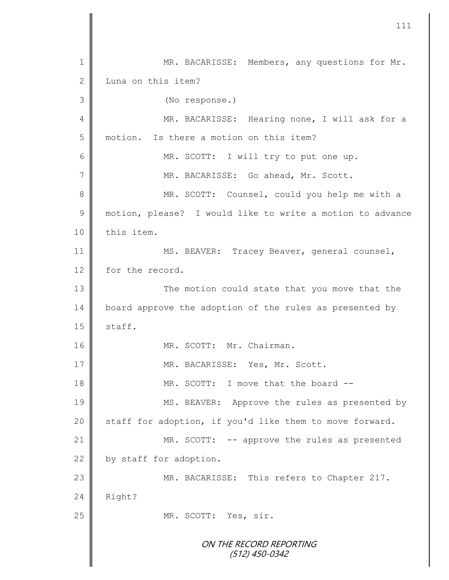ON THE RECORD REPORTING (512) 450-0342 1 MR. BACARISSE: Members, any questions for Mr. 2 Luna on this item? 3 (No response.) 4 || MR. BACARISSE: Hearing none, I will ask for a 5 motion. Is there a motion on this item? 6 || MR. SCOTT: I will try to put one up. 7 || MR. BACARISSE: Go ahead, Mr. Scott. 8 MR. SCOTT: Counsel, could you help me with a 9 || motion, please? I would like to write a motion to advance 10 | this item. 11 | MS. BEAVER: Tracey Beaver, general counsel, 12 for the record. 13 || The motion could state that you move that the 14 board approve the adoption of the rules as presented by  $15$  staff. 16 || MR. SCOTT: Mr. Chairman. 17 || MR. BACARISSE: Yes, Mr. Scott. 18 MR. SCOTT: I move that the board --19 MS. BEAVER: Approve the rules as presented by 20  $\parallel$  staff for adoption, if you'd like them to move forward. 21 | MR. SCOTT: -- approve the rules as presented 22  $\parallel$  by staff for adoption. 23 MR. BACARISSE: This refers to Chapter 217.  $24$  Right? 25 MR. SCOTT: Yes, sir.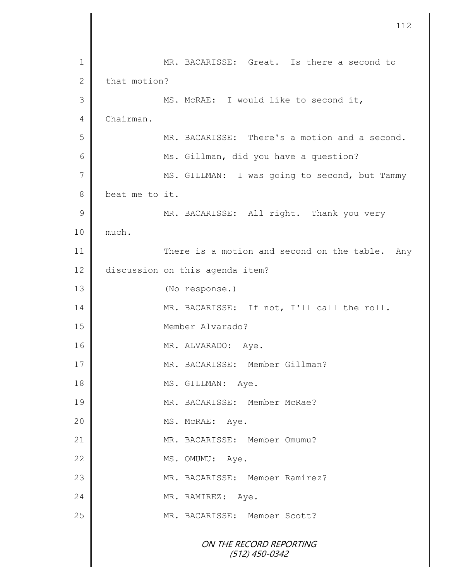|                | 112                                            |
|----------------|------------------------------------------------|
| $\mathbf 1$    | MR. BACARISSE: Great. Is there a second to     |
| $\mathbf{2}$   | that motion?                                   |
| 3              | MS. McRAE: I would like to second it,          |
| 4              | Chairman.                                      |
| 5              | MR. BACARISSE: There's a motion and a second.  |
| 6              | Ms. Gillman, did you have a question?          |
| $\overline{7}$ | MS. GILLMAN: I was going to second, but Tammy  |
| 8              | beat me to it.                                 |
| 9              | MR. BACARISSE: All right. Thank you very       |
| 10             | much.                                          |
| 11             | There is a motion and second on the table. Any |
| 12             | discussion on this agenda item?                |
| 13             | (No response.)                                 |
| 14             | MR. BACARISSE: If not, I'll call the roll.     |
| 15             | Member Alvarado?                               |
| 16             | MR. ALVARADO: Aye.                             |
| 17             | MR. BACARISSE: Member Gillman?                 |
| 18             | MS. GILLMAN: Aye.                              |
| 19             | MR. BACARISSE: Member McRae?                   |
| 20             | MS. McRAE: Aye.                                |
| 21             | MR. BACARISSE: Member Omumu?                   |
| 22             | MS. OMUMU:<br>Aye.                             |
| 23             | MR. BACARISSE: Member Ramirez?                 |
| 24             | MR. RAMIREZ: Aye.                              |
| 25             | MR. BACARISSE: Member Scott?                   |
|                | ON THE RECORD REPORTING<br>(512) 450-0342      |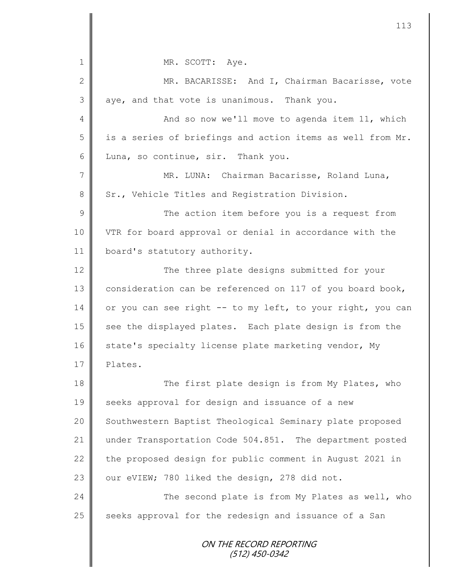ON THE RECORD REPORTING 1 || MR. SCOTT: Aye. 2 MR. BACARISSE: And I, Chairman Bacarisse, vote  $3 \parallel$  aye, and that vote is unanimous. Thank you. 4 And so now we'll move to agenda item 11, which 5 | is a series of briefings and action items as well from Mr. 6 Luna, so continue, sir. Thank you. 7 MR. LUNA: Chairman Bacarisse, Roland Luna, 8 Sr., Vehicle Titles and Registration Division. 9 || The action item before you is a request from 10 VTR for board approval or denial in accordance with the 11 | board's statutory authority. 12 || The three plate designs submitted for your 13 consideration can be referenced on 117 of you board book, 14 or you can see right -- to my left, to your right, you can 15 see the displayed plates. Each plate design is from the 16 state's specialty license plate marketing vendor, My 17 | Plates. 18 || The first plate design is from My Plates, who 19 Seeks approval for design and issuance of a new 20 | Southwestern Baptist Theological Seminary plate proposed 21 under Transportation Code 504.851. The department posted 22 the proposed design for public comment in August 2021 in 23  $\parallel$  our eVIEW; 780 liked the design, 278 did not. 24 The second plate is from My Plates as well, who  $25$  seeks approval for the redesign and issuance of a San

113

(512) 450-0342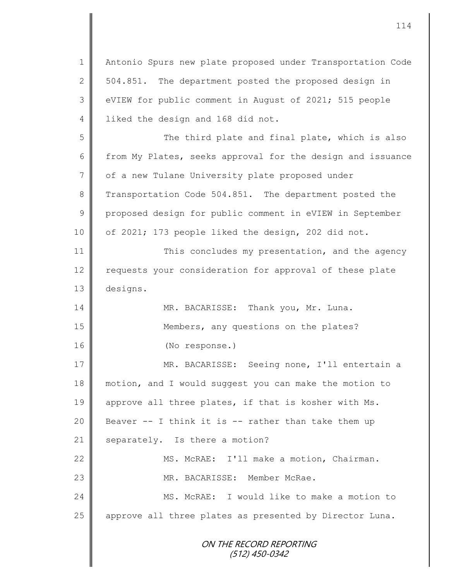ON THE RECORD REPORTING (512) 450-0342 1 Antonio Spurs new plate proposed under Transportation Code 2  $\parallel$  504.851. The department posted the proposed design in 3 | eVIEW for public comment in August of 2021; 515 people 4 | liked the design and 168 did not. 5 || The third plate and final plate, which is also 6 from My Plates, seeks approval for the design and issuance 7 of a new Tulane University plate proposed under 8 Transportation Code 504.851. The department posted the 9 proposed design for public comment in eVIEW in September 10 | of 2021; 173 people liked the design, 202 did not. 11 This concludes my presentation, and the agency 12 | requests your consideration for approval of these plate 13 designs. 14 MR. BACARISSE: Thank you, Mr. Luna. 15 | Members, any questions on the plates? 16 (No response.) 17 MR. BACARISSE: Seeing none, I'll entertain a 18 motion, and I would suggest you can make the motion to 19 approve all three plates, if that is kosher with Ms. 20  $\parallel$  Beaver -- I think it is -- rather than take them up 21 | separately. Is there a motion? 22 | MS. McRAE: I'll make a motion, Chairman. 23 MR. BACARISSE: Member McRae. 24 MS. McRAE: I would like to make a motion to 25 || approve all three plates as presented by Director Luna.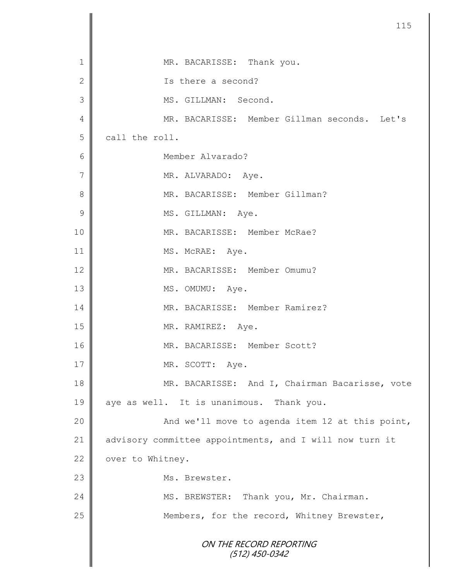| $\mathbf 1$    | MR. BACARISSE: Thank you.                               |
|----------------|---------------------------------------------------------|
| $\mathbf 2$    | Is there a second?                                      |
| 3              | MS. GILLMAN: Second.                                    |
| 4              | MR. BACARISSE: Member Gillman seconds. Let's            |
| 5              | call the roll.                                          |
| 6              | Member Alvarado?                                        |
| $\overline{7}$ | MR. ALVARADO: Aye.                                      |
| 8              | MR. BACARISSE: Member Gillman?                          |
| $\mathcal{G}$  | MS. GILLMAN: Aye.                                       |
| 10             | MR. BACARISSE: Member McRae?                            |
| 11             | MS. McRAE: Aye.                                         |
| 12             | MR. BACARISSE: Member Omumu?                            |
| 13             | MS. OMUMU: Aye.                                         |
| 14             | MR. BACARISSE: Member Ramirez?                          |
| 15             | MR. RAMIREZ: Aye.                                       |
| 16             | MR. BACARISSE: Member Scott?                            |
| 17             | MR. SCOTT: Aye.                                         |
| 18             | MR. BACARISSE: And I, Chairman Bacarisse, vote          |
| 19             | aye as well. It is unanimous. Thank you.                |
| 20             | And we'll move to agenda item 12 at this point,         |
| 21             | advisory committee appointments, and I will now turn it |
| 22             | over to Whitney.                                        |
| 23             | Ms. Brewster.                                           |
| 24             | MS. BREWSTER: Thank you, Mr. Chairman.                  |
| 25             | Members, for the record, Whitney Brewster,              |
|                | ON THE RECORD REPORTING<br>$(512)$ 450-0342             |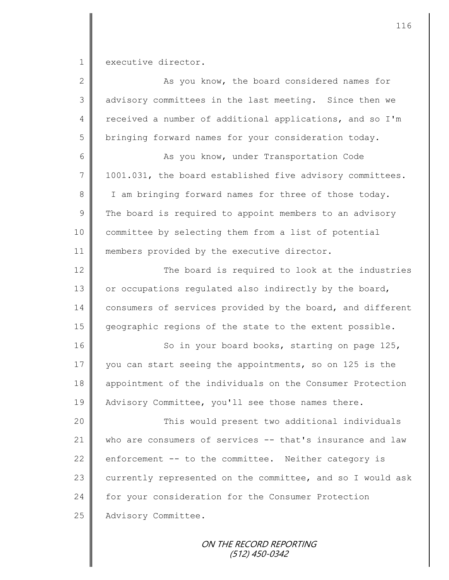1 executive director.

| $\mathbf{2}$   | As you know, the board considered names for                |
|----------------|------------------------------------------------------------|
| 3              | advisory committees in the last meeting. Since then we     |
| $\overline{4}$ | received a number of additional applications, and so I'm   |
| 5              | bringing forward names for your consideration today.       |
| $6\,$          | As you know, under Transportation Code                     |
| $\overline{7}$ | 1001.031, the board established five advisory committees.  |
| 8              | I am bringing forward names for three of those today.      |
| $\mathcal{G}$  | The board is required to appoint members to an advisory    |
| 10             | committee by selecting them from a list of potential       |
| 11             | members provided by the executive director.                |
| 12             | The board is required to look at the industries            |
| 13             | or occupations regulated also indirectly by the board,     |
| 14             | consumers of services provided by the board, and different |
| 15             | geographic regions of the state to the extent possible.    |
| 16             | So in your board books, starting on page 125,              |
| 17             | you can start seeing the appointments, so on 125 is the    |
| 18             | appointment of the individuals on the Consumer Protection  |
| 19             | Advisory Committee, you'll see those names there.          |
| 20             | This would present two additional individuals              |
| 21             | who are consumers of services -- that's insurance and law  |
| 22             | enforcement -- to the committee. Neither category is       |
| 23             | currently represented on the committee, and so I would ask |
| 24             | for your consideration for the Consumer Protection         |
| 25             | Advisory Committee.                                        |
|                |                                                            |

ON THE RECORD REPORTING (512) 450-0342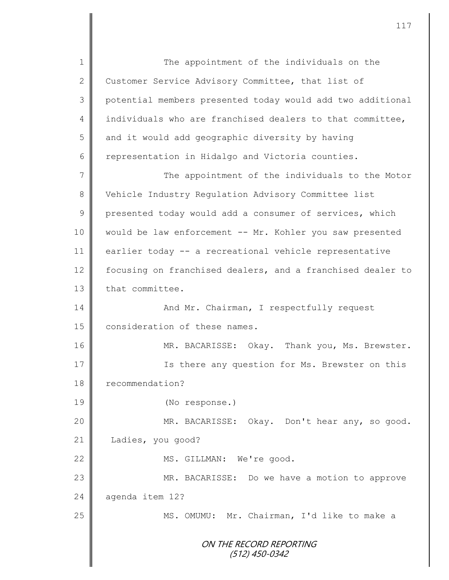ON THE RECORD REPORTING (512) 450-0342 1 The appointment of the individuals on the 2 Customer Service Advisory Committee, that list of 3 potential members presented today would add two additional 4 individuals who are franchised dealers to that committee,  $5 \parallel$  and it would add geographic diversity by having 6  $\parallel$  representation in Hidalgo and Victoria counties. 7 || The appointment of the individuals to the Motor 8 Vehicle Industry Regulation Advisory Committee list 9 presented today would add a consumer of services, which 10 || would be law enforcement -- Mr. Kohler you saw presented 11 earlier today -- a recreational vehicle representative 12 | focusing on franchised dealers, and a franchised dealer to 13 that committee. 14 And Mr. Chairman, I respectfully request 15 **consideration of these names.** 16 MR. BACARISSE: Okay. Thank you, Ms. Brewster. 17 **I** Is there any question for Ms. Brewster on this 18 **P** recommendation? 19 (No response.) 20 MR. BACARISSE: Okay. Don't hear any, so good. 21 | Ladies, you good? 22 || MS. GILLMAN: We're good. 23 MR. BACARISSE: Do we have a motion to approve 24 aqenda item 12? 25 MS. OMUMU: Mr. Chairman, I'd like to make a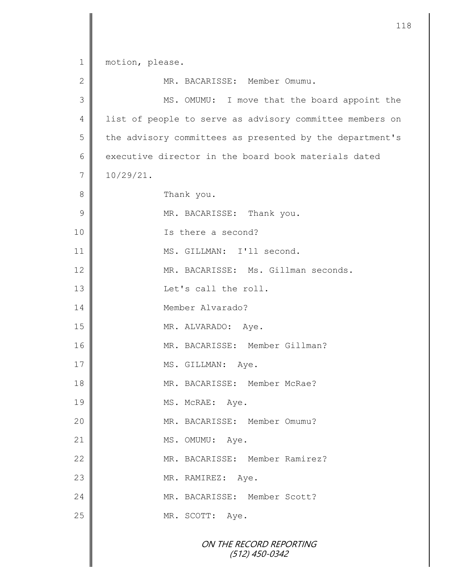|              | 11                                                       |
|--------------|----------------------------------------------------------|
| $\mathbf 1$  | motion, please.                                          |
| $\mathbf{2}$ | MR. BACARISSE: Member Omumu.                             |
| 3            | MS. OMUMU: I move that the board appoint the             |
| 4            | list of people to serve as advisory committee members on |
| 5            | the advisory committees as presented by the department's |
| 6            | executive director in the board book materials dated     |
| 7            | $10/29/21$ .                                             |
| 8            | Thank you.                                               |
| 9            | MR. BACARISSE: Thank you.                                |
| 10           | Is there a second?                                       |
| 11           | MS. GILLMAN: I'll second.                                |
| 12           | MR. BACARISSE: Ms. Gillman seconds.                      |
| 13           | Let's call the roll.                                     |
| 14           | Member Alvarado?                                         |
| 15           | MR. ALVARADO: Aye.                                       |
| 16           | MR. BACARISSE: Member Gillman?                           |
| 17           | MS. GILLMAN: Aye.                                        |
| 18           | MR. BACARISSE: Member McRae?                             |
| 19           | MS. McRAE: Aye.                                          |
| 20           | MR. BACARISSE: Member Omumu?                             |
| 21           | MS. OMUMU: Aye.                                          |
| 22           | MR. BACARISSE: Member Ramirez?                           |
| 23           | MR. RAMIREZ: Aye.                                        |
| 24           | MR. BACARISSE: Member Scott?                             |
| 25           | MR. SCOTT: Aye.                                          |
|              | ON THE RECORD REPORTING<br>$(512)$ 450-0342              |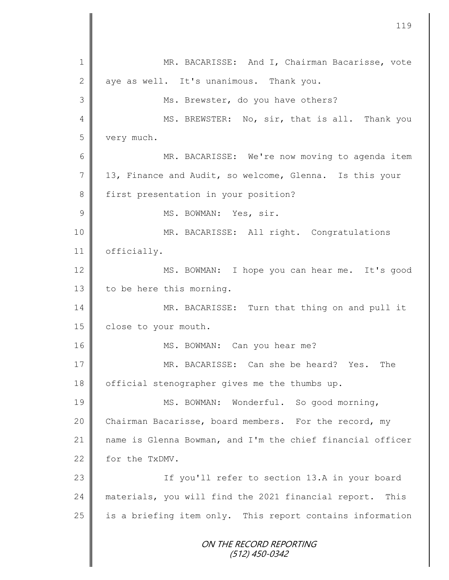ON THE RECORD REPORTING (512) 450-0342 1 MR. BACARISSE: And I, Chairman Bacarisse, vote  $2 \parallel$  aye as well. It's unanimous. Thank you. 3 || Ms. Brewster, do you have others? 4 || MS. BREWSTER: No, sir, that is all. Thank you 5 very much. 6 MR. BACARISSE: We're now moving to agenda item 7 13, Finance and Audit, so welcome, Glenna. Is this your 8 first presentation in your position? 9 | MS. BOWMAN: Yes, sir. 10 | MR. BACARISSE: All right. Congratulations 11 | officially. 12 MS. BOWMAN: I hope you can hear me. It's good 13  $\parallel$  to be here this morning. 14 MR. BACARISSE: Turn that thing on and pull it 15 | close to your mouth. 16 || MS. BOWMAN: Can you hear me? 17 MR. BACARISSE: Can she be heard? Yes. The 18 | official stenographer gives me the thumbs up. 19 || MS. BOWMAN: Wonderful. So good morning, 20 Chairman Bacarisse, board members. For the record, my 21 name is Glenna Bowman, and I'm the chief financial officer 22 for the TxDMV. 23 || If you'll refer to section 13.A in your board 24 materials, you will find the 2021 financial report. This  $25$  is a briefing item only. This report contains information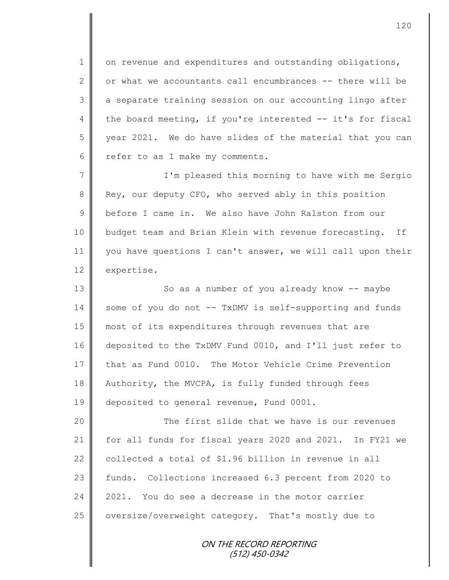$1 \parallel$  on revenue and expenditures and outstanding obligations, 2  $\parallel$  or what we accountants call encumbrances -- there will be 3 | a separate training session on our accounting lingo after 4 the board meeting, if you're interested  $-$  it's for fiscal 5 | year 2021. We do have slides of the material that you can 6 cefer to as I make my comments.

7 || I'm pleased this morning to have with me Sergio 8 Rey, our deputy CFO, who served ably in this position 9 before I came in. We also have John Ralston from our 10 budget team and Brian Klein with revenue forecasting. If 11 | you have questions I can't answer, we will call upon their 12 expertise.

13 | So as a number of you already know -- maybe 14 some of you do not -- TxDMV is self-supporting and funds 15 most of its expenditures through revenues that are 16 deposited to the TxDMV Fund 0010, and I'll just refer to 17 that as Fund 0010. The Motor Vehicle Crime Prevention 18 Authority, the MVCPA, is fully funded through fees 19 deposited to general revenue, Fund 0001.

20 The first slide that we have is our revenues 21 for all funds for fiscal years 2020 and 2021. In FY21 we 22  $\parallel$  collected a total of \$1.96 billion in revenue in all 23 funds. Collections increased 6.3 percent from 2020 to 24 2021. You do see a decrease in the motor carrier 25 | oversize/overweight category. That's mostly due to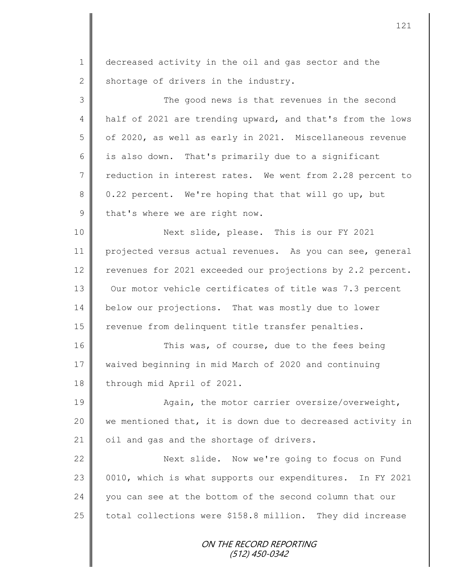ON THE RECORD REPORTING (512) 450-0342 1 decreased activity in the oil and gas sector and the 2 shortage of drivers in the industry. 3 || The good news is that revenues in the second 4 half of 2021 are trending upward, and that's from the lows 5 of 2020, as well as early in 2021. Miscellaneous revenue 6 is also down. That's primarily due to a significant 7 reduction in interest rates. We went from 2.28 percent to  $8 \parallel 0.22$  percent. We're hoping that that will go up, but 9 that's where we are right now. 10 Next slide, please. This is our FY 2021 11 projected versus actual revenues. As you can see, general 12 revenues for 2021 exceeded our projections by 2.2 percent. 13 | Our motor vehicle certificates of title was 7.3 percent 14 below our projections. That was mostly due to lower 15 | revenue from delinquent title transfer penalties. 16 This was, of course, due to the fees being 17 waived beginning in mid March of 2020 and continuing 18 through mid April of 2021. 19 || Again, the motor carrier oversize/overweight, 20  $\parallel$  we mentioned that, it is down due to decreased activity in 21 | oil and gas and the shortage of drivers. 22 | Next slide. Now we're going to focus on Fund 23 0010, which is what supports our expenditures. In FY 2021 24 you can see at the bottom of the second column that our 25  $\parallel$  total collections were \$158.8 million. They did increase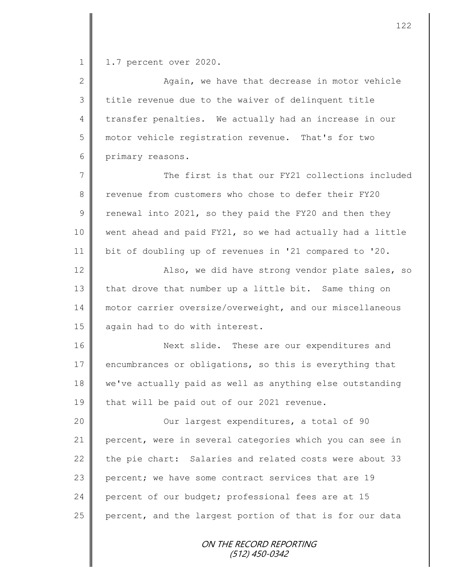1 | 1.7 percent over 2020.

2 || Again, we have that decrease in motor vehicle 3 | title revenue due to the waiver of delinquent title 4 transfer penalties. We actually had an increase in our 5 motor vehicle registration revenue. That's for two 6 primary reasons.

7 The first is that our FY21 collections included 8 Fevenue from customers who chose to defer their FY20 9 Tenewal into 2021, so they paid the FY20 and then they 10 went ahead and paid FY21, so we had actually had a little 11 bit of doubling up of revenues in '21 compared to '20.

12 | Also, we did have strong vendor plate sales, so 13 that drove that number up a little bit. Same thing on 14 motor carrier oversize/overweight, and our miscellaneous 15 again had to do with interest.

16 Next slide. These are our expenditures and 17 encumbrances or obligations, so this is everything that 18 we've actually paid as well as anything else outstanding 19 that will be paid out of our 2021 revenue.

20 || Cur largest expenditures, a total of 90 21 percent, were in several categories which you can see in 22 the pie chart: Salaries and related costs were about 33 23 percent; we have some contract services that are 19 24 percent of our budget; professional fees are at 15 25 percent, and the largest portion of that is for our data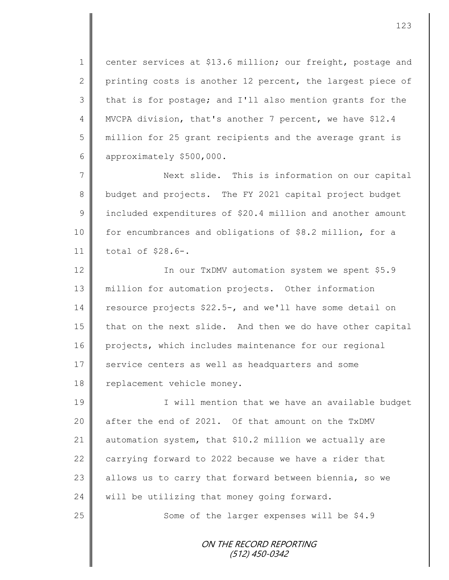1 center services at \$13.6 million; our freight, postage and 2 printing costs is another 12 percent, the largest piece of 3 that is for postage; and I'll also mention grants for the 4 | MVCPA division, that's another 7 percent, we have \$12.4 5 million for 25 grant recipients and the average grant is 6 approximately \$500,000.

7 Next slide. This is information on our capital 8 budget and projects. The FY 2021 capital project budget 9 | included expenditures of \$20.4 million and another amount 10 | for encumbrances and obligations of \$8.2 million, for a 11 total of \$28.6-.

12 | In our TxDMV automation system we spent \$5.9 13 million for automation projects. Other information 14 resource projects \$22.5-, and we'll have some detail on 15 that on the next slide. And then we do have other capital 16 projects, which includes maintenance for our regional 17 service centers as well as headquarters and some 18 | replacement vehicle money.

19 I will mention that we have an available budget 20 after the end of 2021. Of that amount on the TxDMV 21 automation system, that \$10.2 million we actually are 22  $\parallel$  carrying forward to 2022 because we have a rider that 23 allows us to carry that forward between biennia, so we 24  $\parallel$  will be utilizing that money going forward.

25 | Some of the larger expenses will be \$4.9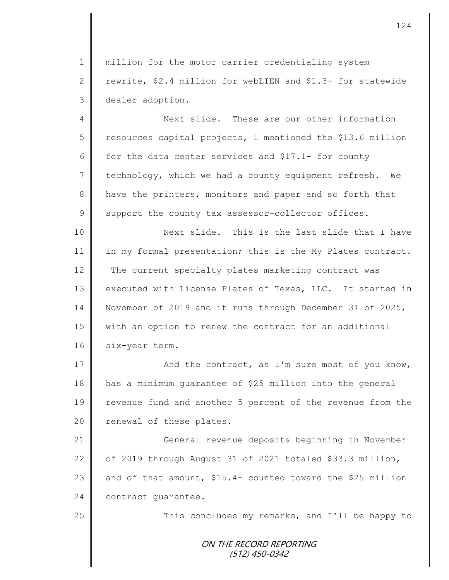1 || million for the motor carrier credentialing system 2 T rewrite, \$2.4 million for webLIEN and \$1.3- for statewide 3 dealer adoption.

4 Next slide. These are our other information  $5 \parallel$  resources capital projects, I mentioned the \$13.6 million 6 for the data center services and \$17.1- for county 7 technology, which we had a county equipment refresh. We 8 have the printers, monitors and paper and so forth that  $9 \parallel$  support the county tax assessor-collector offices.

10 || Next slide. This is the last slide that I have 11 in my formal presentation; this is the My Plates contract. 12 The current specialty plates marketing contract was 13 executed with License Plates of Texas, LLC. It started in 14 November of 2019 and it runs through December 31 of 2025, 15 with an option to renew the contract for an additional 16 six-year term.

17 || And the contract, as I'm sure most of you know, 18 has a minimum guarantee of \$25 million into the general 19 | revenue fund and another 5 percent of the revenue from the 20 | renewal of these plates.

 General revenue deposits beginning in November  $\parallel$  of 2019 through August 31 of 2021 totaled \$33.3 million,  $\parallel$  and of that amount, \$15.4- counted toward the \$25 million **contract** quarantee.

25 | This concludes my remarks, and I'll be happy to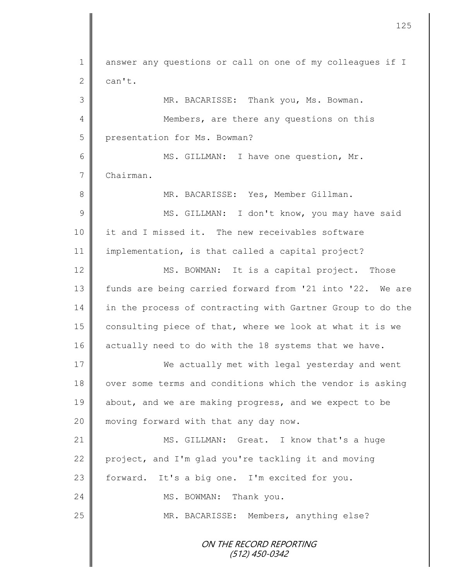ON THE RECORD REPORTING (512) 450-0342 1 answer any questions or call on one of my colleagues if I  $2 \parallel$  can't. 3 MR. BACARISSE: Thank you, Ms. Bowman. 4 Members, are there any questions on this 5 presentation for Ms. Bowman? 6 MS. GILLMAN: I have one question, Mr. 7 Chairman. 8 MR. BACARISSE: Yes, Member Gillman. 9 || MS. GILLMAN: I don't know, you may have said 10 it and I missed it. The new receivables software 11 implementation, is that called a capital project? 12 MS. BOWMAN: It is a capital project. Those 13 | funds are being carried forward from '21 into '22. We are 14 in the process of contracting with Gartner Group to do the 15  $\parallel$  consulting piece of that, where we look at what it is we 16 actually need to do with the 18 systems that we have. 17 We actually met with legal yesterday and went 18 over some terms and conditions which the vendor is asking 19 about, and we are making progress, and we expect to be 20 || moving forward with that any day now. 21 | MS. GILLMAN: Great. I know that's a huge 22 project, and I'm glad you're tackling it and moving 23 | forward. It's a big one. I'm excited for you. 24 MS. BOWMAN: Thank you. 25 | MR. BACARISSE: Members, anything else?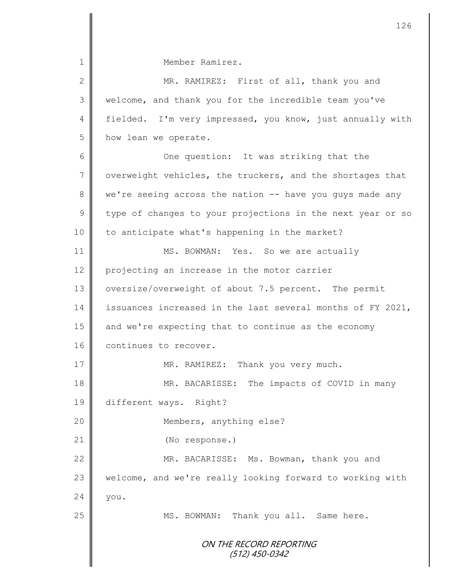| 1             | Member Ramirez.                                            |
|---------------|------------------------------------------------------------|
| $\mathbf{2}$  | MR. RAMIREZ: First of all, thank you and                   |
| $\mathcal{S}$ | welcome, and thank you for the incredible team you've      |
| 4             | fielded. I'm very impressed, you know, just annually with  |
| 5             | how lean we operate.                                       |
| 6             | One question: It was striking that the                     |
| 7             | overweight vehicles, the truckers, and the shortages that  |
| $8\,$         | we're seeing across the nation -- have you guys made any   |
| $\mathcal{G}$ | type of changes to your projections in the next year or so |
| 10            | to anticipate what's happening in the market?              |
| 11            | MS. BOWMAN: Yes. So we are actually                        |
| 12            | projecting an increase in the motor carrier                |
| 13            | oversize/overweight of about 7.5 percent. The permit       |
| 14            | issuances increased in the last several months of FY 2021, |
| 15            | and we're expecting that to continue as the economy        |
| 16            | continues to recover.                                      |
| 17            | MR. RAMIREZ: Thank you very much.                          |
| 18            | The impacts of COVID in many<br>MR. BACARISSE:             |
| 19            | different ways. Right?                                     |
| 20            | Members, anything else?                                    |
| 21            | (No response.)                                             |
| 22            | MR. BACARISSE: Ms. Bowman, thank you and                   |
| 23            | welcome, and we're really looking forward to working with  |
| 24            | you.                                                       |
| 25            | MS. BOWMAN: Thank you all. Same here.                      |
|               |                                                            |
|               | ON THE RECORD REPORTING<br>$(512)$ 450-0342                |
|               |                                                            |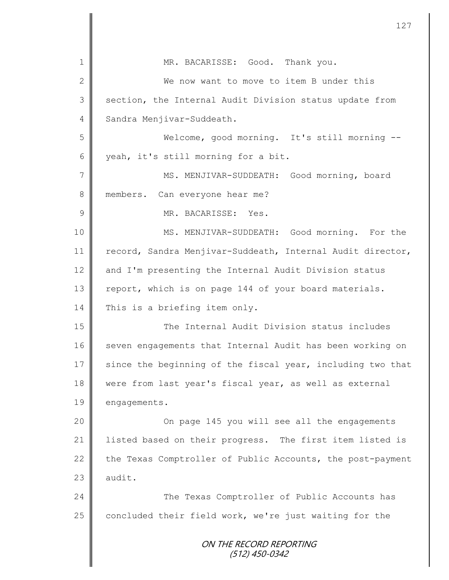|                | 127                                                        |
|----------------|------------------------------------------------------------|
| $\mathbf 1$    | MR. BACARISSE: Good. Thank you.                            |
| $\mathbf{2}$   | We now want to move to item B under this                   |
| 3              | section, the Internal Audit Division status update from    |
| $\overline{4}$ | Sandra Menjivar-Suddeath.                                  |
| 5              | Welcome, good morning. It's still morning --               |
| 6              | yeah, it's still morning for a bit.                        |
| 7              | MS. MENJIVAR-SUDDEATH: Good morning, board                 |
| 8              | members. Can everyone hear me?                             |
| $\mathcal{G}$  | MR. BACARISSE: Yes.                                        |
| 10             |                                                            |
|                | MS. MENJIVAR-SUDDEATH: Good morning. For the               |
| 11             | record, Sandra Menjivar-Suddeath, Internal Audit director, |
| 12             | and I'm presenting the Internal Audit Division status      |
| 13             | report, which is on page 144 of your board materials.      |
| 14             | This is a briefing item only.                              |
| 15             | The Internal Audit Division status includes                |
| 16             | seven engagements that Internal Audit has been working on  |
| 17             | since the beginning of the fiscal year, including two that |
| 18             | were from last year's fiscal year, as well as external     |
| 19             | engagements.                                               |
| 20             | On page 145 you will see all the engagements               |
| 21             | listed based on their progress. The first item listed is   |
| 22             | the Texas Comptroller of Public Accounts, the post-payment |
| 23             | audit.                                                     |
| 24             | The Texas Comptroller of Public Accounts has               |
| 25             | concluded their field work, we're just waiting for the     |
|                |                                                            |
|                | ON THE RECORD REPORTING<br>$(512)$ 450-0342                |
|                |                                                            |

Ι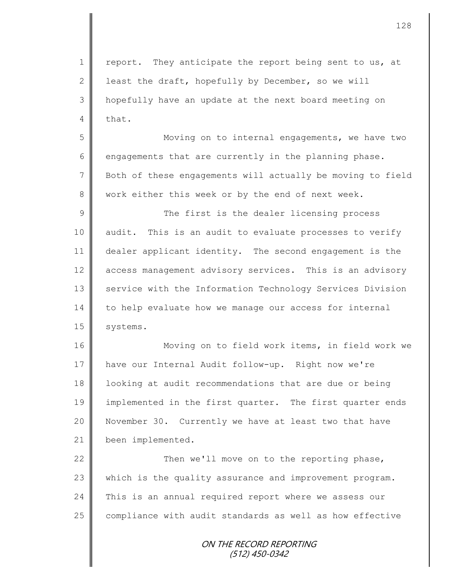1 | report. They anticipate the report being sent to us, at 2 least the draft, hopefully by December, so we will 3 hopefully have an update at the next board meeting on  $4 \parallel$  that.

5 || Moving on to internal engagements, we have two 6 engagements that are currently in the planning phase. 7 | Both of these engagements will actually be moving to field 8 work either this week or by the end of next week.

9 || The first is the dealer licensing process 10 || audit. This is an audit to evaluate processes to verify 11 dealer applicant identity. The second engagement is the 12 access management advisory services. This is an advisory 13 Service with the Information Technology Services Division 14 to help evaluate how we manage our access for internal 15 | systems.

16 | Moving on to field work items, in field work we 17 have our Internal Audit follow-up. Right now we're 18 | looking at audit recommendations that are due or being 19 implemented in the first quarter. The first quarter ends 20 November 30. Currently we have at least two that have 21 been implemented.

22 Then we'll move on to the reporting phase, 23 which is the quality assurance and improvement program. 24 This is an annual required report where we assess our  $25$  compliance with audit standards as well as how effective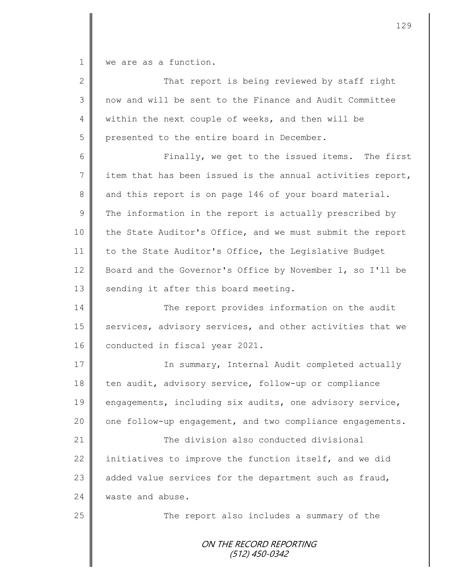1 we are as a function.

| $\overline{2}$ | That report is being reviewed by staff right               |
|----------------|------------------------------------------------------------|
| 3              | now and will be sent to the Finance and Audit Committee    |
| 4              | within the next couple of weeks, and then will be          |
| 5              | presented to the entire board in December.                 |
| 6              | Finally, we get to the issued items. The first             |
| $7\phantom{.}$ | item that has been issued is the annual activities report, |
| 8              | and this report is on page 146 of your board material.     |
| $\mathsf{S}$   | The information in the report is actually prescribed by    |
| 10             | the State Auditor's Office, and we must submit the report  |
| 11             | to the State Auditor's Office, the Legislative Budget      |
| 12             | Board and the Governor's Office by November 1, so I'll be  |
| 13             | sending it after this board meeting.                       |
| 14             | The report provides information on the audit               |
| 15             | services, advisory services, and other activities that we  |
| 16             | conducted in fiscal year 2021.                             |
| 17             | In summary, Internal Audit completed actually              |
| 18             | ten audit, advisory service, follow-up or compliance       |
| 19             | engagements, including six audits, one advisory service,   |
| 20             | one follow-up engagement, and two compliance engagements.  |
| 21             | The division also conducted divisional                     |
| 22             | initiatives to improve the function itself, and we did     |
| 23             | added value services for the department such as fraud,     |
| 24             | waste and abuse.                                           |
| 25             | The report also includes a summary of the                  |
|                | ON THE RECORD REPORTING<br>(512) 450-0342                  |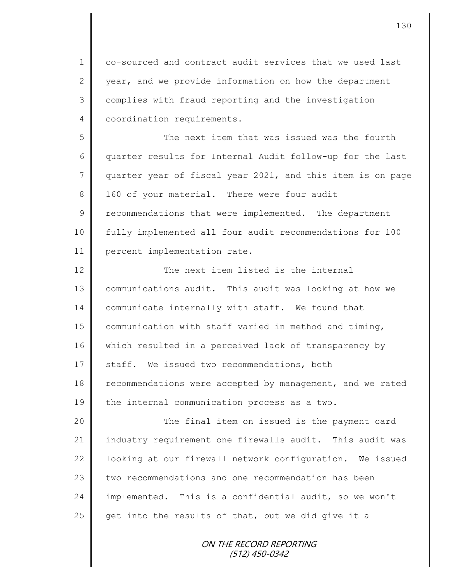1 co-sourced and contract audit services that we used last 2 year, and we provide information on how the department 3 complies with fraud reporting and the investigation 4 | coordination requirements.

5 The next item that was issued was the fourth 6 quarter results for Internal Audit follow-up for the last 7 || quarter year of fiscal year 2021, and this item is on page 8 160 of your material. There were four audit 9 Tecommendations that were implemented. The department 10 fully implemented all four audit recommendations for 100 11 | percent implementation rate.

12 The next item listed is the internal 13 communications audit. This audit was looking at how we 14 communicate internally with staff. We found that 15  $\parallel$  communication with staff varied in method and timing, 16 which resulted in a perceived lack of transparency by 17 Staff. We issued two recommendations, both 18 | recommendations were accepted by management, and we rated 19 the internal communication process as a two.

20 The final item on issued is the payment card 21 industry requirement one firewalls audit. This audit was 22 | looking at our firewall network configuration. We issued 23 two recommendations and one recommendation has been 24 implemented. This is a confidential audit, so we won't 25 get into the results of that, but we did give it a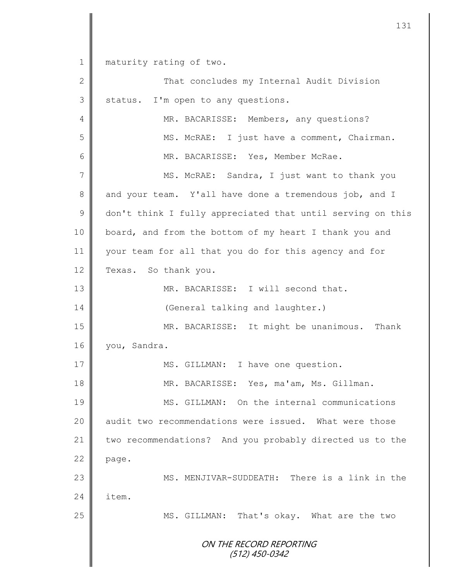1 || maturity rating of two.

ON THE RECORD REPORTING (512) 450-0342 2 || That concludes my Internal Audit Division 3 Status. I'm open to any questions. 4 MR. BACARISSE: Members, any questions? 5 MS. McRAE: I just have a comment, Chairman. 6 || MR. BACARISSE: Yes, Member McRae. 7 || MS. McRAE: Sandra, I just want to thank you 8 and your team. Y'all have done a tremendous job, and I 9 don't think I fully appreciated that until serving on this 10 board, and from the bottom of my heart I thank you and 11 your team for all that you do for this agency and for 12 Texas. So thank you. 13 MR. BACARISSE: I will second that. 14 | (General talking and laughter.) 15 || MR. BACARISSE: It might be unanimous. Thank 16 | you, Sandra. 17 || MS. GILLMAN: I have one question. 18 MR. BACARISSE: Yes, ma'am, Ms. Gillman. 19 MS. GILLMAN: On the internal communications 20 audit two recommendations were issued. What were those 21 two recommendations? And you probably directed us to the  $22$  page. 23 MS. MENJIVAR-SUDDEATH: There is a link in the 24  $\blacksquare$  item. 25 | MS. GILLMAN: That's okay. What are the two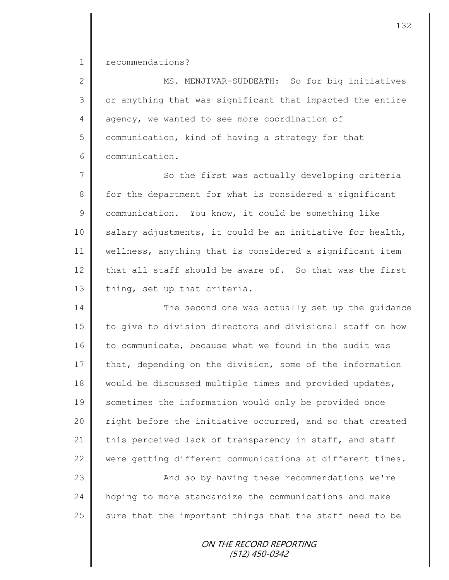1 recommendations?

2 || MS. MENJIVAR-SUDDEATH: So for big initiatives  $3 \parallel$  or anything that was significant that impacted the entire 4 agency, we wanted to see more coordination of 5 | communication, kind of having a strategy for that 6 **communication.** 

7 || So the first was actually developing criteria 8 for the department for what is considered a significant 9 communication. You know, it could be something like  $10$  salary adjustments, it could be an initiative for health, 11 wellness, anything that is considered a significant item 12 that all staff should be aware of. So that was the first 13 thing, set up that criteria.

14 The second one was actually set up the quidance 15 to give to division directors and divisional staff on how 16 to communicate, because what we found in the audit was  $17$  that, depending on the division, some of the information 18 || would be discussed multiple times and provided updates, 19 Sometimes the information would only be provided once 20  $\parallel$  right before the initiative occurred, and so that created 21 this perceived lack of transparency in staff, and staff 22 were getting different communications at different times.

23 | And so by having these recommendations we're 24 hoping to more standardize the communications and make 25  $\parallel$  sure that the important things that the staff need to be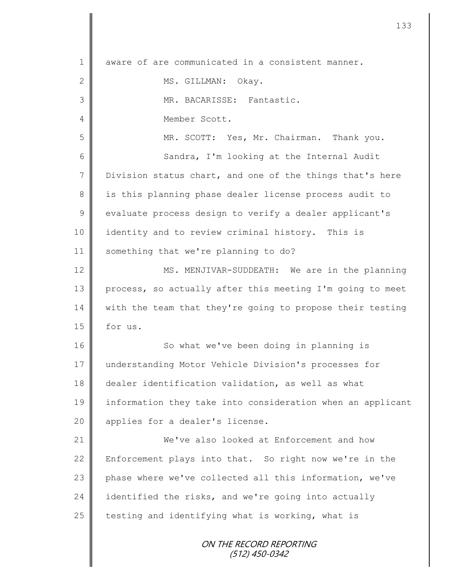| $\mathbf 1$  | aware of are communicated in a consistent manner.          |
|--------------|------------------------------------------------------------|
| $\mathbf{2}$ | MS. GILLMAN: Okay.                                         |
| 3            | MR. BACARISSE: Fantastic.                                  |
| 4            | Member Scott.                                              |
| 5            | MR. SCOTT: Yes, Mr. Chairman. Thank you.                   |
| 6            | Sandra, I'm looking at the Internal Audit                  |
| 7            | Division status chart, and one of the things that's here   |
| $8\,$        | is this planning phase dealer license process audit to     |
| $\mathsf 9$  | evaluate process design to verify a dealer applicant's     |
| 10           | identity and to review criminal history. This is           |
| 11           | something that we're planning to do?                       |
| 12           | MS. MENJIVAR-SUDDEATH: We are in the planning              |
| 13           | process, so actually after this meeting I'm going to meet  |
| 14           | with the team that they're going to propose their testing  |
| 15           | for us.                                                    |
| 16           | So what we've been doing in planning is                    |
| 17           | understanding Motor Vehicle Division's processes for       |
| 18           | dealer identification validation, as well as what          |
| 19           | information they take into consideration when an applicant |
| 20           | applies for a dealer's license.                            |
| 21           | We've also looked at Enforcement and how                   |
| 22           | Enforcement plays into that. So right now we're in the     |
| 23           | phase where we've collected all this information, we've    |
| 24           | identified the risks, and we're going into actually        |
| 25           | testing and identifying what is working, what is           |
|              | ON THE RECORD REPORTING<br>$(512)$ 450-0342                |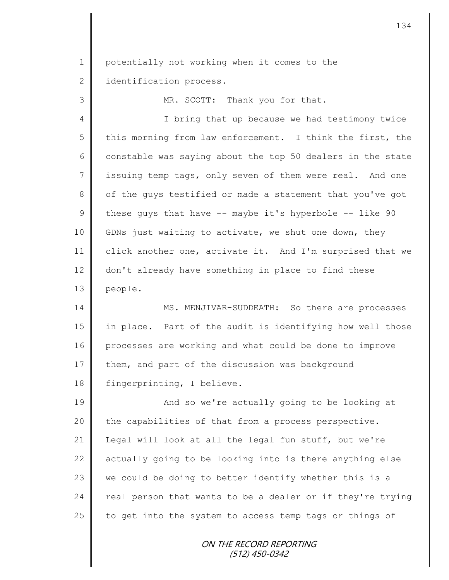1 | potentially not working when it comes to the 2 dentification process.

3 MR. SCOTT: Thank you for that.

4 || I bring that up because we had testimony twice  $5$  || this morning from law enforcement. I think the first, the 6 constable was saying about the top 50 dealers in the state 7 issuing temp tags, only seven of them were real. And one 8 | of the guys testified or made a statement that you've got 9 these guys that have  $-$ - maybe it's hyperbole  $-$ - like 90 10 GDNs just waiting to activate, we shut one down, they 11 click another one, activate it. And I'm surprised that we 12 don't already have something in place to find these 13 people.

14 MS. MENJIVAR-SUDDEATH: So there are processes 15 in place. Part of the audit is identifying how well those 16 processes are working and what could be done to improve 17 them, and part of the discussion was background 18 | fingerprinting, I believe.

19 || And so we're actually going to be looking at | the capabilities of that from a process perspective. 21 | Legal will look at all the legal fun stuff, but we're  $\parallel$  actually going to be looking into is there anything else  $\parallel$  we could be doing to better identify whether this is a  $\parallel$  real person that wants to be a dealer or if they're trying  $\parallel$  to get into the system to access temp tags or things of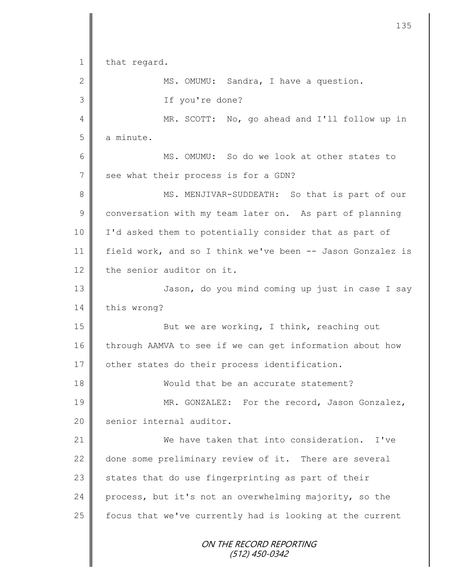ON THE RECORD REPORTING (512) 450-0342 1 that regard. 2 || MS. OMUMU: Sandra, I have a question. 3 If you're done? 4 MR. SCOTT: No, go ahead and I'll follow up in  $5 \parallel$  a minute. 6 MS. OMUMU: So do we look at other states to 7 | see what their process is for a GDN? 8 || MS. MENJIVAR-SUDDEATH: So that is part of our 9 conversation with my team later on. As part of planning 10 I'd asked them to potentially consider that as part of 11 field work, and so I think we've been -- Jason Gonzalez is 12 the senior auditor on it. 13 | Jason, do you mind coming up just in case I say 14 | this wrong? 15 || But we are working, I think, reaching out 16 through AAMVA to see if we can get information about how 17 | other states do their process identification. 18 **Would that be an accurate statement?** 19 MR. GONZALEZ: For the record, Jason Gonzalez, 20 | senior internal auditor. 21 We have taken that into consideration. I've 22 done some preliminary review of it. There are several  $23$  states that do use fingerprinting as part of their 24 process, but it's not an overwhelming majority, so the  $25$  focus that we've currently had is looking at the current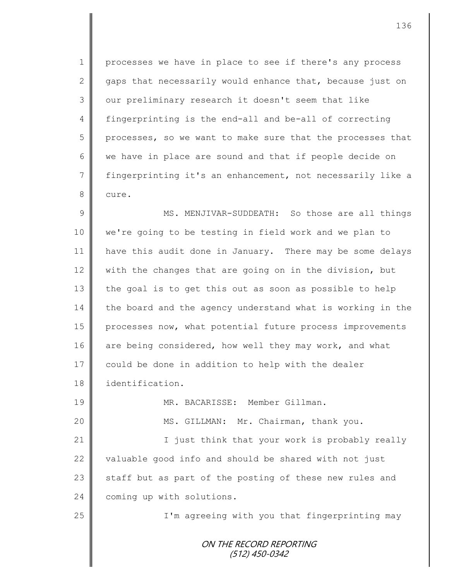1 | processes we have in place to see if there's any process 2  $\parallel$  gaps that necessarily would enhance that, because just on 3 | our preliminary research it doesn't seem that like 4 fingerprinting is the end-all and be-all of correcting 5 processes, so we want to make sure that the processes that 6 we have in place are sound and that if people decide on 7 fingerprinting it's an enhancement, not necessarily like a 8 cure.

9 || MS. MENJIVAR-SUDDEATH: So those are all things 10 we're going to be testing in field work and we plan to 11 have this audit done in January. There may be some delays 12 with the changes that are going on in the division, but 13 the goal is to get this out as soon as possible to help 14 the board and the agency understand what is working in the 15 processes now, what potential future process improvements 16 are being considered, how well they may work, and what 17 could be done in addition to help with the dealer 18 identification.

19 MR. BACARISSE: Member Gillman. 20 MS. GILLMAN: Mr. Chairman, thank you.

21 | Charlott Tust think that your work is probably really 22  $\parallel$  valuable good info and should be shared with not just 23 staff but as part of the posting of these new rules and 24 coming up with solutions.

25 || I'm agreeing with you that fingerprinting may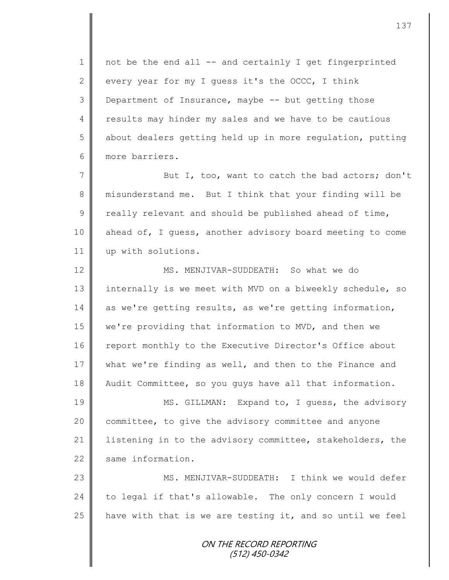$1 \parallel$  not be the end all -- and certainly I get fingerprinted 2 every year for my I quess it's the OCCC, I think 3 Department of Insurance, maybe -- but getting those 4 | results may hinder my sales and we have to be cautious  $5 \parallel$  about dealers getting held up in more regulation, putting 6 more barriers.

7 But I, too, want to catch the bad actors; don't 8 misunderstand me. But I think that your finding will be 9  $\parallel$  really relevant and should be published ahead of time, 10 ahead of, I guess, another advisory board meeting to come 11 | up with solutions.

12 MS. MENJIVAR-SUDDEATH: So what we do 13 internally is we meet with MVD on a biweekly schedule, so 14 as we're getting results, as we're getting information, 15 we're providing that information to MVD, and then we 16 | report monthly to the Executive Director's Office about 17 what we're finding as well, and then to the Finance and 18 Audit Committee, so you quys have all that information.

19 MS. GILLMAN: Expand to, I quess, the advisory 20 | committee, to give the advisory committee and anyone 21 | listening in to the advisory committee, stakeholders, the 22 same information.

23 || MS. MENJIVAR-SUDDEATH: I think we would defer  $24$  to legal if that's allowable. The only concern I would 25  $\parallel$  have with that is we are testing it, and so until we feel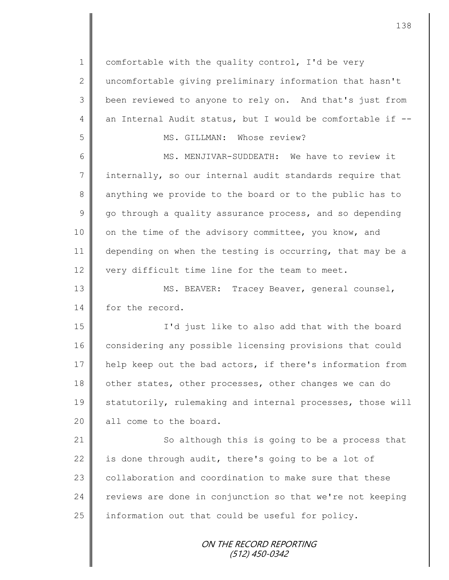$1 \parallel$  comfortable with the quality control, I'd be very 2 uncomfortable giving preliminary information that hasn't 3 been reviewed to anyone to rely on. And that's just from 4 an Internal Audit status, but I would be comfortable if  $-$ -5 MS. GILLMAN: Whose review? 6 MS. MENJIVAR-SUDDEATH: We have to review it 7 internally, so our internal audit standards require that 8 anything we provide to the board or to the public has to  $9 \parallel$  go through a quality assurance process, and so depending 10 | on the time of the advisory committee, you know, and 11 depending on when the testing is occurring, that may be a 12  $\parallel$  very difficult time line for the team to meet. 13 || MS. BEAVER: Tracey Beaver, general counsel, 14 for the record. 15 I'd just like to also add that with the board 16 considering any possible licensing provisions that could 17 help keep out the bad actors, if there's information from 18 other states, other processes, other changes we can do 19 Statutorily, rulemaking and internal processes, those will 20 | all come to the board. 21 So although this is going to be a process that 22 is done through audit, there's going to be a lot of 23  $\parallel$  collaboration and coordination to make sure that these 24 reviews are done in conjunction so that we're not keeping  $25$  information out that could be useful for policy.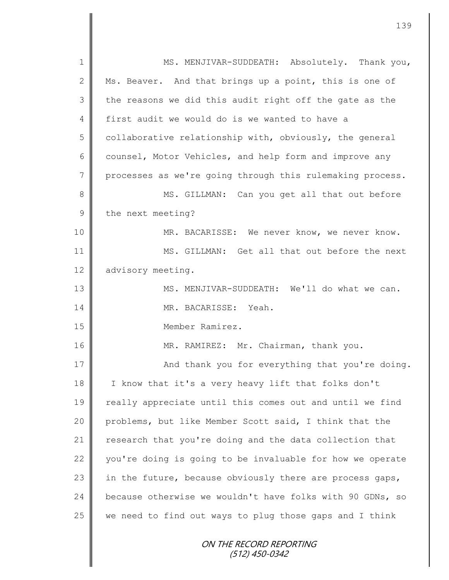ON THE RECORD REPORTING (512) 450-0342 1 || MS. MENJIVAR-SUDDEATH: Absolutely. Thank you, 2 Ms. Beaver. And that brings up a point, this is one of  $3 \parallel$  the reasons we did this audit right off the gate as the 4 first audit we would do is we wanted to have a  $5 \parallel$  collaborative relationship with, obviously, the general 6 counsel, Motor Vehicles, and help form and improve any 7 processes as we're going through this rulemaking process. 8 || MS. GILLMAN: Can you get all that out before 9 the next meeting? 10 MR. BACARISSE: We never know, we never know. 11 MS. GILLMAN: Get all that out before the next 12 advisory meeting. 13 || MS. MENJIVAR-SUDDEATH: We'll do what we can. 14 MR. BACARISSE: Yeah. 15 Member Ramirez. 16 MR. RAMIREZ: Mr. Chairman, thank you. 17 || And thank you for everything that you're doing. 18 I know that it's a very heavy lift that folks don't 19 || really appreciate until this comes out and until we find 20 problems, but like Member Scott said, I think that the 21 | research that you're doing and the data collection that 22 you're doing is going to be invaluable for how we operate 23 in the future, because obviously there are process gaps, 24 because otherwise we wouldn't have folks with 90 GDNs, so  $25$  we need to find out ways to plug those gaps and I think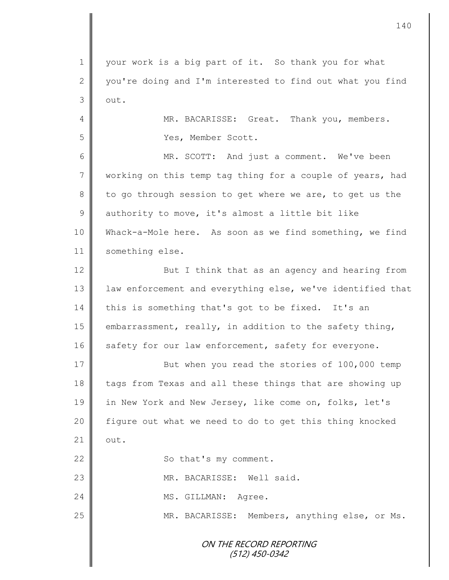1 || your work is a big part of it. So thank you for what 2 you're doing and I'm interested to find out what you find  $3$  out. 4 MR. BACARISSE: Great. Thank you, members.

5 Yes, Member Scott.

6 MR. SCOTT: And just a comment. We've been 7 working on this temp tag thing for a couple of years, had 8 to go through session to get where we are, to get us the  $9 \parallel$  authority to move, it's almost a little bit like 10 Whack-a-Mole here. As soon as we find something, we find 11 | something else.

12 **But I** think that as an agency and hearing from 13 | law enforcement and everything else, we've identified that 14 this is something that's got to be fixed. It's an 15  $\parallel$  embarrassment, really, in addition to the safety thing, 16 safety for our law enforcement, safety for everyone.

17 || But when you read the stories of 100,000 temp 18 tags from Texas and all these things that are showing up 19 in New York and New Jersey, like come on, folks, let's 20 | figure out what we need to do to get this thing knocked  $21 \parallel \quad \text{out.}$ 22 | So that's my comment. 23 || MR. BACARISSE: Well said. 24 MS. GILLMAN: Agree. 25 | MR. BACARISSE: Members, anything else, or Ms.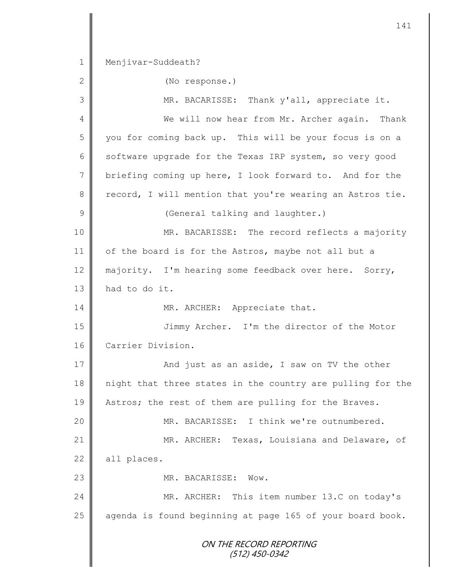ON THE RECORD REPORTING (512) 450-0342 1 | Menjivar-Suddeath? 2 (No response.) 3 MR. BACARISSE: Thank y'all, appreciate it. 4 We will now hear from Mr. Archer again. Thank 5 you for coming back up. This will be your focus is on a 6 software upgrade for the Texas IRP system, so very good 7 briefing coming up here, I look forward to. And for the  $8 \parallel$  record, I will mention that you're wearing an Astros tie. 9 || (General talking and laughter.) 10 || MR. BACARISSE: The record reflects a majority 11 of the board is for the Astros, maybe not all but a 12 majority. I'm hearing some feedback over here. Sorry, 13 **had to do it.** 14 | MR. ARCHER: Appreciate that. 15 Jimmy Archer. I'm the director of the Motor 16 Carrier Division. 17 **And just as an aside, I saw on TV the other** 18 | night that three states in the country are pulling for the 19 Astros; the rest of them are pulling for the Braves. 20 MR. BACARISSE: I think we're outnumbered. 21 | MR. ARCHER: Texas, Louisiana and Delaware, of  $22$  all places. 23 Now MR. BACARISSE: Wow. 24 MR. ARCHER: This item number 13.C on today's 25  $\parallel$  agenda is found beginning at page 165 of your board book.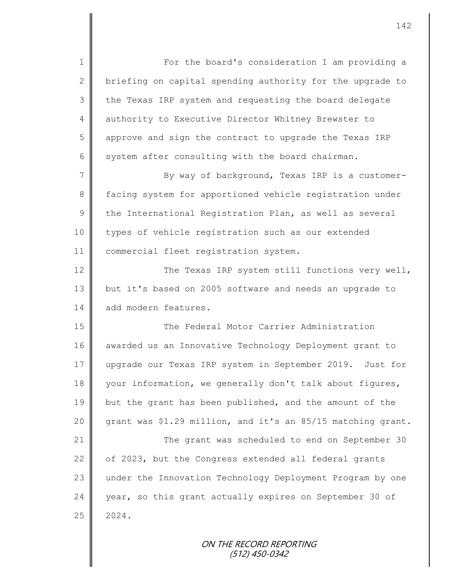1 For the board's consideration I am providing a 2 briefing on capital spending authority for the upgrade to 3 | the Texas IRP system and requesting the board delegate 4 authority to Executive Director Whitney Brewster to 5 approve and sign the contract to upgrade the Texas IRP 6 system after consulting with the board chairman. 7 || By way of background, Texas IRP is a customer-

8 facing system for apportioned vehicle registration under  $9 \parallel$  the International Registration Plan, as well as several 10 | types of vehicle registration such as our extended 11 | commercial fleet registration system.

12 | The Texas IRP system still functions very well, 13 but it's based on 2005 software and needs an upgrade to 14 add modern features.

15 **The Federal Motor Carrier Administration** 16 awarded us an Innovative Technology Deployment grant to 17 upgrade our Texas IRP system in September 2019. Just for 18 your information, we generally don't talk about figures, 19 but the grant has been published, and the amount of the 20  $\parallel$  grant was \$1.29 million, and it's an 85/15 matching grant. 21 The grant was scheduled to end on September 30 22  $\parallel$  of 2023, but the Congress extended all federal grants

23 under the Innovation Technology Deployment Program by one 24 year, so this grant actually expires on September 30 of  $25 \parallel 2024$ .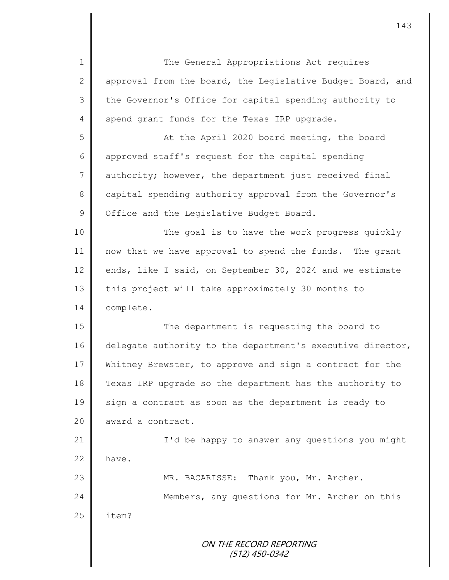ON THE RECORD REPORTING (512) 450-0342 1 The General Appropriations Act requires 2 approval from the board, the Legislative Budget Board, and 3 | the Governor's Office for capital spending authority to 4 spend grant funds for the Texas IRP upgrade. 5 || At the April 2020 board meeting, the board 6 approved staff's request for the capital spending 7 authority; however, the department just received final 8 capital spending authority approval from the Governor's 9 | Office and the Legislative Budget Board. 10 || The goal is to have the work progress quickly 11 | now that we have approval to spend the funds. The grant 12 | ends, like I said, on September 30, 2024 and we estimate 13 this project will take approximately 30 months to 14 complete. 15 || The department is requesting the board to 16 delegate authority to the department's executive director, 17 Whitney Brewster, to approve and sign a contract for the 18 Texas IRP upgrade so the department has the authority to  $19 \parallel$  sign a contract as soon as the department is ready to 20 award a contract. 21 | I'd be happy to answer any questions you might  $22 \parallel$  have. 23 || MR. BACARISSE: Thank you, Mr. Archer. 24 Members, any questions for Mr. Archer on this  $25$  | item?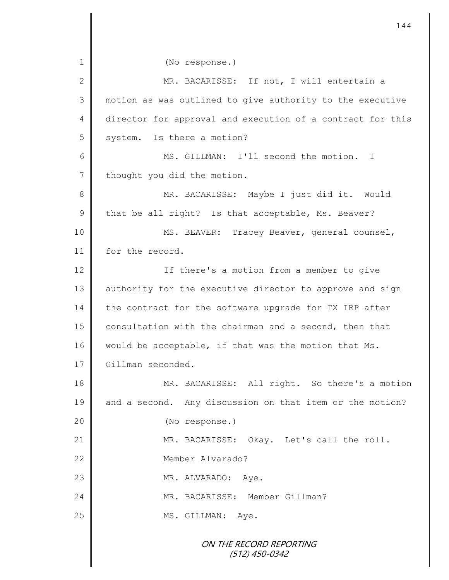ON THE RECORD REPORTING (512) 450-0342 1 || (No response.) 2 || MR. BACARISSE: If not, I will entertain a 3 motion as was outlined to give authority to the executive 4 director for approval and execution of a contract for this 5 system. Is there a motion? 6 MS. GILLMAN: I'll second the motion. I 7 thought you did the motion. 8 || MR. BACARISSE: Maybe I just did it. Would  $9 \parallel$  that be all right? Is that acceptable, Ms. Beaver? 10 || MS. BEAVER: Tracey Beaver, general counsel, 11 for the record. 12 ||<br> **If there's a motion from a member to give** 13 || authority for the executive director to approve and sign 14 the contract for the software upgrade for TX IRP after 15 consultation with the chairman and a second, then that 16 would be acceptable, if that was the motion that Ms. 17 Gillman seconded. 18 MR. BACARISSE: All right. So there's a motion 19 and a second. Any discussion on that item or the motion? 20 || (No response.) 21 MR. BACARISSE: Okay. Let's call the roll. 22 Member Alvarado? 23 MR. ALVARADO: Aye. 24 MR. BACARISSE: Member Gillman? 25 | MS. GILLMAN: Aye.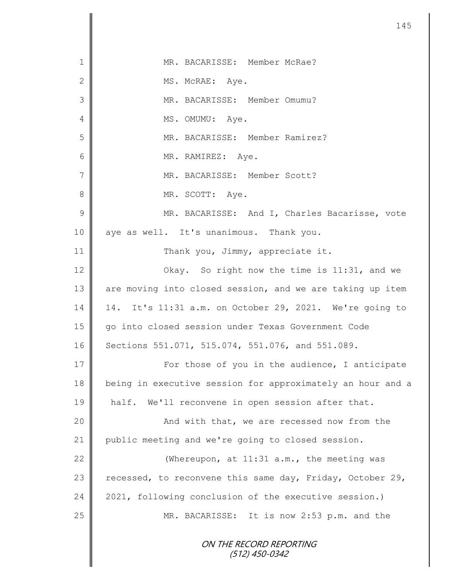| $\mathbf 1$  | MR. BACARISSE: Member McRae?                               |
|--------------|------------------------------------------------------------|
| $\mathbf{2}$ | MS. McRAE: Aye.                                            |
| 3            | MR. BACARISSE: Member Omumu?                               |
| 4            | MS. OMUMU: Aye.                                            |
| 5            | MR. BACARISSE: Member Ramirez?                             |
| 6            | MR. RAMIREZ: Aye.                                          |
| 7            | MR. BACARISSE: Member Scott?                               |
| $8\,$        | MR. SCOTT: Aye.                                            |
| $\mathsf 9$  | MR. BACARISSE: And I, Charles Bacarisse, vote              |
| 10           | aye as well. It's unanimous. Thank you.                    |
| 11           | Thank you, Jimmy, appreciate it.                           |
| 12           | Okay. So right now the time is 11:31, and we               |
| 13           | are moving into closed session, and we are taking up item  |
| 14           | 14. It's 11:31 a.m. on October 29, 2021. We're going to    |
| 15           | go into closed session under Texas Government Code         |
| 16           | Sections 551.071, 515.074, 551.076, and 551.089.           |
| 17           | For those of you in the audience, I anticipate             |
| 18           | being in executive session for approximately an hour and a |
| 19           | half. We'll reconvene in open session after that.          |
| 20           | And with that, we are recessed now from the                |
| 21           | public meeting and we're going to closed session.          |
| 22           | (Whereupon, at 11:31 a.m., the meeting was                 |
| 23           | recessed, to reconvene this same day, Friday, October 29,  |
| 24           | 2021, following conclusion of the executive session.)      |
| 25           | MR. BACARISSE: It is now 2:53 p.m. and the                 |
|              | ON THE RECORD REPORTING<br>$(512)$ 450-0342                |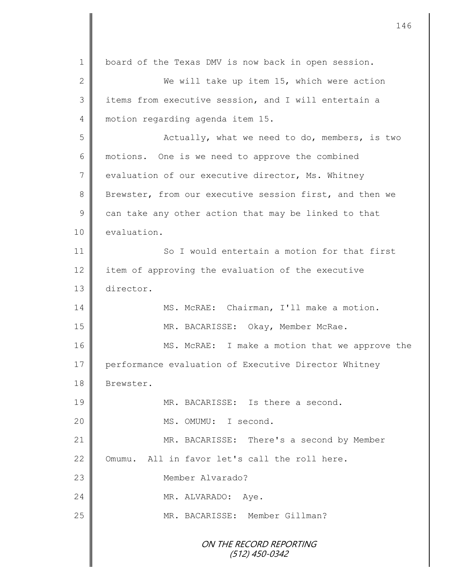ON THE RECORD REPORTING (512) 450-0342 1 | board of the Texas DMV is now back in open session. 2 We will take up item 15, which were action 3 || items from executive session, and I will entertain a 4 | motion regarding agenda item 15. 5 Actually, what we need to do, members, is two 6 | motions. One is we need to approve the combined 7 vevaluation of our executive director, Ms. Whitney 8 Brewster, from our executive session first, and then we  $9 \parallel$  can take any other action that may be linked to that 10 evaluation. 11 So I would entertain a motion for that first 12 item of approving the evaluation of the executive 13 director. 14 | MS. McRAE: Chairman, I'll make a motion. 15 || MR. BACARISSE: Okay, Member McRae. 16 MS. McRAE: I make a motion that we approve the 17 performance evaluation of Executive Director Whitney 18 | Brewster. 19 || MR. BACARISSE: Is there a second. 20 || MS. OMUMU: I second. 21 || MR. BACARISSE: There's a second by Member 22 Omumu. All in favor let's call the roll here. 23 Member Alvarado? 24 MR. ALVARADO: Aye. 25 | MR. BACARISSE: Member Gillman?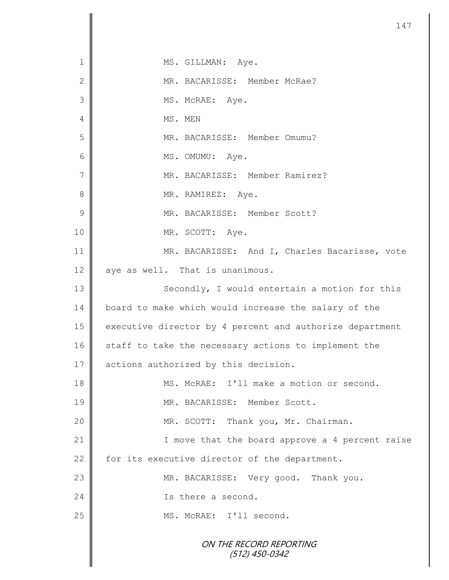ON THE RECORD REPORTING (512) 450-0342 1 || MS. GILLMAN: Aye. 2 || MR. BACARISSE: Member McRae? 3 || MS. McRAE: Aye. 4 MS. MEN 5 MR. BACARISSE: Member Omumu? 6 | MS. OMUMU: Aye. 7 | MR. BACARISSE: Member Ramirez? 8 | MR. RAMIREZ: Aye. 9 MR. BACARISSE: Member Scott? 10 MR. SCOTT: Aye. 11 MR. BACARISSE: And I, Charles Bacarisse, vote 12 || aye as well. That is unanimous. 13 || Secondly, I would entertain a motion for this 14 board to make which would increase the salary of the 15 | executive director by 4 percent and authorize department 16 staff to take the necessary actions to implement the 17 | actions authorized by this decision. 18 || MS. McRAE: I'll make a motion or second. 19 || MR. BACARISSE: Member Scott. 20 | MR. SCOTT: Thank you, Mr. Chairman. 21 | T move that the board approve a 4 percent raise 22  $\parallel$  for its executive director of the department. 23 || MR. BACARISSE: Very good. Thank you. 24 **Is there a second.** 25 || MS. McRAE: I'll second.

147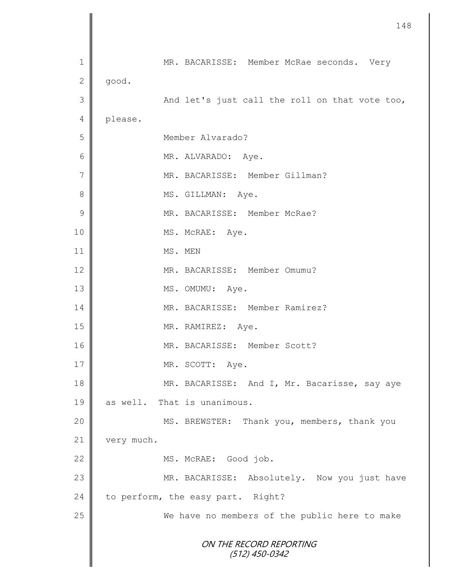|                | 148                                            |
|----------------|------------------------------------------------|
|                |                                                |
| 1              | MR. BACARISSE: Member McRae seconds. Very      |
| $\mathbf 2$    | good.                                          |
| $\mathfrak{Z}$ | And let's just call the roll on that vote too, |
| 4              | please.                                        |
| 5              | Member Alvarado?                               |
| $\sqrt{6}$     | MR. ALVARADO: Aye.                             |
| $\sqrt{}$      | MR. BACARISSE: Member Gillman?                 |
| 8              | MS. GILLMAN: Aye.                              |
| $\mathcal{G}$  | MR. BACARISSE: Member McRae?                   |
| $10$           | MS. McRAE: Aye.                                |
| 11             | MS. MEN                                        |
| 12             | MR. BACARISSE: Member Omumu?                   |
| 13             | MS. OMUMU: Aye.                                |
| 14             | MR. BACARISSE: Member Ramirez?                 |
| 15             | MR. RAMIREZ: Aye.                              |
| 16             | MR. BACARISSE: Member Scott?                   |
| 17             | MR. SCOTT: Aye.                                |
| 18             | MR. BACARISSE: And I, Mr. Bacarisse, say aye   |
| 19             | as well. That is unanimous.                    |
| 20             | MS. BREWSTER: Thank you, members, thank you    |
| 21             | very much.                                     |
| 22             | MS. McRAE: Good job.                           |
| 23             | MR. BACARISSE: Absolutely. Now you just have   |
| 24             | to perform, the easy part. Right?              |
| 25             | We have no members of the public here to make  |
|                | ON THE RECORD REPORTING<br>$(512)$ 450-0342    |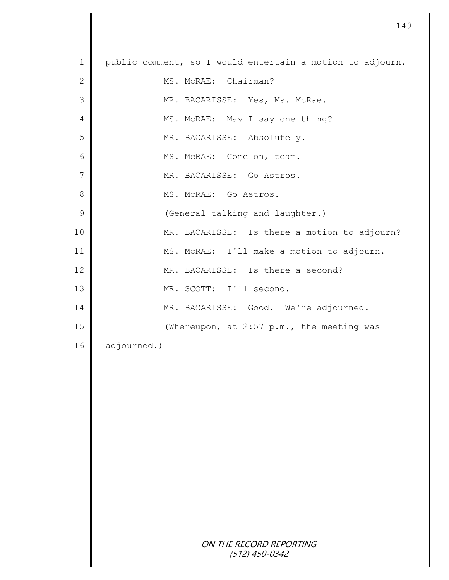| $\mathbf 1$    | public comment, so I would entertain a motion to adjourn. |
|----------------|-----------------------------------------------------------|
| $\mathbf{2}$   | MS. McRAE: Chairman?                                      |
| 3              | MR. BACARISSE: Yes, Ms. McRae.                            |
| 4              | MS. McRAE: May I say one thing?                           |
| 5              | MR. BACARISSE: Absolutely.                                |
| 6              | MS. McRAE: Come on, team.                                 |
| $\overline{7}$ | MR. BACARISSE: Go Astros.                                 |
| 8              | MS. MCRAE: Go Astros.                                     |
| 9              | (General talking and laughter.)                           |
| 10             | MR. BACARISSE: Is there a motion to adjourn?              |
| 11             | MS. McRAE: I'll make a motion to adjourn.                 |
| 12             | MR. BACARISSE: Is there a second?                         |
| 13             | MR. SCOTT: I'll second.                                   |
| 14             | MR. BACARISSE: Good. We're adjourned.                     |
| 15             | (Whereupon, at 2:57 p.m., the meeting was                 |
| 16             | adjourned.)                                               |
|                |                                                           |
|                |                                                           |
|                |                                                           |
|                |                                                           |
|                |                                                           |
|                |                                                           |
|                |                                                           |
|                |                                                           |
|                |                                                           |
|                | ON THE RECORD REPORTING                                   |
|                | $(512)$ 450-0342                                          |

 $\mathbf l$ ∥